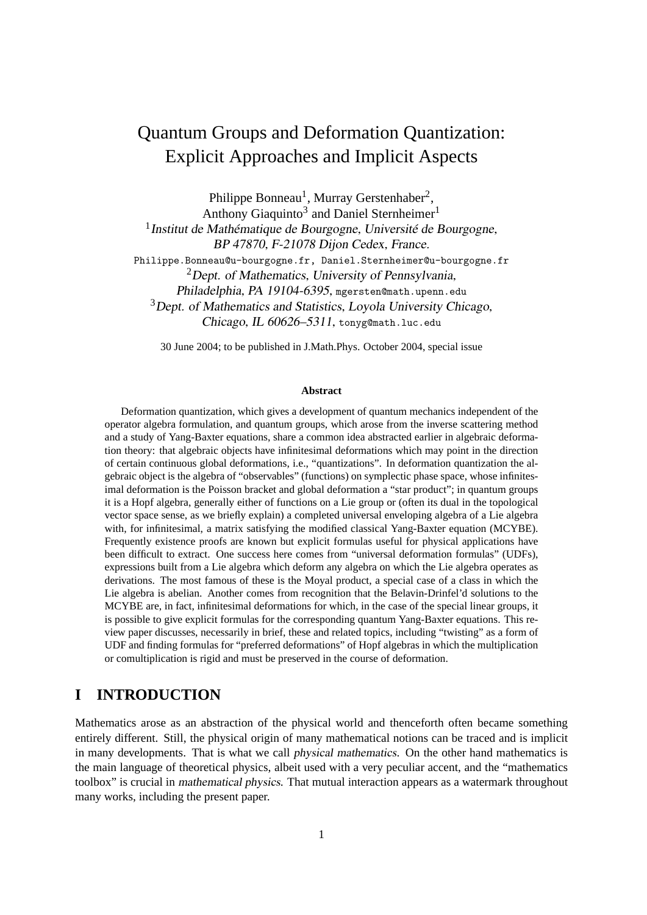# Quantum Groups and Deformation Quantization: Explicit Approaches and Implicit Aspects

Philippe Bonneau<sup>1</sup>, Murray Gerstenhaber<sup>2</sup>,

Anthony Giaquinto<sup>3</sup> and Daniel Sternheimer<sup>1</sup>

<sup>1</sup> Institut de Mathématique de Bourgogne, Université de Bourgogne, BP 47870, F-21078 Dijon Cedex, France.

Philippe.Bonneau@u-bourgogne.fr, Daniel.Sternheimer@u-bourgogne.fr

 ${}^{2}$ Dept. of Mathematics, University of Pennsylvania,

Philadelphia, PA 19104-6395, mgersten@math.upenn.edu

<sup>3</sup>Dept. of Mathematics and Statistics, Loyola University Chicago,

Chicago, IL 60626–5311, tonyg@math.luc.edu

30 June 2004; to be published in J.Math.Phys. October 2004, special issue

#### **Abstract**

Deformation quantization, which gives a development of quantum mechanics independent of the operator algebra formulation, and quantum groups, which arose from the inverse scattering method and a study of Yang-Baxter equations, share a common idea abstracted earlier in algebraic deformation theory: that algebraic objects have infinitesimal deformations which may point in the direction of certain continuous global deformations, i.e., "quantizations". In deformation quantization the algebraic object is the algebra of "observables" (functions) on symplectic phase space, whose infinitesimal deformation is the Poisson bracket and global deformation a "star product"; in quantum groups it is a Hopf algebra, generally either of functions on a Lie group or (often its dual in the topological vector space sense, as we briefly explain) a completed universal enveloping algebra of a Lie algebra with, for infinitesimal, a matrix satisfying the modified classical Yang-Baxter equation (MCYBE). Frequently existence proofs are known but explicit formulas useful for physical applications have been difficult to extract. One success here comes from "universal deformation formulas" (UDFs), expressions built from a Lie algebra which deform any algebra on which the Lie algebra operates as derivations. The most famous of these is the Moyal product, a special case of a class in which the Lie algebra is abelian. Another comes from recognition that the Belavin-Drinfel'd solutions to the MCYBE are, in fact, infinitesimal deformations for which, in the case of the special linear groups, it is possible to give explicit formulas for the corresponding quantum Yang-Baxter equations. This review paper discusses, necessarily in brief, these and related topics, including "twisting" as a form of UDF and finding formulas for "preferred deformations" of Hopf algebras in which the multiplication or comultiplication is rigid and must be preserved in the course of deformation.

## **I INTRODUCTION**

Mathematics arose as an abstraction of the physical world and thenceforth often became something entirely different. Still, the physical origin of many mathematical notions can be traced and is implicit in many developments. That is what we call physical mathematics. On the other hand mathematics is the main language of theoretical physics, albeit used with a very peculiar accent, and the "mathematics toolbox" is crucial in mathematical physics. That mutual interaction appears as a watermark throughout many works, including the present paper.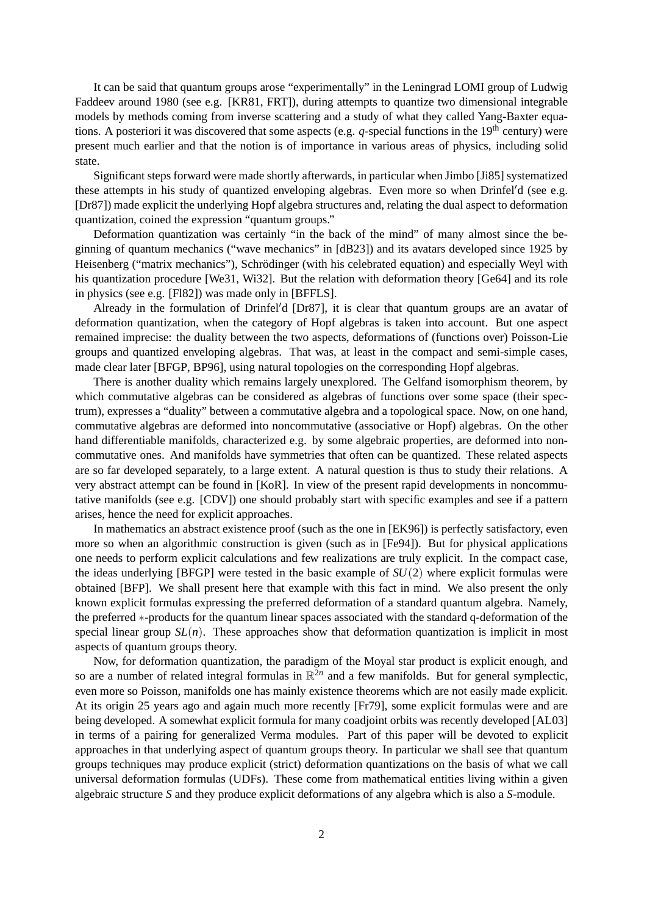It can be said that quantum groups arose "experimentally" in the Leningrad LOMI group of Ludwig Faddeev around 1980 (see e.g. [KR81, FRT]), during attempts to quantize two dimensional integrable models by methods coming from inverse scattering and a study of what they called Yang-Baxter equations. A posteriori it was discovered that some aspects (e.g.  $q$ -special functions in the 19<sup>th</sup> century) were present much earlier and that the notion is of importance in various areas of physics, including solid state.

Significant steps forward were made shortly afterwards, in particular when Jimbo [Ji85] systematized these attempts in his study of quantized enveloping algebras. Even more so when  $Drinfeld'$ d (see e.g. [Dr87]) made explicit the underlying Hopf algebra structures and, relating the dual aspect to deformation quantization, coined the expression "quantum groups."

Deformation quantization was certainly "in the back of the mind" of many almost since the beginning of quantum mechanics ("wave mechanics" in [dB23]) and its avatars developed since 1925 by Heisenberg ("matrix mechanics"), Schrödinger (with his celebrated equation) and especially Weyl with his quantization procedure [We31, Wi32]. But the relation with deformation theory [Ge64] and its role in physics (see e.g. [Fl82]) was made only in [BFFLS].

Already in the formulation of Drinfel'd  $[Dr87]$ , it is clear that quantum groups are an avatar of deformation quantization, when the category of Hopf algebras is taken into account. But one aspect remained imprecise: the duality between the two aspects, deformations of (functions over) Poisson-Lie groups and quantized enveloping algebras. That was, at least in the compact and semi-simple cases, made clear later [BFGP, BP96], using natural topologies on the corresponding Hopf algebras.

There is another duality which remains largely unexplored. The Gelfand isomorphism theorem, by which commutative algebras can be considered as algebras of functions over some space (their spectrum), expresses a "duality" between a commutative algebra and a topological space. Now, on one hand, commutative algebras are deformed into noncommutative (associative or Hopf) algebras. On the other hand differentiable manifolds, characterized e.g. by some algebraic properties, are deformed into noncommutative ones. And manifolds have symmetries that often can be quantized. These related aspects are so far developed separately, to a large extent. A natural question is thus to study their relations. A very abstract attempt can be found in [KoR]. In view of the present rapid developments in noncommutative manifolds (see e.g. [CDV]) one should probably start with specific examples and see if a pattern arises, hence the need for explicit approaches.

In mathematics an abstract existence proof (such as the one in [EK96]) is perfectly satisfactory, even more so when an algorithmic construction is given (such as in [Fe94]). But for physical applications one needs to perform explicit calculations and few realizations are truly explicit. In the compact case, the ideas underlying [BFGP] were tested in the basic example of *SU*(2) where explicit formulas were obtained [BFP]. We shall present here that example with this fact in mind. We also present the only known explicit formulas expressing the preferred deformation of a standard quantum algebra. Namely, the preferred ∗-products for the quantum linear spaces associated with the standard q-deformation of the special linear group  $SL(n)$ . These approaches show that deformation quantization is implicit in most aspects of quantum groups theory.

Now, for deformation quantization, the paradigm of the Moyal star product is explicit enough, and so are a number of related integral formulas in  $\mathbb{R}^{2n}$  and a few manifolds. But for general symplectic, even more so Poisson, manifolds one has mainly existence theorems which are not easily made explicit. At its origin 25 years ago and again much more recently [Fr79], some explicit formulas were and are being developed. A somewhat explicit formula for many coadjoint orbits was recently developed [AL03] in terms of a pairing for generalized Verma modules. Part of this paper will be devoted to explicit approaches in that underlying aspect of quantum groups theory. In particular we shall see that quantum groups techniques may produce explicit (strict) deformation quantizations on the basis of what we call universal deformation formulas (UDFs). These come from mathematical entities living within a given algebraic structure *S* and they produce explicit deformations of any algebra which is also a *S*-module.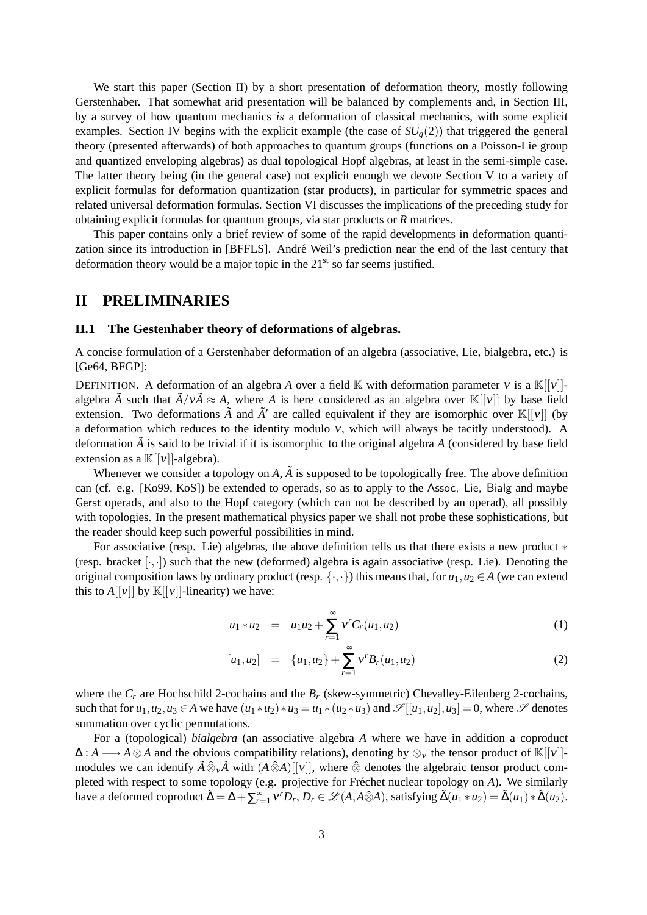We start this paper (Section II) by a short presentation of deformation theory, mostly following Gerstenhaber. That somewhat arid presentation will be balanced by complements and, in Section III, by a survey of how quantum mechanics is a deformation of classical mechanics, with some explicit examples. Section IV begins with the explicit example (the case of  $SU_q(2)$ ) that triggered the general theory (presented afterwards) of both approaches to quantum groups (functions on a Poisson-Lie group and quantized enveloping algebras) as dual topological Hopf algebras, at least in the semi-simple case. The latter theory being (in the general case) not explicit enough we devote Section V to a variety of explicit formulas for deformation quantization (star products), in particular for symmetric spaces and related universal deformation formulas. Section VI discusses the implications of the preceding study for obtaining explicit formulas for quantum groups, via star products or *R* matrices.

This paper contains only a brief review of some of the rapid developments in deformation quantization since its introduction in [BFFLS]. André Weil's prediction near the end of the last century that deformation theory would be a major topic in the  $21<sup>st</sup>$  so far seems justified.

## **II PRELIMINARIES**

### **II.1 The Gestenhaber theory of deformations of algebras.**

A concise formulation of a Gerstenhaber deformation of an algebra (associative, Lie, bialgebra, etc.) is [Ge64, BFGP]:

DEFINITION. A deformation of an algebra *A* over a field K with deformation parameter *v* is a  $\mathbb{K}[[v]]$ algebra  $\tilde{A}$  such that  $\tilde{A}/v\tilde{A} \approx A$ , where *A* is here considered as an algebra over K[[v]] by base field extension. Two deformations  $\tilde{A}$  and  $\tilde{A}'$  are called equivalent if they are isomorphic over  $\mathbb{K}[[v]]$  (by a deformation which reduces to the identity modulo  $v$ , which will always be tacitly understood). A deformation  $\tilde{A}$  is said to be trivial if it is isomorphic to the original algebra  $A$  (considered by base field extension as a  $\mathbb{K}[[v]]$ -algebra).

Whenever we consider a topology on  $A$ ,  $\tilde{A}$  is supposed to be topologically free. The above definition can (cf. e.g. [Ko99, KoS]) be extended to operads, so as to apply to the Assoc, Lie, Bialg and maybe Gerst operads, and also to the Hopf category (which can not be described by an operad), all possibly with topologies. In the present mathematical physics paper we shall not probe these sophistications, but the reader should keep such powerful possibilities in mind.

For associative (resp. Lie) algebras, the above definition tells us that there exists a new product ∗ (resp. bracket  $[\cdot, \cdot]$ ) such that the new (deformed) algebra is again associative (resp. Lie). Denoting the original composition laws by ordinary product (resp.  $\{\cdot,\cdot\}$ ) this means that, for  $u_1, u_2 \in A$  (we can extend this to  $A[[v]]$  by  $\mathbb{K}[[v]]$ -linearity) we have:

$$
u_1 * u_2 = u_1 u_2 + \sum_{r=1}^{\infty} v^r C_r(u_1, u_2)
$$
 (1)

$$
[u_1, u_2] = \{u_1, u_2\} + \sum_{r=1}^{\infty} V^r B_r(u_1, u_2)
$$
 (2)

where the  $C_r$  are Hochschild 2-cochains and the  $B_r$  (skew-symmetric) Chevalley-Eilenberg 2-cochains, such that for  $u_1, u_2, u_3 \in A$  we have  $(u_1 * u_2) * u_3 = u_1 * (u_2 * u_3)$  and  $\mathscr{S}[[u_1, u_2], u_3] = 0$ , where  $\mathscr{S}$  denotes summation over cyclic permutations.

For a (topological) *bialgebra* (an associative algebra *A* where we have in addition a coproduct  $\Delta: A \longrightarrow A \otimes A$  and the obvious compatibility relations), denoting by  $\otimes_{\nu}$  the tensor product of K[[v]]modules we can identify  $\tilde{A} \hat{\otimes}_{\nu} \tilde{A}$  with  $(A \hat{\otimes} A)[[\nu]]$ , where  $\hat{\otimes}$  denotes the algebraic tensor product completed with respect to some topology (e.g. projective for Fréchet nuclear topology on A). We similarly have a deformed coproduct  $\tilde{\Delta} = \Delta + \sum_{r=1}^{\infty} v^r D_r$ ,  $D_r \in \mathcal{L}(A, A \hat{\otimes} A)$ , satisfying  $\tilde{\Delta}(u_1 * u_2) = \tilde{\Delta}(u_1) * \tilde{\Delta}(u_2)$ .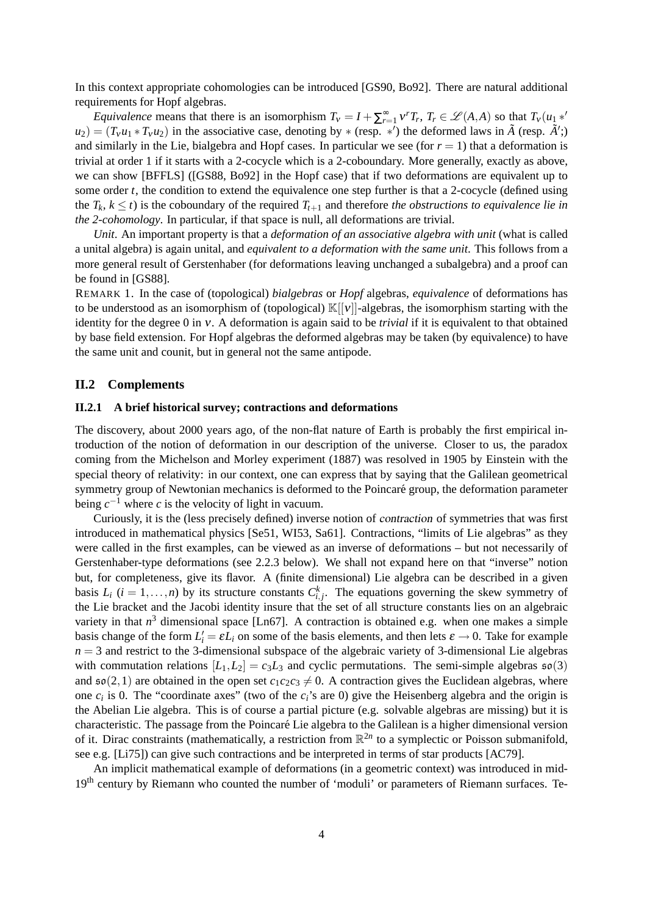In this context appropriate cohomologies can be introduced [GS90, Bo92]. There are natural additional requirements for Hopf algebras.

*Equivalence* means that there is an isomorphism  $T_v = I + \sum_{r=1}^{\infty} v^r T_r$ ,  $T_r \in \mathcal{L}(A,A)$  so that  $T_v(u_1 *^t v_1)$  $u_2$  =  $(T_v u_1 * T_v u_2)$  in the associative case, denoting by  $*$  (resp.  $*'$ ) the deformed laws in  $\tilde{A}$  (resp.  $\tilde{A}'$ ;) and similarly in the Lie, bialgebra and Hopf cases. In particular we see (for  $r = 1$ ) that a deformation is trivial at order 1 if it starts with a 2-cocycle which is a 2-coboundary. More generally, exactly as above, we can show [BFFLS] ([GS88, Bo92] in the Hopf case) that if two deformations are equivalent up to some order *t*, the condition to extend the equivalence one step further is that a 2-cocycle (defined using the  $T_k$ ,  $k \leq t$ ) is the coboundary of the required  $T_{t+1}$  and therefore *the obstructions to equivalence lie in the 2-cohomology*. In particular, if that space is null, all deformations are trivial.

*Unit*. An important property is that a *deformation of an associative algebra with unit* (what is called a unital algebra) is again unital, and *equivalent to a deformation with the same unit*. This follows from a more general result of Gerstenhaber (for deformations leaving unchanged a subalgebra) and a proof can be found in [GS88].

REMARK 1. In the case of (topological) *bialgebras* or *Hopf* algebras, *equivalence* of deformations has to be understood as an isomorphism of (topological)  $\mathbb{K}[[v]]$ -algebras, the isomorphism starting with the identity for the degree 0 in ν. A deformation is again said to be *trivial* if it is equivalent to that obtained by base field extension. For Hopf algebras the deformed algebras may be taken (by equivalence) to have the same unit and counit, but in general not the same antipode.

#### **II.2 Complements**

#### **II.2.1 A brief historical survey; contractions and deformations**

The discovery, about 2000 years ago, of the non-flat nature of Earth is probably the first empirical introduction of the notion of deformation in our description of the universe. Closer to us, the paradox coming from the Michelson and Morley experiment (1887) was resolved in 1905 by Einstein with the special theory of relativity: in our context, one can express that by saying that the Galilean geometrical symmetry group of Newtonian mechanics is deformed to the Poincaré group, the deformation parameter being  $c^{-1}$  where *c* is the velocity of light in vacuum.

Curiously, it is the (less precisely defined) inverse notion of contraction of symmetries that was first introduced in mathematical physics [Se51, WI53, Sa61]. Contractions, "limits of Lie algebras" as they were called in the first examples, can be viewed as an inverse of deformations – but not necessarily of Gerstenhaber-type deformations (see 2.2.3 below). We shall not expand here on that "inverse" notion but, for completeness, give its flavor. A (finite dimensional) Lie algebra can be described in a given basis  $L_i$  ( $i = 1, \ldots, n$ ) by its structure constants  $C_{i,j}^k$ . The equations governing the skew symmetry of the Lie bracket and the Jacobi identity insure that the set of all structure constants lies on an algebraic variety in that  $n^3$  dimensional space [Ln67]. A contraction is obtained e.g. when one makes a simple basis change of the form  $L'_i = \varepsilon L_i$  on some of the basis elements, and then lets  $\varepsilon \to 0$ . Take for example  $n = 3$  and restrict to the 3-dimensional subspace of the algebraic variety of 3-dimensional Lie algebras with commutation relations  $[L_1, L_2] = c_3 L_3$  and cyclic permutations. The semi-simple algebras  $\mathfrak{so}(3)$ and  $\mathfrak{so}(2,1)$  are obtained in the open set  $c_1c_2c_3 \neq 0$ . A contraction gives the Euclidean algebras, where one  $c_i$  is 0. The "coordinate axes" (two of the  $c_i$ 's are 0) give the Heisenberg algebra and the origin is the Abelian Lie algebra. This is of course a partial picture (e.g. solvable algebras are missing) but it is characteristic. The passage from the Poincare Lie algebra to the Galilean is a higher dimensional version ´ of it. Dirac constraints (mathematically, a restriction from  $\mathbb{R}^{2n}$  to a symplectic or Poisson submanifold, see e.g. [Li75]) can give such contractions and be interpreted in terms of star products [AC79].

An implicit mathematical example of deformations (in a geometric context) was introduced in mid-19<sup>th</sup> century by Riemann who counted the number of 'moduli' or parameters of Riemann surfaces. Te-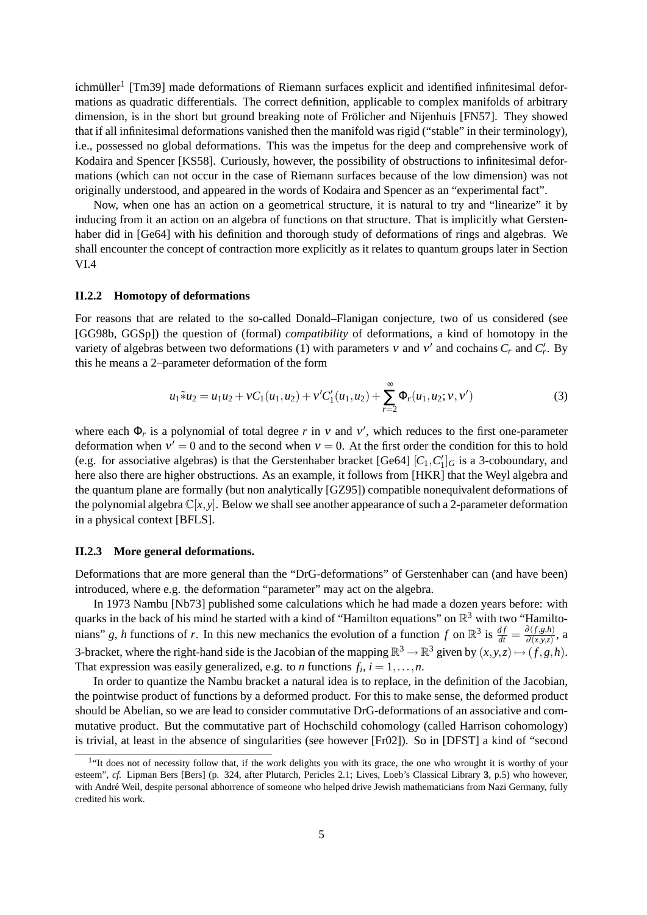ichmüller<sup>1</sup> [Tm39] made deformations of Riemann surfaces explicit and identified infinitesimal deformations as quadratic differentials. The correct definition, applicable to complex manifolds of arbitrary dimension, is in the short but ground breaking note of Frölicher and Nijenhuis [FN57]. They showed that if all infinitesimal deformations vanished then the manifold was rigid ("stable" in their terminology), i.e., possessed no global deformations. This was the impetus for the deep and comprehensive work of Kodaira and Spencer [KS58]. Curiously, however, the possibility of obstructions to infinitesimal deformations (which can not occur in the case of Riemann surfaces because of the low dimension) was not originally understood, and appeared in the words of Kodaira and Spencer as an "experimental fact".

Now, when one has an action on a geometrical structure, it is natural to try and "linearize" it by inducing from it an action on an algebra of functions on that structure. That is implicitly what Gerstenhaber did in [Ge64] with his definition and thorough study of deformations of rings and algebras. We shall encounter the concept of contraction more explicitly as it relates to quantum groups later in Section VI.4

## **II.2.2 Homotopy of deformations**

For reasons that are related to the so-called Donald–Flanigan conjecture, two of us considered (see [GG98b, GGSp]) the question of (formal) *compatibility* of deformations, a kind of homotopy in the variety of algebras between two deformations (1) with parameters  $v$  and  $v'$  and cochains  $C_r$  and  $C'_r$ . By this he means a 2–parameter deformation of the form

$$
u_1 \tilde{*} u_2 = u_1 u_2 + v C_1(u_1, u_2) + v' C_1'(u_1, u_2) + \sum_{r=2}^{\infty} \Phi_r(u_1, u_2; v, v')
$$
(3)

where each  $\Phi_r$  is a polynomial of total degree *r* in *v* and *v'*, which reduces to the first one-parameter deformation when  $v' = 0$  and to the second when  $v = 0$ . At the first order the condition for this to hold (e.g. for associative algebras) is that the Gerstenhaber bracket [Ge64]  $[C_1, C'_1]_G$  is a 3-coboundary, and here also there are higher obstructions. As an example, it follows from [HKR] that the Weyl algebra and the quantum plane are formally (but non analytically [GZ95]) compatible nonequivalent deformations of the polynomial algebra  $\mathbb{C}[x, y]$ . Below we shall see another appearance of such a 2-parameter deformation in a physical context [BFLS].

#### **II.2.3 More general deformations.**

Deformations that are more general than the "DrG-deformations" of Gerstenhaber can (and have been) introduced, where e.g. the deformation "parameter" may act on the algebra.

In 1973 Nambu [Nb73] published some calculations which he had made a dozen years before: with quarks in the back of his mind he started with a kind of "Hamilton equations" on  $\mathbb{R}^3$  with two "Hamiltonians" *g*, *h* functions of *r*. In this new mechanics the evolution of a function *f* on  $\mathbb{R}^3$  is  $\frac{df}{dt} = \frac{\partial (f, g, h)}{\partial (x, y, z)}$  $\frac{\partial (f,g,n)}{\partial (x,y,z)}$ , a 3-bracket, where the right-hand side is the Jacobian of the mapping  $\mathbb{R}^3 \to \mathbb{R}^3$  given by  $(x, y, z) \mapsto (f, g, h)$ . That expression was easily generalized, e.g. to *n* functions  $f_i$ ,  $i = 1, \ldots, n$ .

In order to quantize the Nambu bracket a natural idea is to replace, in the definition of the Jacobian, the pointwise product of functions by a deformed product. For this to make sense, the deformed product should be Abelian, so we are lead to consider commutative DrG-deformations of an associative and commutative product. But the commutative part of Hochschild cohomology (called Harrison cohomology) is trivial, at least in the absence of singularities (see however [Fr02]). So in [DFST] a kind of "second

<sup>&</sup>lt;sup>1</sup>"It does not of necessity follow that, if the work delights you with its grace, the one who wrought it is worthy of your esteem", *cf.* Lipman Bers [Bers] (p. 324, after Plutarch, Pericles 2.1; Lives, Loeb's Classical Library **3**, p.5) who however, with André Weil, despite personal abhorrence of someone who helped drive Jewish mathematicians from Nazi Germany, fully credited his work.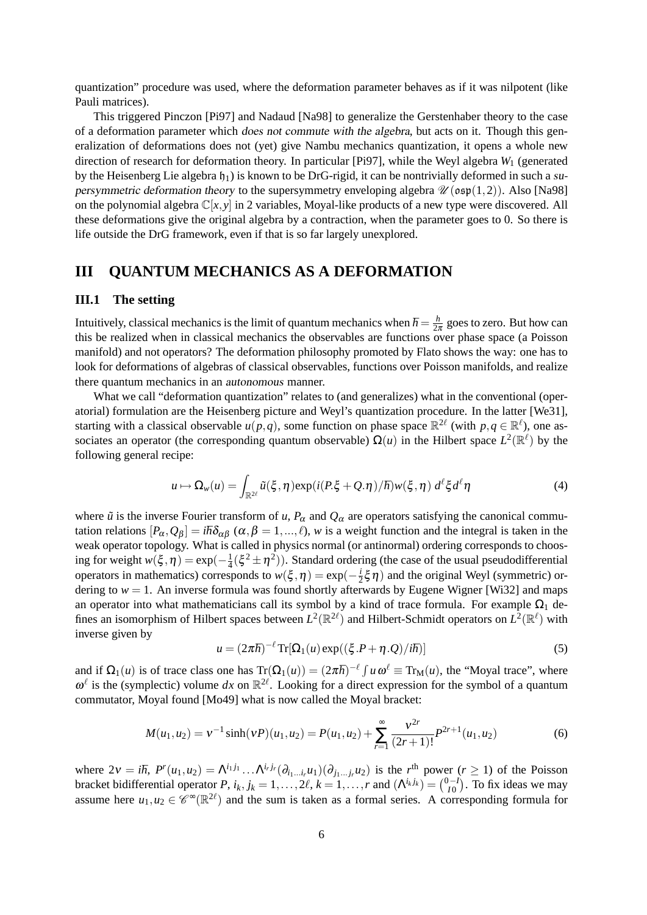quantization" procedure was used, where the deformation parameter behaves as if it was nilpotent (like Pauli matrices).

This triggered Pinczon [Pi97] and Nadaud [Na98] to generalize the Gerstenhaber theory to the case of a deformation parameter which does not commute with the algebra, but acts on it. Though this generalization of deformations does not (yet) give Nambu mechanics quantization, it opens a whole new direction of research for deformation theory. In particular [Pi97], while the Weyl algebra *W*<sup>1</sup> (generated by the Heisenberg Lie algebra  $h_1$ ) is known to be DrG-rigid, it can be nontrivially deformed in such a supersymmetric deformation theory to the supersymmetry enveloping algebra  $\mathcal{U}(\mathfrak{osp}(1,2))$ . Also [Na98] on the polynomial algebra  $\mathbb{C}[x, y]$  in 2 variables, Moyal-like products of a new type were discovered. All these deformations give the original algebra by a contraction, when the parameter goes to 0. So there is life outside the DrG framework, even if that is so far largely unexplored.

## **III QUANTUM MECHANICS AS A DEFORMATION**

### **III.1 The setting**

Intuitively, classical mechanics is the limit of quantum mechanics when  $\hbar = \frac{h}{24}$  $\frac{h}{2\pi}$  goes to zero. But how can this be realized when in classical mechanics the observables are functions over phase space (a Poisson manifold) and not operators? The deformation philosophy promoted by Flato shows the way: one has to look for deformations of algebras of classical observables, functions over Poisson manifolds, and realize there quantum mechanics in an autonomous manner.

What we call "deformation quantization" relates to (and generalizes) what in the conventional (operatorial) formulation are the Heisenberg picture and Weyl's quantization procedure. In the latter [We31], starting with a classical observable  $u(p,q)$ , some function on phase space  $\mathbb{R}^{2\ell}$  (with  $p,q \in \mathbb{R}^{\ell}$ ), one associates an operator (the corresponding quantum observable)  $\Omega(u)$  in the Hilbert space  $L^2(\mathbb{R}^{\ell})$  by the following general recipe:

$$
u \mapsto \Omega_w(u) = \int_{\mathbb{R}^{2\ell}} \tilde{u}(\xi, \eta) \exp(i(P.\xi + Q.\eta)/\hbar) w(\xi, \eta) d^\ell \xi d^\ell \eta \tag{4}
$$

where  $\tilde{u}$  is the inverse Fourier transform of *u*,  $P_\alpha$  and  $Q_\alpha$  are operators satisfying the canonical commutation relations  $[P_\alpha, Q_\beta] = i\hbar\delta_{\alpha\beta}$  ( $\alpha, \beta = 1, ..., \ell$ ), *w* is a weight function and the integral is taken in the weak operator topology. What is called in physics normal (or antinormal) ordering corresponds to choosing for weight  $w(\xi, \eta) = \exp(-\frac{1}{4})$  $\frac{1}{4}(\xi^2 \pm \eta^2)$ ). Standard ordering (the case of the usual pseudodifferential operators in mathematics) corresponds to  $w(\xi, \eta) = \exp(-\frac{i}{2})$  $\frac{i}{2}\xi \eta$ ) and the original Weyl (symmetric) ordering to  $w = 1$ . An inverse formula was found shortly afterwards by Eugene Wigner [Wi32] and maps an operator into what mathematicians call its symbol by a kind of trace formula. For example  $\Omega_1$  defines an isomorphism of Hilbert spaces between  $L^2(\mathbb{R}^{2\ell})$  and Hilbert-Schmidt operators on  $L^2(\mathbb{R}^{\ell})$  with inverse given by

$$
u = (2\pi\hbar)^{-\ell} \operatorname{Tr}[\Omega_1(u) \exp((\xi.P + \eta.Q)/i\hbar)] \tag{5}
$$

and if  $\Omega_1(u)$  is of trace class one has  $Tr(\Omega_1(u)) = (2\pi\hbar)^{-\ell} \int u \omega^{\ell} \equiv Tr_M(u)$ , the "Moyal trace", where  $\omega^{\ell}$  is the (symplectic) volume dx on  $\mathbb{R}^{2\ell}$ . Looking for a direct expression for the symbol of a quantum commutator, Moyal found [Mo49] what is now called the Moyal bracket:

$$
M(u_1, u_2) = v^{-1} \sinh(vP)(u_1, u_2) = P(u_1, u_2) + \sum_{r=1}^{\infty} \frac{v^{2r}}{(2r+1)!} P^{2r+1}(u_1, u_2)
$$
(6)

where  $2v = i\hbar$ ,  $P^{r}(u_1, u_2) = \Lambda^{i_1 j_1} \dots \Lambda^{i_r j_r} (\partial_{i_1 \dots i_r} u_1)(\partial_{j_1 \dots j_r} u_2)$  is the r<sup>th</sup> power  $(r \ge 1)$  of the Poisson bracket bidifferential operator *P*,  $i_k$ ,  $j_k = 1, \ldots, 2\ell$ ,  $k = 1, \ldots, r$  and  $(\Lambda^{i_k j_k}) = \binom{0 - l_k}{l_k}$  $\binom{1}{I0}$ . To fix ideas we may assume here  $u_1, u_2 \in \mathscr{C}^{\infty}(\mathbb{R}^{2\ell})$  and the sum is taken as a formal series. A corresponding formula for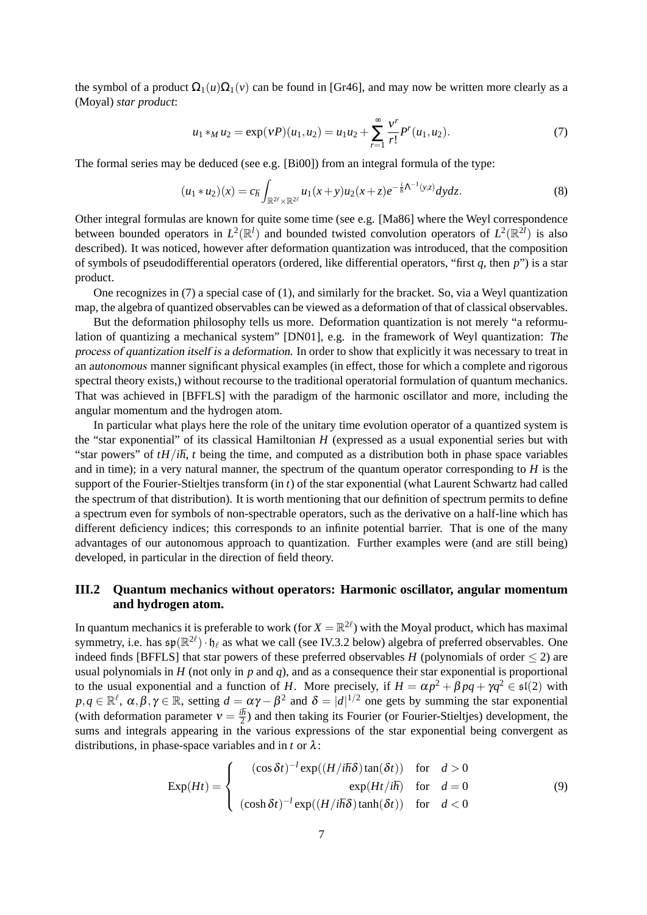the symbol of a product  $\Omega_1(u)\Omega_1(v)$  can be found in [Gr46], and may now be written more clearly as a (Moyal) *star product*:

$$
u_1 *_{M} u_2 = \exp(vP)(u_1, u_2) = u_1 u_2 + \sum_{r=1}^{\infty} \frac{v^r}{r!} P^r(u_1, u_2).
$$
 (7)

The formal series may be deduced (see e.g. [Bi00]) from an integral formula of the type:

$$
(u_1 * u_2)(x) = c_{\hbar} \int_{\mathbb{R}^{2\ell} \times \mathbb{R}^{2\ell}} u_1(x+y) u_2(x+z) e^{-\frac{i}{\hbar} \Lambda^{-1}(y,z)} dy dz.
$$
 (8)

Other integral formulas are known for quite some time (see e.g. [Ma86] where the Weyl correspondence between bounded operators in  $L^2(\mathbb{R}^l)$  and bounded twisted convolution operators of  $L^2(\mathbb{R}^{2l})$  is also described). It was noticed, however after deformation quantization was introduced, that the composition of symbols of pseudodifferential operators (ordered, like differential operators, "first *q*, then *p*") is a star product.

One recognizes in (7) a special case of (1), and similarly for the bracket. So, via a Weyl quantization map, the algebra of quantized observables can be viewed as a deformation of that of classical observables.

But the deformation philosophy tells us more. Deformation quantization is not merely "a reformulation of quantizing a mechanical system" [DN01], e.g. in the framework of Weyl quantization: The process of quantization itself is a deformation. In order to show that explicitly it was necessary to treat in an autonomous manner significant physical examples (in effect, those for which a complete and rigorous spectral theory exists,) without recourse to the traditional operatorial formulation of quantum mechanics. That was achieved in [BFFLS] with the paradigm of the harmonic oscillator and more, including the angular momentum and the hydrogen atom.

In particular what plays here the role of the unitary time evolution operator of a quantized system is the "star exponential" of its classical Hamiltonian *H* (expressed as a usual exponential series but with "star powers" of  $tH/i\hbar$ , *t* being the time, and computed as a distribution both in phase space variables and in time); in a very natural manner, the spectrum of the quantum operator corresponding to *H* is the support of the Fourier-Stieltjes transform (in *t*) of the star exponential (what Laurent Schwartz had called the spectrum of that distribution). It is worth mentioning that our definition of spectrum permits to define a spectrum even for symbols of non-spectrable operators, such as the derivative on a half-line which has different deficiency indices; this corresponds to an infinite potential barrier. That is one of the many advantages of our autonomous approach to quantization. Further examples were (and are still being) developed, in particular in the direction of field theory.

## **III.2 Quantum mechanics without operators: Harmonic oscillator, angular momentum and hydrogen atom.**

In quantum mechanics it is preferable to work (for  $X = \mathbb{R}^{2\ell}$ ) with the Moyal product, which has maximal symmetry, i.e. has  $\mathfrak{sp}(\mathbb{R}^{2\ell})\cdot \mathfrak{h}_\ell$  as what we call (see IV.3.2 below) algebra of preferred observables. One indeed finds [BFFLS] that star powers of these preferred observables *H* (polynomials of order  $\leq$  2) are usual polynomials in  $H$  (not only in  $p$  and  $q$ ), and as a consequence their star exponential is proportional to the usual exponential and a function of *H*. More precisely, if  $H = \alpha p^2 + \beta pq + \gamma q^2 \in \mathfrak{sl}(2)$  with  $p, q \in \mathbb{R}^{\ell}, \alpha, \beta, \gamma \in \mathbb{R}$ , setting  $d = \alpha \gamma - \beta^2$  and  $\delta = |d|^{1/2}$  one gets by summing the star exponential (with deformation parameter  $v = \frac{i\hbar}{2}$ ) and then taking its Fourier (or Fourier-Stieltjes) development, the sums and integrals appearing in the various expressions of the star exponential being convergent as distributions, in phase-space variables and in  $t$  or  $\lambda$ :

$$
\operatorname{Exp}(Ht) = \begin{cases}\n(\cos \delta t)^{-1} \exp((H/i\hbar \delta) \tan(\delta t)) & \text{for } d > 0 \\
\exp(Ht/i\hbar) & \text{for } d = 0 \\
(\cosh \delta t)^{-1} \exp((H/i\hbar \delta) \tanh(\delta t)) & \text{for } d < 0\n\end{cases}
$$
\n(9)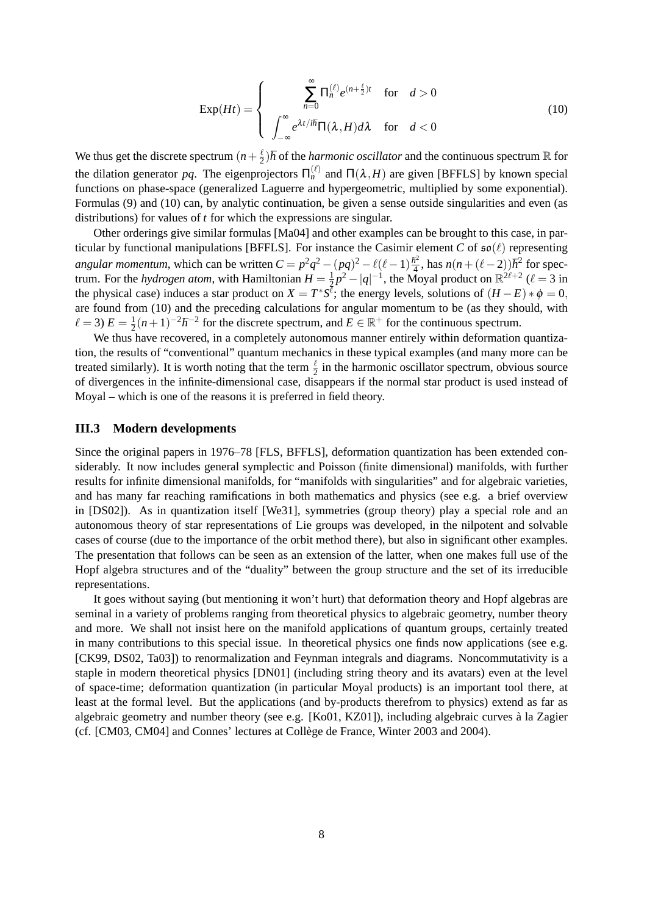$$
\operatorname{Exp}(Ht) = \begin{cases} \sum_{n=0}^{\infty} \Pi_n^{(\ell)} e^{(n+\frac{\ell}{2})t} & \text{for} \quad d > 0\\ \int_{-\infty}^{\infty} e^{\lambda t/i\hbar} \Pi(\lambda, H) d\lambda & \text{for} \quad d < 0 \end{cases} \tag{10}
$$

We thus get the discrete spectrum  $(n+\frac{\ell}{2})$  $\frac{\ell}{2}$ )*h* of the *harmonic oscillator* and the continuous spectrum R for the dilation generator pq. The eigenprojectors  $\Pi_n^{(\ell)}$  and  $\Pi(\lambda, H)$  are given [BFFLS] by known special functions on phase-space (generalized Laguerre and hypergeometric, multiplied by some exponential). Formulas (9) and (10) can, by analytic continuation, be given a sense outside singularities and even (as distributions) for values of *t* for which the expressions are singular.

Other orderings give similar formulas [Ma04] and other examples can be brought to this case, in particular by functional manipulations [BFFLS]. For instance the Casimir element *C* of  $\mathfrak{so}(\ell)$  representing *angular momentum*, which can be written  $C = p^2q^2 - (pq)^2 - \ell(\ell-1)\frac{\hbar^2}{4}$  $\frac{\hbar^2}{4}$ , has  $n(n + (\ell - 2))\hbar^2$  for spectrum. For the *hydrogen atom*, with Hamiltonian  $H = \frac{1}{2}$  $\frac{1}{2}p^2 - |q|^{-1}$ , the Moyal product on  $\mathbb{R}^{2\ell+2}$  ( $\ell = 3$  in the physical case) induces a star product on  $X = T^*S^{\bar{\ell}}$ ; the energy levels, solutions of  $(H - E) * \phi = 0$ , are found from (10) and the preceding calculations for angular momentum to be (as they should, with  $\ell = 3$ )  $E = \frac{1}{2}$  $\frac{1}{2}(n+1)^{-2}\hbar^{-2}$  for the discrete spectrum, and *E* ∈ R<sup>+</sup> for the continuous spectrum.

We thus have recovered, in a completely autonomous manner entirely within deformation quantization, the results of "conventional" quantum mechanics in these typical examples (and many more can be treated similarly). It is worth noting that the term  $\frac{\ell}{2}$  in the harmonic oscillator spectrum, obvious source of divergences in the infinite-dimensional case, disappears if the normal star product is used instead of Moyal – which is one of the reasons it is preferred in field theory.

#### **III.3 Modern developments**

Since the original papers in 1976–78 [FLS, BFFLS], deformation quantization has been extended considerably. It now includes general symplectic and Poisson (finite dimensional) manifolds, with further results for infinite dimensional manifolds, for "manifolds with singularities" and for algebraic varieties, and has many far reaching ramifications in both mathematics and physics (see e.g. a brief overview in [DS02]). As in quantization itself [We31], symmetries (group theory) play a special role and an autonomous theory of star representations of Lie groups was developed, in the nilpotent and solvable cases of course (due to the importance of the orbit method there), but also in significant other examples. The presentation that follows can be seen as an extension of the latter, when one makes full use of the Hopf algebra structures and of the "duality" between the group structure and the set of its irreducible representations.

It goes without saying (but mentioning it won't hurt) that deformation theory and Hopf algebras are seminal in a variety of problems ranging from theoretical physics to algebraic geometry, number theory and more. We shall not insist here on the manifold applications of quantum groups, certainly treated in many contributions to this special issue. In theoretical physics one finds now applications (see e.g. [CK99, DS02, Ta03]) to renormalization and Feynman integrals and diagrams. Noncommutativity is a staple in modern theoretical physics [DN01] (including string theory and its avatars) even at the level of space-time; deformation quantization (in particular Moyal products) is an important tool there, at least at the formal level. But the applications (and by-products therefrom to physics) extend as far as algebraic geometry and number theory (see e.g. [Ko01, KZ01]), including algebraic curves a la Zagier ` (cf. [CM03, CM04] and Connes' lectures at College de France, Winter 2003 and 2004). `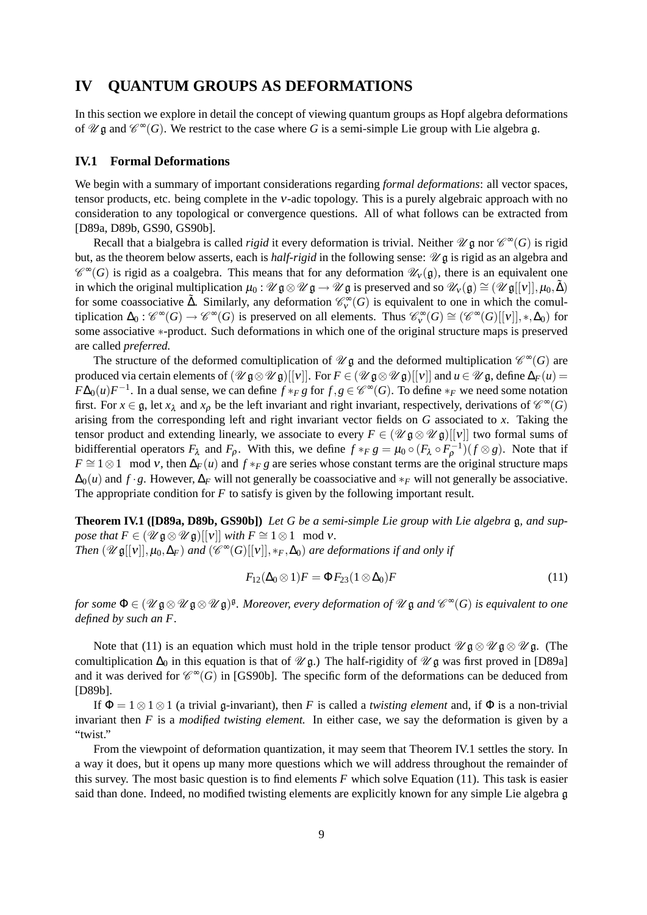## **IV QUANTUM GROUPS AS DEFORMATIONS**

In this section we explore in detail the concept of viewing quantum groups as Hopf algebra deformations of  $\mathscr{U} \mathfrak{g}$  and  $\mathscr{C}^{\infty}(G)$ . We restrict to the case where G is a semi-simple Lie group with Lie algebra  $\mathfrak{g}$ .

## **IV.1 Formal Deformations**

We begin with a summary of important considerations regarding *formal deformations*: all vector spaces, tensor products, etc. being complete in the ν-adic topology. This is a purely algebraic approach with no consideration to any topological or convergence questions. All of what follows can be extracted from [D89a, D89b, GS90, GS90b].

Recall that a bialgebra is called *rigid* it every deformation is trivial. Neither  $\mathscr{U} \mathfrak{g}$  nor  $\mathscr{C}^{\infty}(G)$  is rigid but, as the theorem below asserts, each is *half-rigid* in the following sense:  $\mathcal{U}$  g is rigid as an algebra and  $\mathscr{C}^{\infty}(G)$  is rigid as a coalgebra. This means that for any deformation  $\mathscr{U}_{v}(\mathfrak{g})$ , there is an equivalent one in which the original multiplication  $\mu_0$  :  $\mathcal{U} \mathfrak{g} \otimes \mathcal{U} \mathfrak{g} \to \mathcal{U} \mathfrak{g}$  is preserved and so  $\mathcal{U}_v(\mathfrak{g}) \cong (\mathcal{U} \mathfrak{g}[[v]], \mu_0, \tilde{\Delta})$ for some coassociative  $\tilde{\Delta}$ . Similarly, any deformation  $\mathcal{C}_{\nu}^{\infty}(G)$  is equivalent to one in which the comultiplication  $\Delta_0$ :  $\mathcal{C}^{\infty}(G) \to \mathcal{C}^{\infty}(G)$  is preserved on all elements. Thus  $\mathcal{C}^{\infty}_v(G) \cong (\mathcal{C}^{\infty}(G)[[v]], *, \Delta_0)$  for some associative ∗-product. Such deformations in which one of the original structure maps is preserved are called *preferred.*

The structure of the deformed comultiplication of  $\mathscr{U} \mathfrak{g}$  and the deformed multiplication  $\mathscr{C}^{\infty}(G)$  are produced via certain elements of  $(\mathcal{U} \mathfrak{g} \otimes \mathcal{U} \mathfrak{g})[[v]]$ . For  $F \in (\mathcal{U} \mathfrak{g} \otimes \mathcal{U} \mathfrak{g})[[v]]$  and  $u \in \mathcal{U} \mathfrak{g}$ , define  $\Delta_F(u) =$  $F\Delta_0(u)F^{-1}$ . In a dual sense, we can define  $f *_{F} g$  for  $f, g \in \mathscr{C}^{\infty}(G)$ . To define  $*_{F}$  we need some notation first. For  $x \in \mathfrak{g}$ , let  $x_{\lambda}$  and  $x_{\rho}$  be the left invariant and right invariant, respectively, derivations of  $\mathcal{C}^{\infty}(G)$ arising from the corresponding left and right invariant vector fields on *G* associated to *x*. Taking the tensor product and extending linearly, we associate to every  $F \in (\mathscr{U} \mathfrak{g} \otimes \mathscr{U} \mathfrak{g})[[v]]$  two formal sums of bidifferential operators  $F_\lambda$  and  $F_\rho$ . With this, we define  $f *_{F} g = \mu_0 \circ (F_\lambda \circ F_\rho^{-1})(f \otimes g)$ . Note that if  $F \cong 1 \otimes 1 \mod v$ , then  $\Delta_F(u)$  and  $f *_{F} g$  are series whose constant terms are the original structure maps  $\Delta_0(u)$  and  $f \cdot g$ . However,  $\Delta_F$  will not generally be coassociative and  $*_F$  will not generally be associative. The appropriate condition for *F* to satisfy is given by the following important result.

**Theorem IV.1 ([D89a, D89b, GS90b])** *Let G be a semi-simple Lie group with Lie algebra* g*, and suppose that*  $F \in (\mathcal{U} \mathfrak{g} \otimes \mathcal{U} \mathfrak{g})[[v]]$  *with*  $F \cong 1 \otimes 1 \mod v$ . *Then*  $(\mathscr{U} \mathfrak{g}[[v]], \mu_0, \Delta_F)$  *and*  $(\mathscr{C}^{\infty}(G)[[v]], *_{F}, \Delta_0)$  *are deformations if and only if* 

$$
F_{12}(\Delta_0 \otimes 1)F = \Phi F_{23}(1 \otimes \Delta_0)F \tag{11}
$$

*for some*  $\Phi \in (\mathcal{U} \mathfrak{g} \otimes \mathcal{U} \mathfrak{g} \otimes \mathcal{U} \mathfrak{g})^{\mathfrak{g}}$ . Moreover, every deformation of  $\mathcal{U} \mathfrak{g}$  and  $\mathscr{C}^{\infty}(G)$  is equivalent to one *defined by such an F.*

Note that (11) is an equation which must hold in the triple tensor product  $\mathscr{U} \mathfrak{g} \otimes \mathscr{U} \mathfrak{g}$ . (The comultiplication  $\Delta_0$  in this equation is that of  $\mathcal{U}$  g.) The half-rigidity of  $\mathcal{U}$  g was first proved in [D89a] and it was derived for  $\mathcal{C}^{\infty}(G)$  in [GS90b]. The specific form of the deformations can be deduced from [D89b].

If  $\Phi = 1 \otimes 1 \otimes 1$  (a trivial g-invariant), then *F* is called a *twisting element* and, if  $\Phi$  is a non-trivial invariant then *F* is a *modified twisting element.* In either case, we say the deformation is given by a "twist."

From the viewpoint of deformation quantization, it may seem that Theorem IV.1 settles the story. In a way it does, but it opens up many more questions which we will address throughout the remainder of this survey. The most basic question is to find elements *F* which solve Equation (11). This task is easier said than done. Indeed, no modified twisting elements are explicitly known for any simple Lie algebra g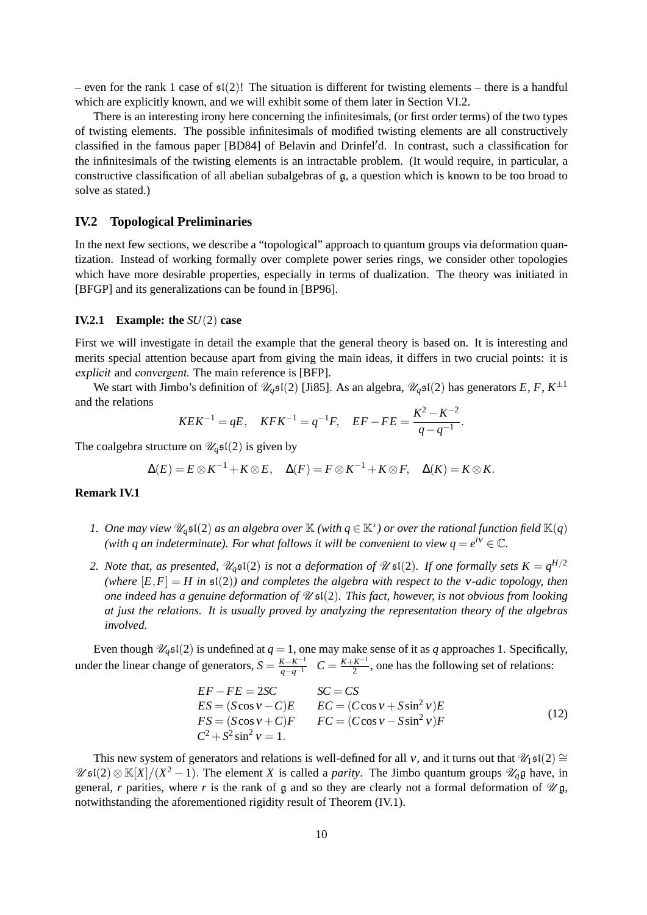– even for the rank 1 case of  $\mathfrak{sl}(2)!$  The situation is different for twisting elements – there is a handful which are explicitly known, and we will exhibit some of them later in Section VI.2.

There is an interesting irony here concerning the infinitesimals, (or first order terms) of the two types of twisting elements. The possible infinitesimals of modified twisting elements are all constructively classified in the famous paper [BD84] of Belavin and Drinfel'd. In contrast, such a classification for the infinitesimals of the twisting elements is an intractable problem. (It would require, in particular, a constructive classification of all abelian subalgebras of g, a question which is known to be too broad to solve as stated.)

## **IV.2 Topological Preliminaries**

In the next few sections, we describe a "topological" approach to quantum groups via deformation quantization. Instead of working formally over complete power series rings, we consider other topologies which have more desirable properties, especially in terms of dualization. The theory was initiated in [BFGP] and its generalizations can be found in [BP96].

### **IV.2.1 Example: the** *SU*(2) **case**

First we will investigate in detail the example that the general theory is based on. It is interesting and merits special attention because apart from giving the main ideas, it differs in two crucial points: it is explicit and convergent. The main reference is [BFP].

We start with Jimbo's definition of  $\mathcal{U}_q\mathfrak{sl}(2)$  [Ji85]. As an algebra,  $\mathcal{U}_q\mathfrak{sl}(2)$  has generators  $E, F, K^{\pm 1}$ and the relations

$$
KEK^{-1} = qE, \quad KFK^{-1} = q^{-1}F, \quad EF - FE = \frac{K^2 - K^{-2}}{q - q^{-1}}.
$$

The coalgebra structure on  $\mathcal{U}_q\mathfrak{sl}(2)$  is given by

$$
\Delta(E) = E \otimes K^{-1} + K \otimes E, \quad \Delta(F) = F \otimes K^{-1} + K \otimes F, \quad \Delta(K) = K \otimes K.
$$

#### **Remark IV.1**

- *1. One may view*  $\mathscr{U}_q\mathfrak{sl}(2)$  *as an algebra over*  $\mathbb K$  *(with*  $q \in \mathbb K^*$ *) or over the rational function field*  $\mathbb K(q)$ *(with q an indeterminate). For what follows it will be convenient to view*  $q = e^{i\mathcal{V}} \in \mathbb{C}$ *.*
- 2. Note that, as presented,  $\mathscr{U}_q\mathfrak{sl}(2)$  is not a deformation of  $\mathscr{U}\mathfrak{sl}(2)$ . If one formally sets  $K=q^{H/2}$ *(where*  $[E, F] = H$  *in*  $\mathfrak{sl}(2)$ *) and completes the algebra with respect to the v-adic topology, then one indeed has a genuine deformation of* U sl(2)*. This fact, however, is not obvious from looking at just the relations. It is usually proved by analyzing the representation theory of the algebras involved.*

Even though  $\mathcal{U}_q\mathfrak{sl}(2)$  is undefined at  $q = 1$ , one may make sense of it as *q* approaches 1. Specifically, under the linear change of generators,  $S = \frac{K - K^{-1}}{q - q^{-1}}$   $C = \frac{K + K^{-1}}{2}$  $\frac{K^{-1}}{2}$ , one has the following set of relations:

$$
EF - FE = 2SC
$$
  
\n
$$
ES = (S\cos v - C)E
$$
  
\n
$$
FS = (S\cos v + C)F
$$
  
\n
$$
FC = (C\cos v + S\sin^2 v)E
$$
  
\n
$$
FC = (C\cos v - S\sin^2 v)F
$$
  
\n
$$
C^2 + S^2 \sin^2 v = 1.
$$
\n(12)

This new system of generators and relations is well-defined for all v, and it turns out that  $\mathcal{U}_1\mathfrak{sl}(2) \cong$  $\mathscr{U}$  sl(2)  $\otimes$  K[X]/(X<sup>2</sup> – 1). The element *X* is called a *parity*. The Jimbo quantum groups  $\mathscr{U}_q$ g have, in general, *r* parities, where *r* is the rank of g and so they are clearly not a formal deformation of  $\mathcal{U}$ g, notwithstanding the aforementioned rigidity result of Theorem (IV.1).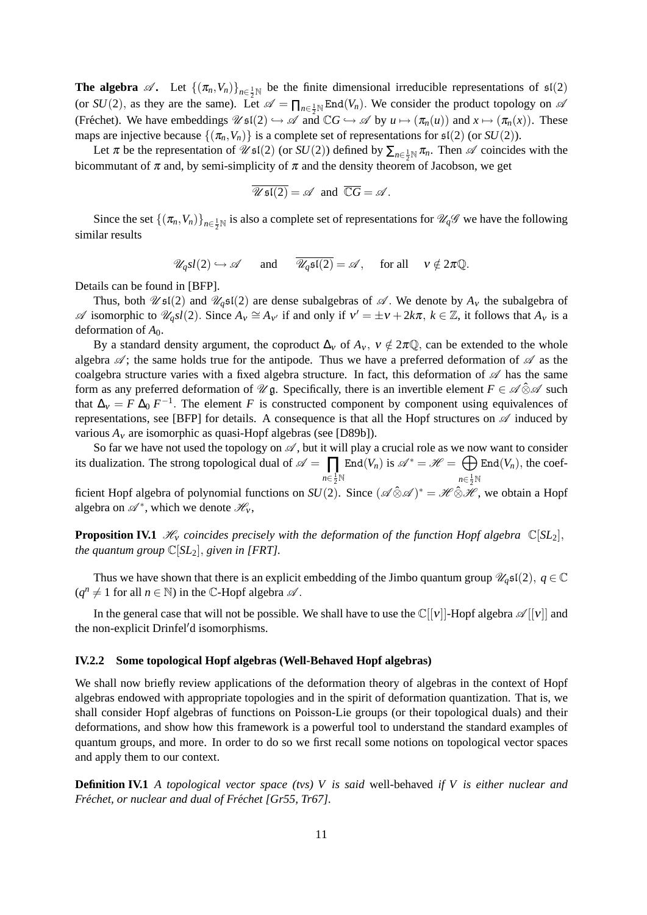**The algebra**  $\mathscr{A}$ . Let  $\{(\pi_n, V_n)\}_{n \in \frac{1}{2}N}$  be the finite dimensional irreducible representations of  $\mathfrak{sl}(2)$ (or  $SU(2)$ , as they are the same). Let  $\mathscr{A} = \prod_{n \in \frac{1}{2}N} \text{End}(V_n)$ . We consider the product topology on  $\mathscr{A}$ (Fréchet). We have embeddings  $\mathscr{U} \mathfrak{sl}(2) \hookrightarrow \mathscr{A}$  and  $\mathbb{C}G \hookrightarrow \mathscr{A}$  by  $u \mapsto (\pi_n(u))$  and  $x \mapsto (\pi_n(x))$ . These maps are injective because  $\{(\pi_n, V_n)\}$  is a complete set of representations for  $\mathfrak{sl}(2)$  (or  $SU(2)$ ).

Let  $\pi$  be the representation of  $\mathscr{U}$  sl(2) (or *SU*(2)) defined by  $\sum_{n \in \frac{1}{2}N} \pi_n$ . Then  $\mathscr{A}$  coincides with the bicommutant of  $\pi$  and, by semi-simplicity of  $\pi$  and the density theorem of Jacobson, we get

$$
\overline{\mathscr{U}\mathfrak{sl}(2)} = \mathscr{A} \text{ and } \overline{\mathbb{C}G} = \mathscr{A}.
$$

Since the set  $\{(\pi_n, V_n)\}_{n \in \frac{1}{2} \mathbb{N}}$  is also a complete set of representations for  $\mathcal{U}_q\mathcal{G}$  we have the following similar results

$$
\mathscr{U}_q sl(2) \hookrightarrow \mathscr{A} \quad \text{and} \quad \overline{\mathscr{U}_q \mathfrak{sl}(2)} = \mathscr{A}, \quad \text{for all} \quad v \notin 2\pi \mathbb{Q}.
$$

Details can be found in [BFP].

Thus, both  $\mathscr{U}$ sl(2) and  $\mathscr{U}_q$ sl(2) are dense subalgebras of  $\mathscr{A}$ . We denote by  $A_v$  the subalgebra of  $\mathscr A$  isomorphic to  $\mathscr U_qsl(2)$ . Since  $A_v \cong A_{v'}$  if and only if  $v' = \pm v + 2k\pi$ ,  $k \in \mathbb Z$ , it follows that  $A_v$  is a deformation of *A*0.

By a standard density argument, the coproduct  $\Delta_v$  of  $A_v$ ,  $v \notin 2\pi\mathbb{Q}$ , can be extended to the whole algebra  $\mathscr A$ ; the same holds true for the antipode. Thus we have a preferred deformation of  $\mathscr A$  as the coalgebra structure varies with a fixed algebra structure. In fact, this deformation of  $\mathscr A$  has the same form as any preferred deformation of  $\mathcal{U}$  g. Specifically, there is an invertible element  $F \in \mathcal{A} \hat{\otimes} \mathcal{A}$  such that  $\Delta_v = F \Delta_0 F^{-1}$ . The element *F* is constructed component by component using equivalences of representations, see [BFP] for details. A consequence is that all the Hopf structures on  $\mathscr A$  induced by various  $A<sub>v</sub>$  are isomorphic as quasi-Hopf algebras (see [D89b]).

So far we have not used the topology on  $\mathscr A$ , but it will play a crucial role as we now want to consider its dualization. The strong topological dual of  $\mathscr{A} = \prod$  $n \in \frac{1}{2} \mathbb{N}$ End $(V_n)$  is  $\mathscr{A}^* = \mathscr{H} = \bigoplus$  $n \in \frac{1}{2} \mathbb{N}$  $End(V_n)$ , the coef-

ficient Hopf algebra of polynomial functions on  $SU(2)$ . Since  $(\mathscr{A} \hat{\otimes} \mathscr{A})^* = \mathscr{H} \hat{\otimes} \mathscr{H}$ , we obtain a Hopf algebra on  $\mathscr{A}^*$ , which we denote  $\mathscr{H}_v$ ,

**Proposition IV.1**  $\mathcal{H}_v$  *coincides precisely with the deformation of the function Hopf algebra*  $\mathbb{C}[SL_2]$ , *the quantum group* C[*SL*2], *given in [FRT].*

Thus we have shown that there is an explicit embedding of the Jimbo quantum group  $\mathcal{U}_q\mathfrak{sl}(2)$ ,  $q \in \mathbb{C}$  $(q^n \neq 1$  for all  $n \in \mathbb{N}$ ) in the C-Hopf algebra  $\mathcal{A}$ .

In the general case that will not be possible. We shall have to use the  $\mathbb{C}[[v]]$ -Hopf algebra  $\mathscr{A}[[v]]$  and the non-explicit Drinfel'd isomorphisms.

#### **IV.2.2 Some topological Hopf algebras (Well-Behaved Hopf algebras)**

We shall now briefly review applications of the deformation theory of algebras in the context of Hopf algebras endowed with appropriate topologies and in the spirit of deformation quantization. That is, we shall consider Hopf algebras of functions on Poisson-Lie groups (or their topological duals) and their deformations, and show how this framework is a powerful tool to understand the standard examples of quantum groups, and more. In order to do so we first recall some notions on topological vector spaces and apply them to our context.

**Definition IV.1** *A topological vector space (tvs) V is said* well-behaved *if V is either nuclear and Fréchet, or nuclear and dual of Fréchet [Gr55, Tr67].*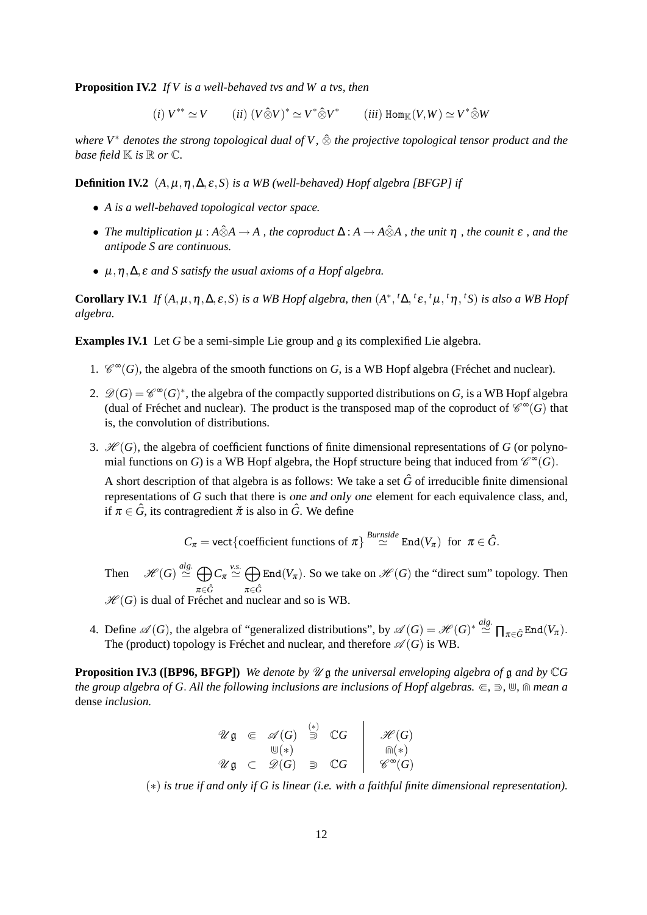**Proposition IV.2** *If V is a well-behaved tvs and W a tvs, then*

 $(i) V^{**} \simeq V$   $(ii) (V \hat{\otimes} V)^* \simeq V^* \hat{\otimes} V^*$   $(iii) Hom_{\mathbb{K}}(V, W) \simeq V^* \hat{\otimes} W$ 

*where V*<sup>∗</sup> *denotes the strong topological dual of V ,* ⊗ˆ *the projective topological tensor product and the base field*  $\mathbb K$  *is*  $\mathbb R$  *or*  $\mathbb C$ *.* 

**Definition IV.2**  $(A, \mu, \eta, \Delta, \varepsilon, S)$  *is a WB (well-behaved) Hopf algebra [BFGP] if* 

- *A is a well-behaved topological vector space.*
- *The multiplication*  $\mu : A \hat{\otimes} A \to A$ , the coproduct  $\Delta : A \to A \hat{\otimes} A$ , the unit  $\eta$ , the counit  $\varepsilon$ , and the *antipode S are continuous.*
- µ,η,∆, ε *and S satisfy the usual axioms of a Hopf algebra.*

**Corollary IV.1** *If*  $(A, \mu, \eta, \Delta, \varepsilon, S)$  *is a WB Hopf algebra, then*  $(A^*, {^t\Delta}, {^t\varepsilon}, {^t\mu}, {^t\eta}, {^tS})$  *is also a WB Hopf algebra.*

**Examples IV.1** Let *G* be a semi-simple Lie group and *g* its complexified Lie algebra.

- 1.  $\mathcal{C}^{\infty}(G)$ , the algebra of the smooth functions on *G*, is a WB Hopf algebra (Fréchet and nuclear).
- 2.  $\mathscr{D}(G) = \mathscr{C}^{\infty}(G)^*$ , the algebra of the compactly supported distributions on *G*, is a WB Hopf algebra (dual of Fréchet and nuclear). The product is the transposed map of the coproduct of  $\mathscr{C}^{\infty}(G)$  that is, the convolution of distributions.
- 3.  $\mathcal{H}(G)$ , the algebra of coefficient functions of finite dimensional representations of *G* (or polynomial functions on *G*) is a WB Hopf algebra, the Hopf structure being that induced from  $\mathcal{C}^{\infty}(G)$ .

A short description of that algebra is as follows: We take a set  $\hat{G}$  of irreducible finite dimensional representations of *G* such that there is one and only one element for each equivalence class, and, if  $\pi \in \hat{G}$ , its contragredient  $\check{\pi}$  is also in  $\hat{G}$ . We define

$$
C_{\pi} = \text{vect}\{\text{coefficient functions of } \pi\} \stackrel{Burnside}{\simeq} \text{End}(V_{\pi}) \text{ for } \pi \in \hat{G}.
$$

Then  $\mathscr{H}(G) \stackrel{alg.}{\simeq} \bigoplus$ π∈*G*ˆ  $C_{\pi} \stackrel{\nu.s.}{\simeq} \bigoplus$ π∈*G*ˆ End( $V_{\pi}$ ). So we take on  $\mathcal{H}(G)$  the "direct sum" topology. Then  $\mathcal{H}(G)$  is dual of Fréchet and nuclear and so is WB.

4. Define  $\mathscr{A}(G)$ , the algebra of "generalized distributions", by  $\mathscr{A}(G) = \mathscr{H}(G)^* \stackrel{alg.}{\simeq} \prod_{\pi \in \hat{G}} \text{End}(V_{\pi})$ . The (product) topology is Fréchet and nuclear, and therefore  $\mathscr{A}(G)$  is WB.

**Proposition IV.3 ([BP96, BFGP])** *We denote by*  $\mathcal{U}$  g *the universal enveloping algebra of* g *and by*  $\mathbb{C}G$ *the group algebra of G. All the following inclusions are inclusions of Hopf algebras.*  $\in$ ,  $\supseteq$ ,  $\mathbb{U}$ ,  $\cap$  mean a dense *inclusion.*

$$
\begin{array}{ccl}\n\mathscr{U}\mathfrak{g} & \in & \mathscr{A}(G) \stackrel{(*)}{\supseteq} \mathbb{C}G \\
\qquad \qquad \mathbb{U}(*) \\
\mathscr{U}\mathfrak{g} & \subset & \mathscr{D}(G) \supseteq \mathbb{C}G\n\end{array}\n\quad\n\begin{array}{c|c}\n\mathscr{H}(G) \\
\mathscr{H}(G) \\
\qquad \qquad \mathbb{G}^*(G) \\
\qquad \qquad \mathscr{G}^{\infty}(G)\n\end{array}
$$

(∗) *is true if and only if G is linear (i.e. with a faithful finite dimensional representation).*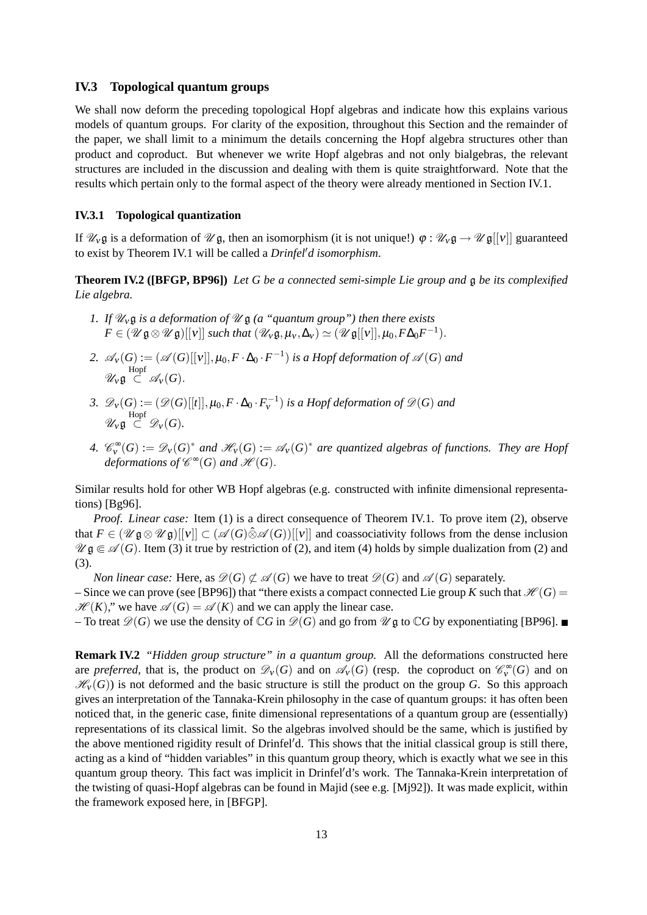## **IV.3 Topological quantum groups**

We shall now deform the preceding topological Hopf algebras and indicate how this explains various models of quantum groups. For clarity of the exposition, throughout this Section and the remainder of the paper, we shall limit to a minimum the details concerning the Hopf algebra structures other than product and coproduct. But whenever we write Hopf algebras and not only bialgebras, the relevant structures are included in the discussion and dealing with them is quite straightforward. Note that the results which pertain only to the formal aspect of the theory were already mentioned in Section IV.1.

## **IV.3.1 Topological quantization**

If  $\mathcal{U}_V \mathfrak{g}$  is a deformation of  $\mathcal{U} \mathfrak{g}$ , then an isomorphism (it is not unique!)  $\varphi : \mathcal{U}_V \mathfrak{g} \rightarrow \mathcal{U} \mathfrak{g}[[V]]$  guaranteed to exist by Theorem IV.1 will be called a *Drinfel'd isomorphism*.

**Theorem IV.2 ([BFGP, BP96])** *Let G be a connected semi-simple Lie group and* g *be its complexified Lie algebra.*

- *1. If*  $\mathcal{U}_v$ **g** *is a deformation of*  $\mathcal{U}$ **g** *(a "quantum group") then there exists*  $F \in (\mathscr{U} \mathfrak{g} \otimes \mathscr{U} \mathfrak{g})[[v]]$  *such that*  $(\mathscr{U}_v \mathfrak{g}, \mu_v, \Delta_v) \simeq (\mathscr{U} \mathfrak{g}[[v]], \mu_0, F\Delta_0 F^{-1}).$
- 2.  $\mathscr{A}_{\mathsf{V}}(G) := (\mathscr{A}(G)[[{\mathsf{V}}]], \mu_0, F \cdot \Delta_0 \cdot F^{-1})$  *is a Hopf deformation of*  $\mathscr{A}(G)$  *and*  $\mathscr{U}_{\mathsf{V}}\mathfrak{g} \stackrel{\mathrm{Hopf}}{\subset} \mathscr{A}_{\mathsf{V}}(G).$
- 3.  $\mathscr{D}_V(G) := (\mathscr{D}(G)[[t]], \mu_0, F \cdot \Delta_0 \cdot F_V^{-1})$  *is a Hopf deformation of*  $\mathscr{D}(G)$  *and*  $\mathscr{U}_{\mathsf{V}}\mathfrak{g} \stackrel{\mathrm{Hopf}}{\subset} \mathscr{D}_{\mathsf{V}}(G).$
- *4.*  $\mathcal{C}_{\mathbf{v}}^{\infty}(G) := \mathcal{D}_{\mathbf{v}}(G)^{*}$  and  $\mathcal{H}_{\mathbf{v}}(G) := \mathcal{A}_{\mathbf{v}}(G)^{*}$  are quantized algebras of functions. They are Hopf *deformations of*  $\mathscr{C}^{\infty}(G)$  *and*  $\mathscr{H}(G)$ *.*

Similar results hold for other WB Hopf algebras (e.g. constructed with infinite dimensional representations) [Bg96].

*Proof*. *Linear case:* Item (1) is a direct consequence of Theorem IV.1. To prove item (2), observe that  $F \in (\mathscr{U} \mathfrak{g} \otimes \mathscr{U} \mathfrak{g})[[v]] \subset (\mathscr{A}(G) \hat{\otimes} \mathscr{A}(G))[[v]]$  and coassociativity follows from the dense inclusion  $\mathscr{U}$  g  $\in \mathscr{A}(G)$ . Item (3) it true by restriction of (2), and item (4) holds by simple dualization from (2) and (3).

*Non linear case:* Here, as  $\mathcal{D}(G) \not\subset \mathcal{A}(G)$  we have to treat  $\mathcal{D}(G)$  and  $\mathcal{A}(G)$  separately. – Since we can prove (see [BP96]) that "there exists a compact connected Lie group *K* such that  $\mathcal{H}(G)$  =  $\mathcal{H}(K)$ ," we have  $\mathcal{A}(G) = \mathcal{A}(K)$  and we can apply the linear case.

– To treat  $\mathscr{D}(G)$  we use the density of  $\mathbb{C}G$  in  $\mathscr{D}(G)$  and go from  $\mathscr{U}$  g to  $\mathbb{C}G$  by exponentiating [BP96].

**Remark IV.2** *"Hidden group structure" in a quantum group.* All the deformations constructed here are *preferred*, that is, the product on  $\mathcal{D}_V(G)$  and on  $\mathcal{A}_V(G)$  (resp. the coproduct on  $\mathcal{C}_V^{\infty}(G)$  and on  $\mathcal{H}_{V}(G)$ ) is not deformed and the basic structure is still the product on the group *G*. So this approach gives an interpretation of the Tannaka-Krein philosophy in the case of quantum groups: it has often been noticed that, in the generic case, finite dimensional representations of a quantum group are (essentially) representations of its classical limit. So the algebras involved should be the same, which is justified by the above mentioned rigidity result of Drinfel'd. This shows that the initial classical group is still there, acting as a kind of "hidden variables" in this quantum group theory, which is exactly what we see in this quantum group theory. This fact was implicit in Drinfel'd's work. The Tannaka-Krein interpretation of the twisting of quasi-Hopf algebras can be found in Majid (see e.g. [Mj92]). It was made explicit, within the framework exposed here, in [BFGP].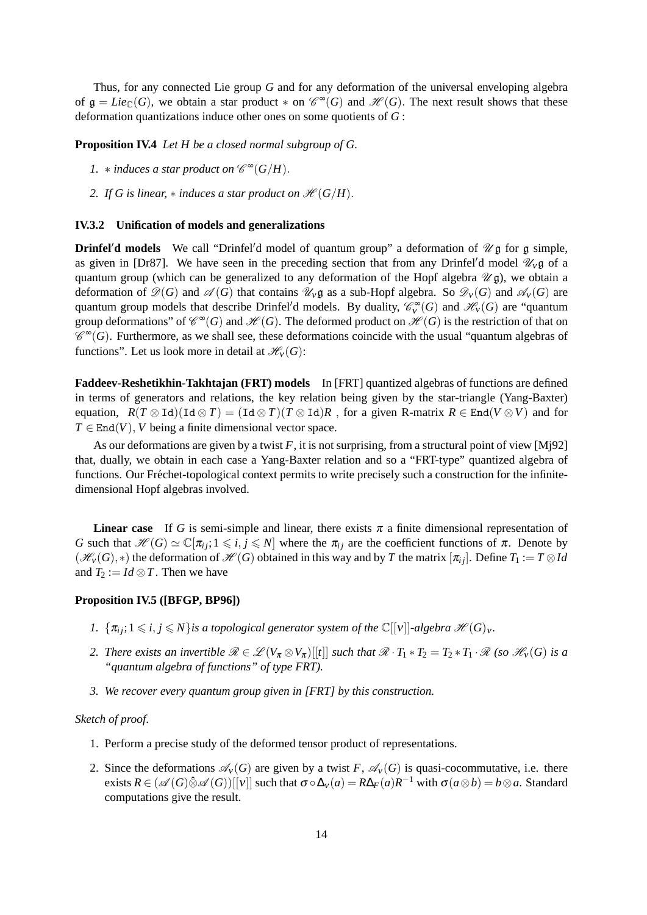Thus, for any connected Lie group *G* and for any deformation of the universal enveloping algebra of  $\mathfrak{g} = Lie_{\mathbb{C}}(G)$ , we obtain a star product  $*$  on  $\mathcal{C}^{\infty}(G)$  and  $\mathcal{H}(G)$ . The next result shows that these deformation quantizations induce other ones on some quotients of *G* :

**Proposition IV.4** *Let H be a closed normal subgroup of G.*

- *1.*  $*$  *induces a star product on*  $\mathscr{C}^{\infty}(G/H)$ *.*
- *2. If G is linear,*  $*$  *induces a star product on*  $\mathcal{H}(G/H)$ *.*

#### **IV.3.2 Unification of models and generalizations**

**Drinfel'd models** We call "Drinfel'd model of quantum group" a deformation of  $\mathcal{U}$ g for g simple, as given in [Dr87]. We have seen in the preceding section that from any Drinfel'd model  $\mathcal{U}_V \mathfrak{g}$  of a quantum group (which can be generalized to any deformation of the Hopf algebra  $\mathcal{U}$ g), we obtain a deformation of  $\mathcal{D}(G)$  and  $\mathcal{A}(G)$  that contains  $\mathcal{U}_V \mathfrak{g}$  as a sub-Hopf algebra. So  $\mathcal{D}_V(G)$  and  $\mathcal{A}_V(G)$  are quantum group models that describe Drinfel'd models. By duality,  $\mathcal{C}_{\mathcal{V}}^{\infty}(G)$  and  $\mathcal{H}_{\mathcal{V}}(G)$  are "quantum group deformations" of  $\mathscr{C}^{\infty}(G)$  and  $\mathscr{H}(G)$ . The deformed product on  $\mathscr{H}(G)$  is the restriction of that on  $\mathscr{C}^\infty$ (*G*). Furthermore, as we shall see, these deformations coincide with the usual "quantum algebras of functions". Let us look more in detail at  $\mathcal{H}_{V}(G)$ :

**Faddeev-Reshetikhin-Takhtajan (FRT) models** In [FRT] quantized algebras of functions are defined in terms of generators and relations, the key relation being given by the star-triangle (Yang-Baxter) equation,  $R(T \otimes \text{Id})(\text{Id} \otimes T) = (\text{Id} \otimes T)(T \otimes \text{Id})R$ , for a given R-matrix  $R \in \text{End}(V \otimes V)$  and for  $T \in End(V)$ , *V* being a finite dimensional vector space.

As our deformations are given by a twist  $F$ , it is not surprising, from a structural point of view [Mj92] that, dually, we obtain in each case a Yang-Baxter relation and so a "FRT-type" quantized algebra of functions. Our Fréchet-topological context permits to write precisely such a construction for the infinitedimensional Hopf algebras involved.

**Linear case** If *G* is semi-simple and linear, there exists  $\pi$  a finite dimensional representation of *G* such that  $\mathcal{H}(G) \simeq \mathbb{C}[\pi_{ij};1 \leq i,j \leq N]$  where the  $\pi_{ij}$  are the coefficient functions of  $\pi$ . Denote by  $(\mathcal{H}_V(G), *)$  the deformation of  $\mathcal{H}(G)$  obtained in this way and by *T* the matrix  $[\pi_{ij}]$ . Define  $T_1 := T \otimes Id$ and  $T_2 := Id \otimes T$ . Then we have

#### **Proposition IV.5 ([BFGP, BP96])**

- *1.*  $\{\pi_i; 1 \leq i, j \leq N\}$  *is a topological generator system of the*  $\mathbb{C}[[v]]$ *-algebra*  $\mathcal{H}(G)_v$ *.*
- *2. There exists an invertible*  $\mathcal{R} \in \mathcal{L}(V_{\pi} \otimes V_{\pi})[[t]]$  *such that*  $\mathcal{R} \cdot T_1 * T_2 = T_2 * T_1 \cdot \mathcal{R}$  *(so*  $\mathcal{H}_V(G)$  *is a "quantum algebra of functions" of type FRT).*
- *3. We recover every quantum group given in [FRT] by this construction.*

## *Sketch of proof*.

- 1. Perform a precise study of the deformed tensor product of representations.
- 2. Since the deformations  $\mathscr{A}_{V}(G)$  are given by a twist *F*,  $\mathscr{A}_{V}(G)$  is quasi-cocommutative, i.e. there exists  $R \in (\mathscr{A}(G) \hat{\otimes} \mathscr{A}(G))[[\mathbf{v}]]$  such that  $\sigma \circ \Delta_{\mathbf{v}}(a) = R\Delta_{F}(a)R^{-1}$  with  $\sigma(a \otimes b) = b \otimes a$ . Standard computations give the result.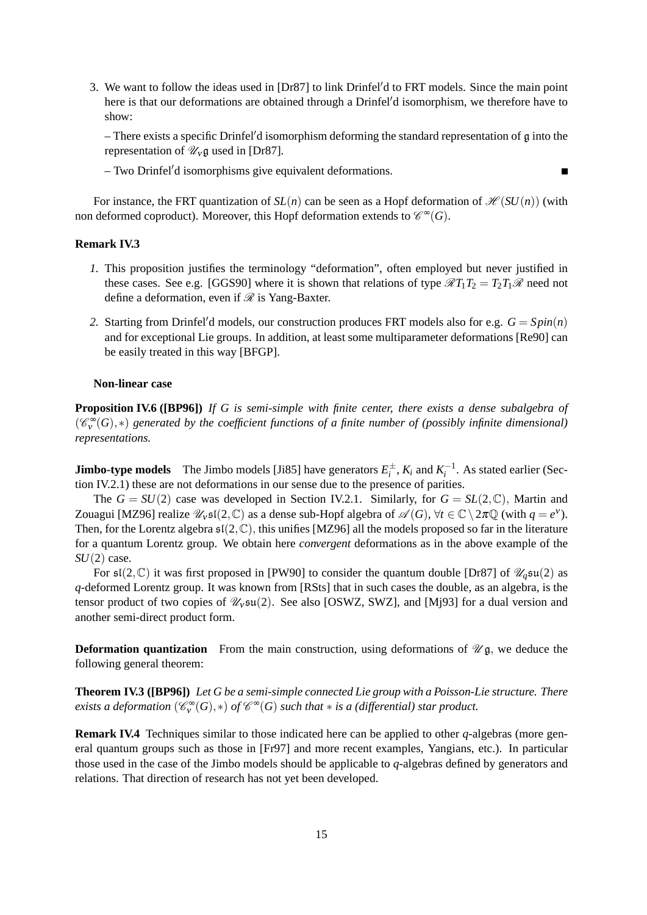3. We want to follow the ideas used in  $[Dr87]$  to link Drinfel'd to FRT models. Since the main point here is that our deformations are obtained through a Drinfel'd isomorphism, we therefore have to show:

– There exists a specific Drinfel'd isomorphism deforming the standard representation of  $g$  into the representation of  $\mathcal{U}_v$  g used in [Dr87].

 $\blacksquare$ 

 $-$  Two Drinfel'd isomorphisms give equivalent deformations.

For instance, the FRT quantization of  $SL(n)$  can be seen as a Hopf deformation of  $\mathcal{H}(SU(n))$  (with non deformed coproduct). Moreover, this Hopf deformation extends to  $\mathscr{C}^{\infty}(G)$ .

#### **Remark IV.3**

- *1.* This proposition justifies the terminology "deformation", often employed but never justified in these cases. See e.g. [GGS90] where it is shown that relations of type  $\mathcal{R}T_1T_2 = T_2T_1\mathcal{R}$  need not define a deformation, even if  $\mathcal R$  is Yang-Baxter.
- 2. Starting from Drinfel'd models, our construction produces FRT models also for e.g.  $G = Spin(n)$ and for exceptional Lie groups. In addition, at least some multiparameter deformations [Re90] can be easily treated in this way [BFGP].

#### **Non-linear case**

**Proposition IV.6 ([BP96])** *If G is semi-simple with finite center, there exists a dense subalgebra of* ( $\mathcal{C}_{\mathbf{v}}^{\infty}(G)$ , \*) generated by the coefficient functions of a finite number of (possibly infinite dimensional) *representations.*

**Jimbo-type models** The Jimbo models [Ji85] have generators  $E_i^{\pm}$ ,  $K_i$  and  $K_i^{-1}$ . As stated earlier (Section IV.2.1) these are not deformations in our sense due to the presence of parities.

The  $G = SU(2)$  case was developed in Section IV.2.1. Similarly, for  $G = SL(2,\mathbb{C})$ , Martin and Zouagui [MZ96] realize  $\mathcal{U}_\mathcal{V}$  sl(2, C) as a dense sub-Hopf algebra of  $\mathcal{A}(G)$ ,  $\forall t \in \mathbb{C} \setminus 2\pi \mathbb{Q}$  (with  $q = e^{\nu}$ ). Then, for the Lorentz algebra  $\mathfrak{sl}(2,\mathbb{C})$ , this unifies [MZ96] all the models proposed so far in the literature for a quantum Lorentz group. We obtain here *convergent* deformations as in the above example of the *SU*(2) case.

For  $\mathfrak{sl}(2,\mathbb{C})$  it was first proposed in [PW90] to consider the quantum double [Dr87] of  $\mathcal{U}_q\mathfrak{su}(2)$  as *q*-deformed Lorentz group. It was known from [RSts] that in such cases the double, as an algebra, is the tensor product of two copies of  $\mathcal{U}_v$  su(2). See also [OSWZ, SWZ], and [Mj93] for a dual version and another semi-direct product form.

**Deformation quantization** From the main construction, using deformations of  $\mathcal{U}$ g, we deduce the following general theorem:

**Theorem IV.3 ([BP96])** *Let G be a semi-simple connected Lie group with a Poisson-Lie structure. There*  $e$ xists a deformation  $(\mathscr{C}_v^\infty(G),*)$  of  $\mathscr{C}^\infty(G)$  such that  $*$  is a (differential) star product.

**Remark IV.4** Techniques similar to those indicated here can be applied to other *q*-algebras (more general quantum groups such as those in [Fr97] and more recent examples, Yangians, etc.). In particular those used in the case of the Jimbo models should be applicable to *q*-algebras defined by generators and relations. That direction of research has not yet been developed.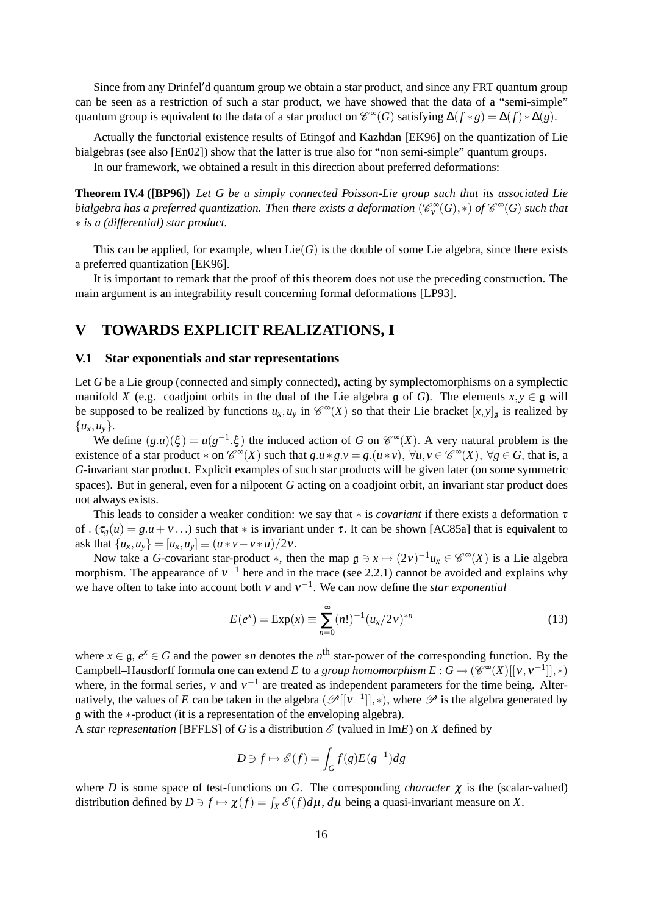Since from any Drinfel'd quantum group we obtain a star product, and since any FRT quantum group can be seen as a restriction of such a star product, we have showed that the data of a "semi-simple" quantum group is equivalent to the data of a star product on  $\mathcal{C}^{\infty}(G)$  satisfying  $\Delta(f*g) = \Delta(f)*\Delta(g)$ .

Actually the functorial existence results of Etingof and Kazhdan [EK96] on the quantization of Lie bialgebras (see also [En02]) show that the latter is true also for "non semi-simple" quantum groups.

In our framework, we obtained a result in this direction about preferred deformations:

**Theorem IV.4 ([BP96])** *Let G be a simply connected Poisson-Lie group such that its associated Lie*  $b$ ialgebra has a preferred quantization. Then there exists a deformation  $(\mathscr{C}^\infty_\mathsf{v}(G),*)$  of  $\mathscr{C}^\infty(G)$  such that ∗ *is a (differential) star product.*

This can be applied, for example, when  $Lie(G)$  is the double of some Lie algebra, since there exists a preferred quantization [EK96].

It is important to remark that the proof of this theorem does not use the preceding construction. The main argument is an integrability result concerning formal deformations [LP93].

## **V TOWARDS EXPLICIT REALIZATIONS, I**

## **V.1 Star exponentials and star representations**

Let *G* be a Lie group (connected and simply connected), acting by symplectomorphisms on a symplectic manifold *X* (e.g. coadjoint orbits in the dual of the Lie algebra g of *G*). The elements  $x, y \in \mathfrak{g}$  will be supposed to be realized by functions  $u_x, u_y$  in  $\mathcal{C}^{\infty}(X)$  so that their Lie bracket  $[x, y]_{\mathfrak{g}}$  is realized by {*ux*,*uy*}.

We define  $(g.u)(\xi) = u(g^{-1}.\xi)$  the induced action of *G* on  $\mathscr{C}^{\infty}(X)$ . A very natural problem is the existence of a star product  $*$  on  $\mathcal{C}^{\infty}(X)$  such that  $g.u * g.v = g.(u * v), \forall u, v \in \mathcal{C}^{\infty}(X), \forall g \in G$ , that is, a *G*-invariant star product. Explicit examples of such star products will be given later (on some symmetric spaces). But in general, even for a nilpotent *G* acting on a coadjoint orbit, an invariant star product does not always exists.

This leads to consider a weaker condition: we say that  $*$  is *covariant* if there exists a deformation  $\tau$ of . ( $\tau_g(u) = g(u+v...)$  such that \* is invariant under  $\tau$ . It can be shown [AC85a] that is equivalent to ask that  $\{u_x, u_y\} = [u_x, u_y] \equiv (u * v - v * u)/2v$ .

Now take a *G*-covariant star-product  $*$ , then the map  $\mathfrak{g} \ni x \mapsto (2v)^{-1}u_x \in \mathscr{C}^{\infty}(X)$  is a Lie algebra morphism. The appearance of  $v^{-1}$  here and in the trace (see 2.2.1) cannot be avoided and explains why we have often to take into account both  $v$  and  $v^{-1}$ . We can now define the *star exponential* 

$$
E(e^{x}) = \text{Exp}(x) \equiv \sum_{n=0}^{\infty} (n!)^{-1} (u_x/2v)^{*n}
$$
 (13)

where  $x \in \mathfrak{g}$ ,  $e^x \in G$  and the power \**n* denotes the *n*<sup>th</sup> star-power of the corresponding function. By the Campbell–Hausdorff formula one can extend *E* to a *group homomorphism E* :  $G \to (\mathscr{C}^{\infty}(X)[[v, v^{-1}]], *)$ where, in the formal series,  $v$  and  $v^{-1}$  are treated as independent parameters for the time being. Alternatively, the values of *E* can be taken in the algebra  $(\mathscr{P}[[v^{-1}]], *)$ , where  $\mathscr{P}$  is the algebra generated by g with the ∗-product (it is a representation of the enveloping algebra).

A *star representation* [BFFLS] of *G* is a distribution  $\mathscr E$  (valued in Im*E*) on *X* defined by

$$
D \ni f \mapsto \mathscr{E}(f) = \int_G f(g)E(g^{-1})dg
$$

where *D* is some space of test-functions on *G*. The corresponding *character*  $\chi$  is the (scalar-valued) distribution defined by  $D \ni f \mapsto \chi(f) = \int_X \mathscr{E}(f) d\mu$ ,  $d\mu$  being a quasi-invariant measure on *X*.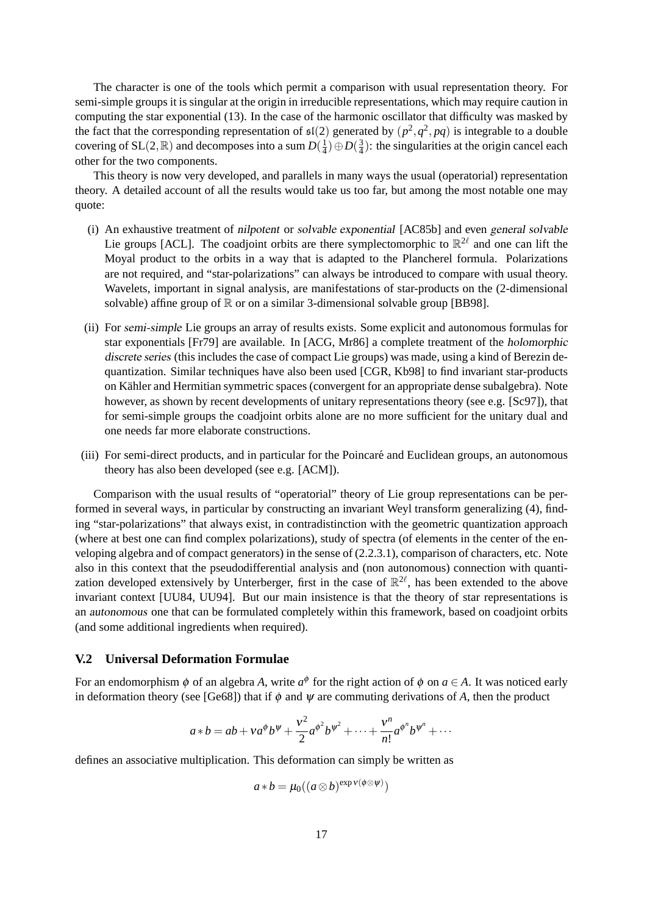The character is one of the tools which permit a comparison with usual representation theory. For semi-simple groups it is singular at the origin in irreducible representations, which may require caution in computing the star exponential (13). In the case of the harmonic oscillator that difficulty was masked by the fact that the corresponding representation of  $\mathfrak{sl}(2)$  generated by  $(p^2, q^2, pq)$  is integrable to a double covering of SL $(2,\mathbb{R})$  and decomposes into a sum  $D(\frac{1}{4})$  $(\frac{1}{4}) \oplus D(\frac{3}{4})$  $\frac{3}{4}$ ): the singularities at the origin cancel each other for the two components.

This theory is now very developed, and parallels in many ways the usual (operatorial) representation theory. A detailed account of all the results would take us too far, but among the most notable one may quote:

- (i) An exhaustive treatment of nilpotent or solvable exponential [AC85b] and even general solvable Lie groups [ACL]. The coadjoint orbits are there symplectomorphic to  $\mathbb{R}^{2\ell}$  and one can lift the Moyal product to the orbits in a way that is adapted to the Plancherel formula. Polarizations are not required, and "star-polarizations" can always be introduced to compare with usual theory. Wavelets, important in signal analysis, are manifestations of star-products on the (2-dimensional solvable) affine group of  $\mathbb R$  or on a similar 3-dimensional solvable group [BB98].
- (ii) For semi-simple Lie groups an array of results exists. Some explicit and autonomous formulas for star exponentials [Fr79] are available. In [ACG, Mr86] a complete treatment of the holomorphic discrete series (this includes the case of compact Lie groups) was made, using a kind of Berezin dequantization. Similar techniques have also been used [CGR, Kb98] to find invariant star-products on Kähler and Hermitian symmetric spaces (convergent for an appropriate dense subalgebra). Note however, as shown by recent developments of unitary representations theory (see e.g. [Sc97]), that for semi-simple groups the coadjoint orbits alone are no more sufficient for the unitary dual and one needs far more elaborate constructions.
- (iii) For semi-direct products, and in particular for the Poincare and Euclidean groups, an autonomous ´ theory has also been developed (see e.g. [ACM]).

Comparison with the usual results of "operatorial" theory of Lie group representations can be performed in several ways, in particular by constructing an invariant Weyl transform generalizing (4), finding "star-polarizations" that always exist, in contradistinction with the geometric quantization approach (where at best one can find complex polarizations), study of spectra (of elements in the center of the enveloping algebra and of compact generators) in the sense of (2.2.3.1), comparison of characters, etc. Note also in this context that the pseudodifferential analysis and (non autonomous) connection with quantization developed extensively by Unterberger, first in the case of  $\mathbb{R}^{2\ell}$ , has been extended to the above invariant context [UU84, UU94]. But our main insistence is that the theory of star representations is an autonomous one that can be formulated completely within this framework, based on coadjoint orbits (and some additional ingredients when required).

## **V.2 Universal Deformation Formulae**

For an endomorphism  $\phi$  of an algebra *A*, write  $a^{\phi}$  for the right action of  $\phi$  on  $a \in A$ . It was noticed early in deformation theory (see [Ge68]) that if  $\phi$  and  $\psi$  are commuting derivations of A, then the product

$$
a * b = ab + va^{\phi}b^{\psi} + \frac{v^2}{2}a^{\phi^2}b^{\psi^2} + \dots + \frac{v^n}{n!}a^{\phi^n}b^{\psi^n} + \dots
$$

defines an associative multiplication. This deformation can simply be written as

$$
a * b = \mu_0((a \otimes b)^{\exp \nu(\phi \otimes \psi)})
$$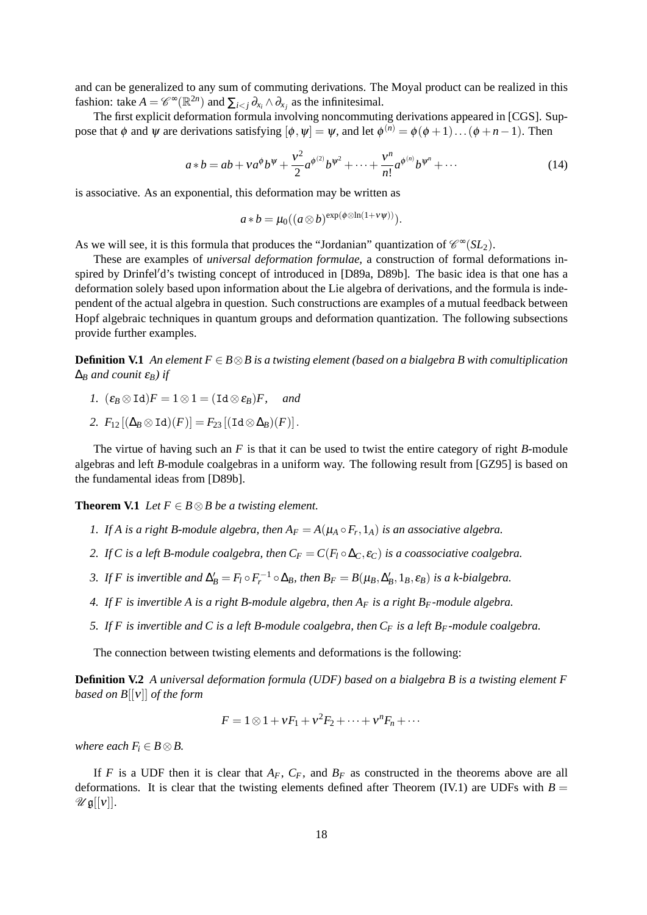and can be generalized to any sum of commuting derivations. The Moyal product can be realized in this fashion: take  $A = \mathscr{C}^{\infty}(\mathbb{R}^{2n})$  and  $\sum_{i \le j} \partial_{x_i} \wedge \partial_{x_j}$  as the infinitesimal.

The first explicit deformation formula involving noncommuting derivations appeared in [CGS]. Suppose that  $\phi$  and  $\psi$  are derivations satisfying  $[\phi, \psi] = \psi$ , and let  $\phi^{(n)} = \phi(\phi + 1) \dots (\phi + n - 1)$ . Then

$$
a * b = ab + va^{\phi}b^{\psi} + \frac{v^2}{2}a^{\phi^{(2)}}b^{\psi^2} + \dots + \frac{v^n}{n!}a^{\phi^{(n)}}b^{\psi^n} + \dots
$$
 (14)

is associative. As an exponential, this deformation may be written as

$$
a * b = \mu_0((a \otimes b)^{\exp(\phi \otimes \ln(1 + v\psi))}).
$$

As we will see, it is this formula that produces the "Jordanian" quantization of  $\mathcal{C}^{\infty}(SL_2)$ .

These are examples of *universal deformation formulae,* a construction of formal deformations inspired by Drinfel'd's twisting concept of introduced in [D89a, D89b]. The basic idea is that one has a deformation solely based upon information about the Lie algebra of derivations, and the formula is independent of the actual algebra in question. Such constructions are examples of a mutual feedback between Hopf algebraic techniques in quantum groups and deformation quantization. The following subsections provide further examples.

**Definition V.1** An element  $F \in B \otimes B$  is a twisting element (based on a bialgebra B with comultiplication  $\Delta_B$  *and counit*  $\varepsilon_B$ *) if* 

- *1.*  $(\varepsilon_B \otimes \text{Id})F = 1 \otimes 1 = (\text{Id} \otimes \varepsilon_B)F$ , and
- 2.  $F_{12}[(\Delta_B \otimes \text{Id})(F)] = F_{23}[(\text{Id} \otimes \Delta_B)(F)].$

The virtue of having such an *F* is that it can be used to twist the entire category of right *B*-module algebras and left *B*-module coalgebras in a uniform way. The following result from [GZ95] is based on the fundamental ideas from [D89b].

**Theorem V.1** *Let*  $F \in B \otimes B$  *be a twisting element.* 

- *1.* If A is a right B-module algebra, then  $A_F = A(\mu_A \circ F_r, 1_A)$  is an associative algebra.
- *2. If C is a left B-module coalgebra, then*  $C_F = C(F_I \circ \Delta_C, \varepsilon_C)$  *is a coassociative coalgebra.*
- 3. If *F* is invertible and  $\Delta'_B = F_l \circ F_r^{-1} \circ \Delta_B$ , then  $B_F = B(\mu_B, \Delta'_B, 1_B, \varepsilon_B)$  is a k-bialgebra.
- *4. If F is invertible A is a right B-module algebra, then A<sup>F</sup> is a right BF-module algebra.*
- *5. If F is invertible and C is a left B-module coalgebra, then*  $C_F$  *is a left*  $B_F$ *-module coalgebra.*

The connection between twisting elements and deformations is the following:

**Definition V.2** *A universal deformation formula (UDF) based on a bialgebra B is a twisting element F based on B*[[ν]] *of the form*

$$
F=1\otimes 1+\nu F_1+\nu^2 F_2+\cdots+\nu^n F_n+\cdots
$$

*where each*  $F_i \in B \otimes B$ .

If *F* is a UDF then it is clear that  $A_F$ ,  $C_F$ , and  $B_F$  as constructed in the theorems above are all deformations. It is clear that the twisting elements defined after Theorem (IV.1) are UDFs with  $B =$  $\mathscr{U} \mathfrak{g}[[v]].$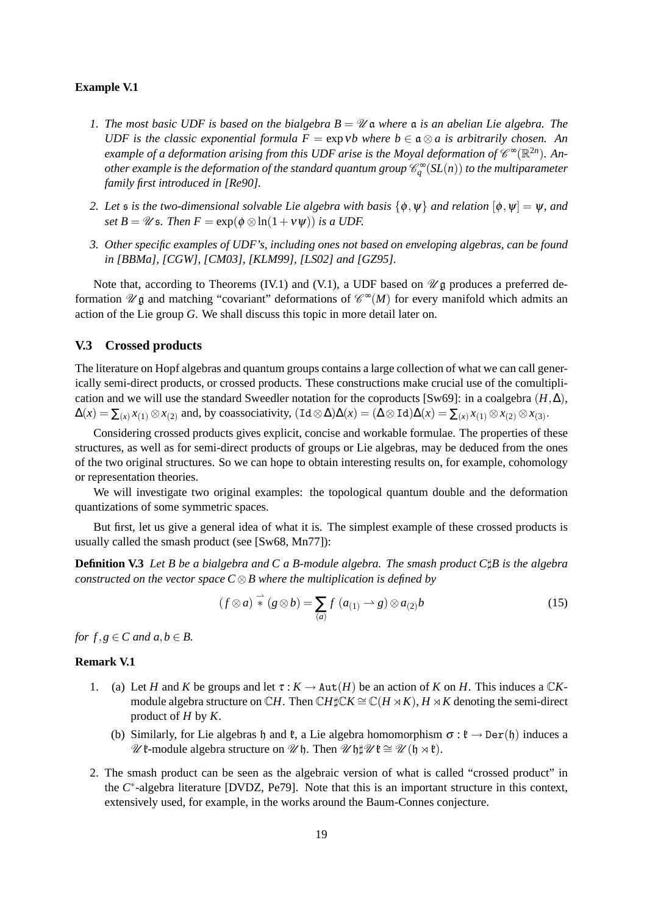### **Example V.1**

- *1. The most basic UDF is based on the bialgebra B* = U a *where* a *is an abelian Lie algebra. The UDF is the classic exponential formula F* =  $\exp$ *vb where b*  $\in \mathfrak{a} \otimes a$  *is arbitrarily chosen. An example of a deformation arising from this UDF arise is the Moyal deformation of*  $\mathscr{C}^{\infty}(\mathbb{R}^{2n})$ . Another example is the deformation of the standard quantum group  $\mathscr{C}^\infty_q(SL(n))$  to the multiparameter *family first introduced in [Re90].*
- *2. Let s is the two-dimensional solvable Lie algebra with basis*  $\{\phi, \psi\}$  *and relation*  $[\phi, \psi] = \psi$ *, and set B* =  $\mathcal{U}$  *s. Then*  $F = \exp(\phi \otimes \ln(1 + v \psi))$  *is a UDF.*
- *3. Other specific examples of UDF's, including ones not based on enveloping algebras, can be found in [BBMa], [CGW], [CM03], [KLM99], [LS02] and [GZ95].*

Note that, according to Theorems (IV.1) and (V.1), a UDF based on  $\mathcal{U}$ g produces a preferred deformation  $\mathscr U$ **g** and matching "covariant" deformations of  $\mathscr C^{\infty}(M)$  for every manifold which admits an action of the Lie group *G*. We shall discuss this topic in more detail later on.

### **V.3 Crossed products**

The literature on Hopf algebras and quantum groups contains a large collection of what we can call generically semi-direct products, or crossed products. These constructions make crucial use of the comultiplication and we will use the standard Sweedler notation for the coproducts  $[Sw69]$ : in a coalgebra  $(H, \Delta)$ ,  $\Delta(x) = \sum_{(x)} x_{(1)} \otimes x_{(2)}$  and, by coassociativity,  $(\text{Id} \otimes \Delta)\Delta(x) = (\Delta \otimes \text{Id})\Delta(x) = \sum_{(x)} x_{(1)} \otimes x_{(2)} \otimes x_{(3)}$ .

Considering crossed products gives explicit, concise and workable formulae. The properties of these structures, as well as for semi-direct products of groups or Lie algebras, may be deduced from the ones of the two original structures. So we can hope to obtain interesting results on, for example, cohomology or representation theories.

We will investigate two original examples: the topological quantum double and the deformation quantizations of some symmetric spaces.

But first, let us give a general idea of what it is. The simplest example of these crossed products is usually called the smash product (see [Sw68, Mn77]):

**Definition V.3** *Let B be a bialgebra and C a B-module algebra. The smash product C*]*B is the algebra constructed on the vector space C* ⊗*B where the multiplication is defined by*

$$
(f \otimes a) \stackrel{\rightharpoonup}{*} (g \otimes b) = \sum_{(a)} f(a_{(1)} \rightarrow g) \otimes a_{(2)}b \tag{15}
$$

*for*  $f, g \in C$  *and*  $a, b \in B$ .

### **Remark V.1**

- 1. (a) Let *H* and *K* be groups and let  $\tau : K \to \text{Aut}(H)$  be an action of *K* on *H*. This induces a  $\mathbb{C}K$ module algebra structure on  $\mathbb{C}H$ . Then  $\mathbb{C}H\sharp\mathbb{C}K\cong \mathbb{C}(H\rtimes K)$ ,  $H\rtimes K$  denoting the semi-direct product of *H* by *K*.
	- (b) Similarly, for Lie algebras h and  $\mathfrak{k}$ , a Lie algebra homomorphism  $\sigma : \mathfrak{k} \to \mathrm{Der}(\mathfrak{h})$  induces a  $\mathscr U$   $\mathfrak k$ -module algebra structure on  $\mathscr U$   $\mathfrak h$ . Then  $\mathscr U$   $\mathfrak h$  $\sharp \mathscr U$   $\mathfrak k \cong \mathscr U$   $(\mathfrak h \rtimes \mathfrak k)$ .
- 2. The smash product can be seen as the algebraic version of what is called "crossed product" in the *C* ∗ -algebra literature [DVDZ, Pe79]. Note that this is an important structure in this context, extensively used, for example, in the works around the Baum-Connes conjecture.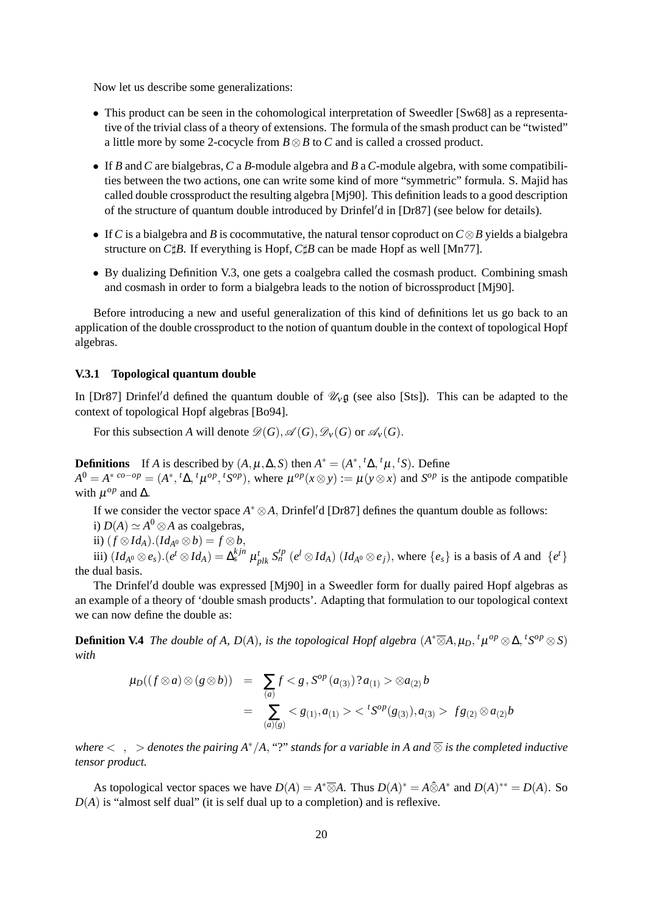Now let us describe some generalizations:

- This product can be seen in the cohomological interpretation of Sweedler [Sw68] as a representative of the trivial class of a theory of extensions. The formula of the smash product can be "twisted" a little more by some 2-cocycle from *B*⊗*B* to *C* and is called a crossed product.
- If *B* and *C* are bialgebras, *C* a *B*-module algebra and *B* a *C*-module algebra, with some compatibilities between the two actions, one can write some kind of more "symmetric" formula. S. Majid has called double crossproduct the resulting algebra [Mj90]. This definition leads to a good description of the structure of quantum double introduced by  $Drinfeld'd$  in  $[Dr87]$  (see below for details).
- If*C* is a bialgebra and *B* is cocommutative, the natural tensor coproduct on*C*⊗*B* yields a bialgebra structure on *C* $\sharp$ *B*. If everything is Hopf, *C* $\sharp$ *B* can be made Hopf as well [Mn77].
- By dualizing Definition V.3, one gets a coalgebra called the cosmash product. Combining smash and cosmash in order to form a bialgebra leads to the notion of bicrossproduct [Mj90].

Before introducing a new and useful generalization of this kind of definitions let us go back to an application of the double crossproduct to the notion of quantum double in the context of topological Hopf algebras.

## **V.3.1 Topological quantum double**

In [Dr87] Drinfel'd defined the quantum double of  $\mathcal{U}_V \mathfrak{g}$  (see also [Sts]). This can be adapted to the context of topological Hopf algebras [Bo94].

For this subsection *A* will denote  $\mathcal{D}(G)$ ,  $\mathcal{A}(G)$ ,  $\mathcal{D}_V(G)$  or  $\mathcal{A}_V(G)$ .

**Definitions** If *A* is described by  $(A, \mu, \Delta, S)$  then  $A^* = (A^*, {^t \Delta}, {^t \mu}, {^t S})$ . Define  $A^0 = A^*{}^{co-op} = (A^*, {}^t\Delta, {}^t\mu^{op}, {}^tS^{op})$ , where  $\mu^{op}(x \otimes y) := \mu(y \otimes x)$  and  $S^{op}$  is the antipode compatible with  $\mu^{op}$  and  $\Delta$ .

If we consider the vector space  $A^* \otimes A$ , Drinfel'd [Dr87] defines the quantum double as follows:

- i)  $D(A) \simeq A^0 \otimes A$  as coalgebras,
- ii) (*f* ⊗*IdA*).(*IdA*<sup>0</sup> ⊗*b*) = *f* ⊗*b*,

iii)  $(Id_{A^0} \otimes e_s) . (e^t \otimes Id_A) = \Delta_s^{kjn} \mu_{plk}^t S_n^{p} (e^l \otimes Id_A) (Id_{A^0} \otimes e_j)$ , where  $\{e_s\}$  is a basis of A and  $\{e^t\}$ the dual basis.

The Drinfel'd double was expressed [Mj90] in a Sweedler form for dually paired Hopf algebras as an example of a theory of 'double smash products'. Adapting that formulation to our topological context we can now define the double as:

**Definition V.4** The double of A, D(A), is the topological Hopf algebra  $(A^*\overline{\otimes}A,\mu_D, {}^t\mu^{op}\otimes\Delta, {}^tS^{op}\otimes S)$ *with*

$$
\mu_D((f \otimes a) \otimes (g \otimes b)) = \sum_{(a)} f < g, S^{op}(a_{(3)})^2 a_{(1)} > \otimes a_{(2)} b
$$
\n
$$
= \sum_{(a)(g)} < g_{(1)}, a_{(1)} > < {}^t S^{op}(g_{(3)}), a_{(3)} > f g_{(2)} \otimes a_{(2)} b
$$

*where*  $\langle , \rangle$  *denotes the pairing A<sup>\*</sup>/A,* "?" *stands for a variable in A and*  $\overline{\otimes}$  *is the completed inductive tensor product.*

As topological vector spaces we have  $D(A) = A^* \overline{\otimes} A$ . Thus  $D(A)^* = A \hat{\otimes} A^*$  and  $D(A)^{**} = D(A)$ . So *D*(*A*) is "almost self dual" (it is self dual up to a completion) and is reflexive.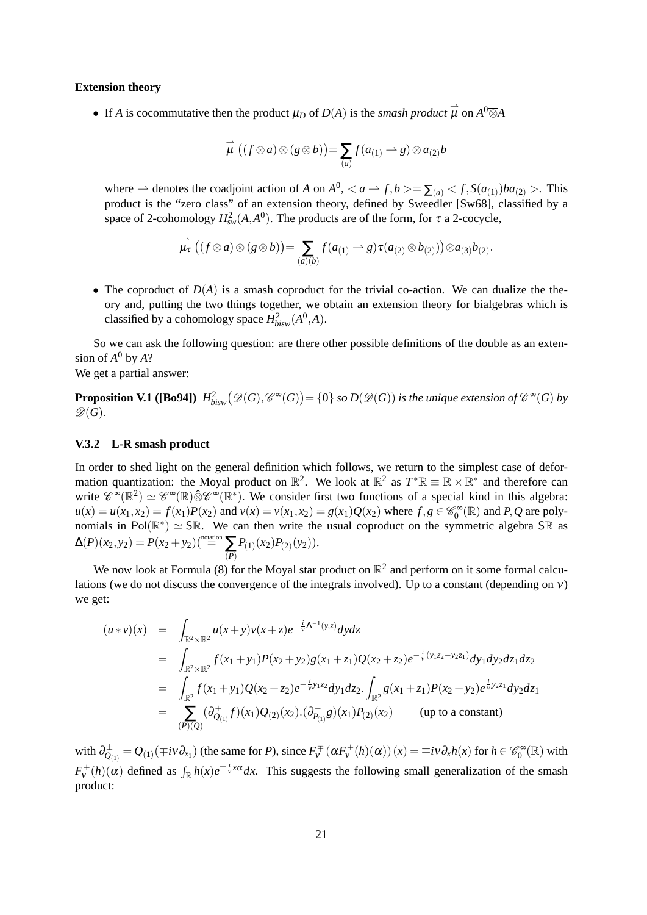#### **Extension theory**

• If *A* is cocommutative then the product  $\mu_D$  of  $D(A)$  is the *smash product*  $\vec{\mu}$  on  $A^0\overline{\otimes}A$ 

$$
\overrightarrow{\mu} ((f \otimes a) \otimes (g \otimes b)) = \sum_{(a)} f(a_{(1)} \rightarrow g) \otimes a_{(2)}b
$$

where  $\rightarrow$  denotes the coadjoint action of *A* on  $A^0$ ,  $\lt a \rightarrow f$ ,  $b \gt \gt \sum_{(a)} \lt f$ ,  $S(a_{(1)})ba_{(2)}$ . This product is the "zero class" of an extension theory, defined by Sweedler [Sw68], classified by a space of 2-cohomology  $H_{sw}^2(A, A^0)$ . The products are of the form, for  $\tau$  a 2-cocycle,

$$
\overrightarrow{\mu}_{\tau}\left((f\otimes a)\otimes(g\otimes b)\right)=\sum_{(a)(b)}f(a_{(1)}\rightarrow g)\tau(a_{(2)}\otimes b_{(2)}))\otimes a_{(3)}b_{(2)}.
$$

• The coproduct of  $D(A)$  is a smash coproduct for the trivial co-action. We can dualize the theory and, putting the two things together, we obtain an extension theory for bialgebras which is classified by a cohomology space  $H^2_{bisy}(A^0, A)$ .

So we can ask the following question: are there other possible definitions of the double as an extension of  $A^0$  by  $A$ ?

We get a partial answer:

**Proposition V.1** ([Bo94])  $H^2_{bisw}(\mathscr{D}(G),\mathscr{C}^\infty(G))$  = {0} *so D*( $\mathscr{D}(G)$ ) *is the unique extension of*  $\mathscr{C}^\infty(G)$  *by*  $\mathscr{D}(G)$ .

### **V.3.2 L-R smash product**

In order to shed light on the general definition which follows, we return to the simplest case of deformation quantization: the Moyal product on  $\mathbb{R}^2$ . We look at  $\mathbb{R}^2$  as  $T^*\mathbb{R} \equiv \mathbb{R} \times \mathbb{R}^*$  and therefore can write  $\mathscr{C}^{\infty}(\mathbb{R}^2) \simeq \mathscr{C}^{\infty}(\mathbb{R}) \hat{\otimes} \mathscr{C}^{\infty}(\mathbb{R}^*)$ . We consider first two functions of a special kind in this algebra:  $u(x) = u(x_1, x_2) = f(x_1)P(x_2)$  and  $v(x) = v(x_1, x_2) = g(x_1)Q(x_2)$  where  $f, g \in \mathcal{C}_0^{\infty}(\mathbb{R})$  and  $P, Q$  are polynomials in  $Pol(\mathbb{R}^*) \simeq SR$ . We can then write the usual coproduct on the symmetric algebra SR as  $\Delta(P)(x_2, y_2) = P(x_2 + y_2) \binom{\text{notation}}{P}$  $P_{(1)}(x_2)P_{(2)}(y_2)$ .

We now look at Formula (8) for the Moyal star product on  $\mathbb{R}^2$  and perform on it some formal calculations (we do not discuss the convergence of the integrals involved). Up to a constant (depending on  $v$ ) we get:

$$
(u * v)(x) = \int_{\mathbb{R}^2 \times \mathbb{R}^2} u(x + y)v(x + z)e^{-\frac{i}{V}\Lambda^{-1}(y,z)}dydz
$$
  
\n
$$
= \int_{\mathbb{R}^2 \times \mathbb{R}^2} f(x_1 + y_1)P(x_2 + y_2)g(x_1 + z_1)Q(x_2 + z_2)e^{-\frac{i}{V}(y_1z_2 - y_2z_1)}dy_1dy_2dz_1dz_2
$$
  
\n
$$
= \int_{\mathbb{R}^2} f(x_1 + y_1)Q(x_2 + z_2)e^{-\frac{i}{V}y_1z_2}dy_1dz_2 \cdot \int_{\mathbb{R}^2} g(x_1 + z_1)P(x_2 + y_2)e^{\frac{i}{V}y_2z_1}dy_2dz_1
$$
  
\n
$$
= \sum_{(P)(Q)} (\partial_{Q_{(1)}}^+ f)(x_1)Q_{(2)}(x_2) \cdot (\partial_{P_{(1)}}^- g)(x_1)P_{(2)}(x_2)
$$
 (up to a constant)

with  $\partial_{Q_{(1)}}^{\pm} = Q_{(1)}(\mp i\nu \partial_{x_1})$  (the same for *P*), since  $F_v^{\pm}(\alpha F_v^{\pm}(h)(\alpha))(x) = \mp i\nu \partial_x h(x)$  for  $h \in \mathscr{C}_0^{\infty}(\mathbb{R})$  with  $F_v^{\pm}(h)(\alpha)$  defined as  $\int_{\mathbb{R}} h(x)e^{\mp \frac{i}{v}x\alpha}dx$ . This suggests the following small generalization of the smash product: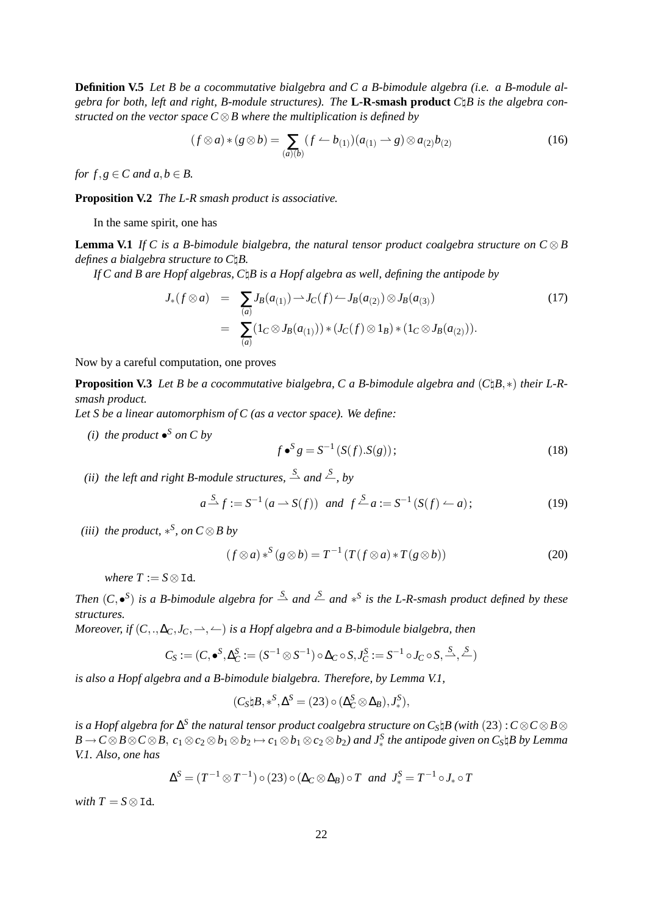**Definition V.5** *Let B be a cocommutative bialgebra and C a B-bimodule algebra (i.e. a B-module algebra for both, left and right, B-module structures). The* **L-R-smash product** *C*\*B is the algebra constructed on the vector space C* ⊗*B where the multiplication is defined by*

$$
(f \otimes a) * (g \otimes b) = \sum_{(a)(b)} (f \leftarrow b_{(1)})(a_{(1)} \rightarrow g) \otimes a_{(2)}b_{(2)}
$$
(16)

*for*  $f, g \in C$  *and*  $a, b \in B$ .

**Proposition V.2** *The L-R smash product is associative.*

In the same spirit, one has

**Lemma V.1** *If* C is a B-bimodule bialgebra, the natural tensor product coalgebra structure on  $C \otimes B$ *defines a bialgebra structure to C*\*B.*

*If C and B are Hopf algebras, C*\*B is a Hopf algebra as well, defining the antipode by*

$$
J_*(f \otimes a) = \sum_{(a)} J_B(a_{(1)}) \to J_C(f) \to J_B(a_{(2)}) \otimes J_B(a_{(3)})
$$
  
= 
$$
\sum_{(a)} (1_C \otimes J_B(a_{(1)})) * (J_C(f) \otimes 1_B) * (1_C \otimes J_B(a_{(2)})).
$$
 (17)

Now by a careful computation, one proves

**Proposition V.3** *Let B be a cocommutative bialgebra, C a B-bimodule algebra and* (*C*\*B*,∗) *their L-Rsmash product.*

*Let S be a linear automorphism of C (as a vector space). We define:*

*(i)* the product  $\bullet^S$  on C by

$$
f \bullet^S g = S^{-1} \left( S(f) . S(g) \right); \tag{18}
$$

*(ii)* the left and right B-module structures,  $\stackrel{S}{\rightharpoonup}$  and  $\stackrel{S}{\rightharpoonup}$ , by

$$
a \stackrel{S}{\longrightarrow} f := S^{-1} (a \longrightarrow S(f))
$$
 and  $f \stackrel{S}{\longrightarrow} a := S^{-1} (S(f) \longrightarrow a);$  (19)

*(iii)* the product,  $*^S$ , on  $C \otimes B$  by

$$
(f \otimes a) *^S (g \otimes b) = T^{-1} (T(f \otimes a) * T(g \otimes b))
$$
 (20)

*where*  $T := S \otimes \text{Id}$ *.* 

*Then*  $(C, \bullet^S)$  *is a B-bimodule algebra for*  $\stackrel{S}{\rightharpoonup}$  *and*  $*^S$  *is the L-R-smash product defined by these structures.*

*Moreover, if*  $(C_.,\Delta_C,J_C,\to,\leftarrow)$  *is a Hopf algebra and a B-bimodule bialgebra, then* 

$$
C_S := (C, \bullet^S, \Delta_C^S := (S^{-1} \otimes S^{-1}) \circ \Delta_C \circ S, J_C^S := S^{-1} \circ J_C \circ S, \xrightarrow{S} \xrightarrow{S}
$$

*is also a Hopf algebra and a B-bimodule bialgebra. Therefore, by Lemma V.1,*

$$
(C_S \natural B, *^S, \Delta^S = (23) \circ (\Delta_C^S \otimes \Delta_B), J_*^S),
$$

 $s$  *is a Hopf algebra for*  $\Delta^S$  *the natural tensor product coalgebra structure on*  $C_S$ *\* $\beta$  *(with*  $(23)$  *:*  $C$ *⊗* $C$ *⊗*  $B$ *⊗*  $B\to C\otimes B\otimes C\otimes B,\ c_1\otimes c_2\otimes b_1\otimes b_2\mapsto c_1\otimes b_1\otimes c_2\otimes b_2)$  and  $J_*^S$  the antipode given on  $C_S\natural B$  by Lemma *V.1. Also, one has*

$$
\Delta^{S} = (T^{-1} \otimes T^{-1}) \circ (23) \circ (\Delta_{C} \otimes \Delta_{B}) \circ T \text{ and } J_{*}^{S} = T^{-1} \circ J_{*} \circ T
$$

*with*  $T = S \otimes \text{Id}$ *.*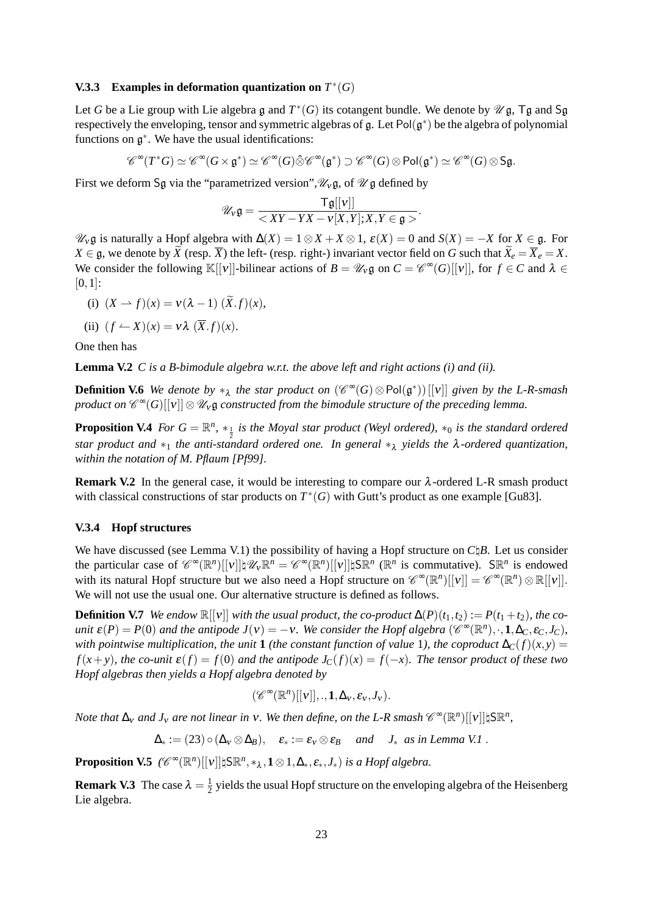## **V.3.3** Examples in deformation quantization on  $T^*(G)$

Let *G* be a Lie group with Lie algebra  $\mathfrak g$  and  $T^*(G)$  its cotangent bundle. We denote by  $\mathscr U \mathfrak g$ , T $\mathfrak g$  and S $\mathfrak g$ respectively the enveloping, tensor and symmetric algebras of  $g$ . Let  $Pol(g^*)$  be the algebra of polynomial functions on  $g^*$ . We have the usual identifications:

$$
\mathscr{C}^\infty(T^*G)\simeq \mathscr{C}^\infty(G\times \mathfrak{g}^*)\simeq \mathscr{C}^\infty(G)\hat{\otimes}\mathscr{C}^\infty(\mathfrak{g}^*)\supset \mathscr{C}^\infty(G)\otimes \text{Pol}(\mathfrak{g}^*)\simeq \mathscr{C}^\infty(G)\otimes \text{Sg}.
$$

First we deform Sg via the "parametrized version",  $\mathcal{U}_{\gamma}$  g, of  $\mathcal{U}$  g defined by

$$
\mathscr{U}_v \mathfrak{g} = \frac{\mathsf{Tg}[[v]]}{\langle XY - YX - v[X,Y]; X, Y \in \mathfrak{g} \rangle}.
$$

 $\mathcal{U}_V$ **g** is naturally a Hopf algebra with  $\Delta(X) = 1 ⊗ X + X ⊗ 1$ ,  $\varepsilon(X) = 0$  and  $S(X) = -X$  for  $X ∈ \mathfrak{g}$ . For *X* ∈ g, we denote by *X* (resp.  $\overline{X}$ ) the left- (resp. right-) invariant vector field on *G* such that  $X_e = \overline{X}_e = X$ . We consider the following  $\mathbb{K}[[v]]$ -bilinear actions of  $B = \mathcal{U}_v \mathfrak{g}$  on  $C = \mathcal{C}^{\infty}(G)[[v]]$ , for  $f \in C$  and  $\lambda \in$  $[0,1]$ :

(i) 
$$
(X \rightarrow f)(x) = v(\lambda - 1) (\widetilde{X}.f)(x),
$$

(ii) 
$$
(f \leftarrow X)(x) = v \lambda (\overline{X}.f)(x)
$$
.

One then has

**Lemma V.2** *C is a B-bimodule algebra w.r.t. the above left and right actions (i) and (ii).*

**Definition V.6** *We denote by*  $*_\lambda$  *the star product on*  $(\mathscr{C}^\infty(G) \otimes \text{Pol}(\mathfrak{g}^*))[[v]]$  *given by the L-R-smash*  $p$ roduct on  $\mathscr{C}^{\infty}(G)[[{\bf v}]]\otimes \mathscr{U}_{{\bf v}}$ g constructed from the bimodule structure of the preceding lemma.

**Proposition V.4** *For*  $G = \mathbb{R}^n$ ,  $*_\frac{1}{2}$  *is the Moyal star product (Weyl ordered),*  $*_0$  *is the standard ordered star product and* ∗<sub>1</sub> *the anti-standard ordered one. In general* ∗λ *yields the* λ-*ordered quantization*, *within the notation of M. Pflaum [Pf99].*

**Remark V.2** In the general case, it would be interesting to compare our  $\lambda$ -ordered L-R smash product with classical constructions of star products on  $T^*(G)$  with Gutt's product as one example [Gu83].

## **V.3.4 Hopf structures**

We have discussed (see Lemma V.1) the possibility of having a Hopf structure on  $C\beta B$ . Let us consider the particular case of  $\mathscr{C}^{\infty}(\mathbb{R}^n)[[v]]\sharp \mathscr{U}_{v}\mathbb{R}^{n} = \mathscr{C}^{\infty}(\mathbb{R}^n)[[v]]\sharp S\mathbb{R}^{n}$  ( $\mathbb{R}^{n}$  is commutative).  $S\mathbb{R}^{n}$  is endowed with its natural Hopf structure but we also need a Hopf structure on  $\mathscr{C}^{\infty}(\mathbb{R}^{n})[[v]] = \mathscr{C}^{\infty}(\mathbb{R}^{n}) \otimes \mathbb{R}[[v]]$ . We will not use the usual one. Our alternative structure is defined as follows.

**Definition V.7** *We endow*  $\mathbb{R}[[v]]$  *with the usual product, the co-product*  $\Delta(P)(t_1,t_2) := P(t_1+t_2)$ *, the counit*  $\varepsilon(P) = P(0)$  *and the antipode*  $J(v) = -v$ . We consider the Hopf algebra  $(\mathscr{C}^{\infty}(\mathbb{R}^n), \cdot, 1, \Delta_C, \varepsilon_C, J_C)$ , *with pointwise multiplication, the unit* **1** *(the constant function of value* 1*), the coproduct*  $\Delta_C(f)(x, y) =$  $f(x+y)$ , the co-unit  $\mathcal{E}(f) = f(0)$  and the antipode  $J_C(f)(x) = f(-x)$ . The tensor product of these two *Hopf algebras then yields a Hopf algebra denoted by*

$$
(\mathscr{C}^{\infty}(\mathbb{R}^n)[[v]],..,1,\Delta_v,\epsilon_v,J_v).
$$

*Note that*  $\Delta_v$  *and*  $J_v$  *are not linear in v. We then define, on the L-R smash*  $\mathscr{C}^\infty(\mathbb{R}^n)[[v]]\sharp \mathsf{S}\mathbb{R}^n$ ,

 $\Delta_* := (23) \circ (\Delta_v \otimes \Delta_B), \quad \varepsilon_* := \varepsilon_v \otimes \varepsilon_B \quad \text{and} \quad J_* \text{ as in Lemma V.1}.$ 

**Proposition V.5**  $(\mathscr{C}^{\infty}(\mathbb{R}^n)[[v]]\sharp \mathbb{S}\mathbb{R}^n, *_{\lambda}, \mathbf{1} \otimes 1, \Delta_*, \varepsilon_*, J_*)$  *is a Hopf algebra.* 

**Remark V.3** The case  $\lambda = \frac{1}{2}$  $\frac{1}{2}$  yields the usual Hopf structure on the enveloping algebra of the Heisenberg Lie algebra.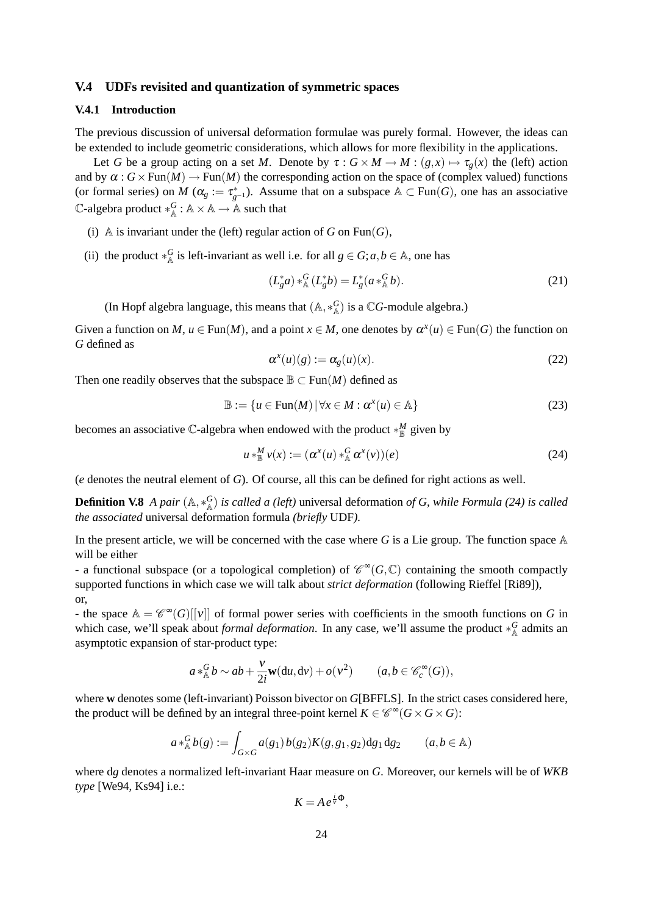## **V.4 UDFs revisited and quantization of symmetric spaces**

## **V.4.1 Introduction**

The previous discussion of universal deformation formulae was purely formal. However, the ideas can be extended to include geometric considerations, which allows for more flexibility in the applications.

Let *G* be a group acting on a set *M*. Denote by  $\tau : G \times M \to M : (g, x) \mapsto \tau_g(x)$  the (left) action and by  $\alpha$ :  $G \times \text{Fun}(M) \to \text{Fun}(M)$  the corresponding action on the space of (complex valued) functions (or formal series) on *M* ( $\alpha_g := \tau_{g^{-1}}^*$ ). Assume that on a subspace  $\mathbb{A} \subset \text{Fun}(G)$ , one has an associative  $\mathbb{C}\text{-algebra product} *^G_{\mathbb{A}} : \mathbb{A} \times \mathbb{A} \to \mathbb{A}$  such that

- (i) A is invariant under the (left) regular action of *G* on Fun(*G*),
- (ii) the product  $*_{A}^{G}$  is left-invariant as well i.e. for all  $g \in G$ ;  $a, b \in A$ , one has

$$
(L_g^* a) *^G_{\mathbb{A}} (L_g^* b) = L_g^* (a *^G_{\mathbb{A}} b). \tag{21}
$$

(In Hopf algebra language, this means that  $(A, *_{A}^{G})$  is a  $\mathbb{C}G$ -module algebra.)

Given a function on *M*,  $u \in Fun(M)$ , and a point  $x \in M$ , one denotes by  $\alpha^x(u) \in Fun(G)$  the function on *G* defined as

$$
\alpha^x(u)(g) := \alpha_g(u)(x). \tag{22}
$$

Then one readily observes that the subspace  $\mathbb{B} \subset \text{Fun}(M)$  defined as

$$
\mathbb{B} := \{ u \in \text{Fun}(M) \, | \, \forall x \in M : \alpha^x(u) \in \mathbb{A} \}
$$
\n
$$
(23)
$$

becomes an associative C-algebra when endowed with the product  $*^M_\mathbb{B}$  given by

$$
u *_{\mathbb{B}}^M v(x) := (\alpha^x(u) *_{\mathbb{A}}^G \alpha^x(v))(e)
$$
 (24)

(*e* denotes the neutral element of *G*). Of course, all this can be defined for right actions as well.

**Definition V.8** *A pair* (A,\*<sub>A</sub><sup>*G*</sup>) *is called a (left)* universal deformation *of G, while Formula (24) is called the associated* universal deformation formula *(briefly* UDF*).*

In the present article, we will be concerned with the case where  $G$  is a Lie group. The function space  $A$ will be either

- a functional subspace (or a topological completion) of  $\mathcal{C}^{\infty}(G,\mathbb{C})$  containing the smooth compactly supported functions in which case we will talk about *strict deformation* (following Rieffel [Ri89]), or,

- the space  $A = \mathscr{C}^{\infty}(G)[[v]]$  of formal power series with coefficients in the smooth functions on *G* in which case, we'll speak about *formal deformation*. In any case, we'll assume the product ∗<sub>A</sub><sup>*G*</sup> admits an asymptotic expansion of star-product type:

$$
a *^G_A b \sim ab + \frac{v}{2i} \mathbf{w}(du, dv) + o(v^2)
$$
  $(a, b \in \mathcal{C}_c^{\infty}(G)),$ 

where **w** denotes some (left-invariant) Poisson bivector on *G*[BFFLS]. In the strict cases considered here, the product will be defined by an integral three-point kernel  $K \in \mathcal{C}^{\infty}(G \times G \times G)$ :

$$
a *^G_{\mathbb{A}} b(g) := \int_{G \times G} a(g_1) b(g_2) K(g, g_1, g_2) dg_1 dg_2 \qquad (a, b \in \mathbb{A})
$$

where d*g* denotes a normalized left-invariant Haar measure on *G*. Moreover, our kernels will be of *WKB type* [We94, Ks94] i.e.:

$$
K=A\,e^{\frac{i}{v}\Phi},
$$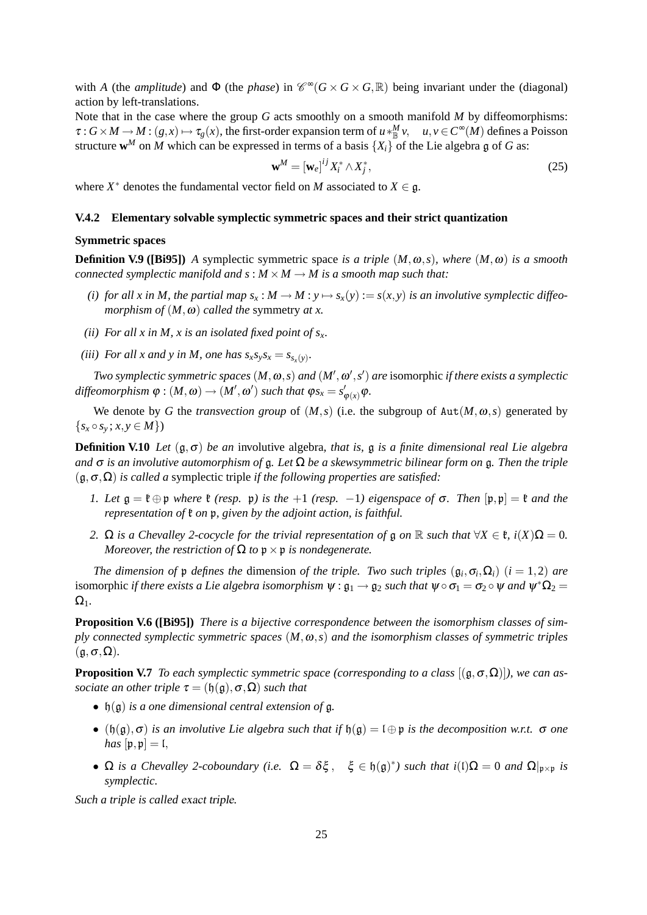with *A* (the *amplitude*) and  $\Phi$  (the *phase*) in  $\mathcal{C}^{\infty}(G \times G \times G, \mathbb{R})$  being invariant under the (diagonal) action by left-translations.

Note that in the case where the group *G* acts smoothly on a smooth manifold *M* by diffeomorphisms:  $\tau: G \times M \to M: (g, x) \mapsto \tau_g(x)$ , the first-order expansion term of  $u *^M_{\mathbb{B}} v$ ,  $u, v \in C^{\infty}(M)$  defines a Poisson structure  $w^M$  on *M* which can be expressed in terms of a basis  $\{X_i\}$  of the Lie algebra g of *G* as:

$$
\mathbf{w}^M = \left[\mathbf{w}_e\right]^{ij} X_i^* \wedge X_j^*,\tag{25}
$$

where  $X^*$  denotes the fundamental vector field on *M* associated to  $X \in \mathfrak{g}$ .

#### **V.4.2 Elementary solvable symplectic symmetric spaces and their strict quantization**

#### **Symmetric spaces**

**Definition V.9 ([Bi95]**) *A* symplectic symmetric space *is a triple*  $(M, \omega, s)$ *, where*  $(M, \omega)$  *is a smooth connected symplectic manifold and*  $s : M \times M \rightarrow M$  *is a smooth map such that:* 

- *(i) for all x in M, the partial map*  $s_x : M \to M : y \mapsto s_x(y) := s(x, y)$  *is an involutive symplectic diffeomorphism of*  $(M, \omega)$  *called the* symmetry *at x.*
- *(ii) For all x in M, x is an isolated fixed point of sx.*
- *(iii)* For all x and y in M, one has  $s_x s_y s_x = s_{s_x(y)}$ .

*Two symplectic symmetric spaces*  $(M, \omega, s)$  *and*  $(M', \omega', s')$  *are* isomorphic *if there exists a symplectic*  $\phi : (M, \omega) \to (M', \omega')$  *such that*  $\phi s_x = s'_{\phi(x)} \phi$ .

We denote by *G* the *transvection group* of  $(M, s)$  (i.e. the subgroup of  $Aut(M, \omega, s)$  generated by  $\{s_x \circ s_y; x, y \in M\}$ 

**Definition V.10** *Let* (g,σ) *be an* involutive algebra*, that is,* g *is a finite dimensional real Lie algebra and* σ *is an involutive automorphism of* g*. Let* Ω *be a skewsymmetric bilinear form on* g*. Then the triple* (g,σ,Ω) *is called a* symplectic triple *if the following properties are satisfied:*

- *1. Let*  $\mathfrak{g} = \mathfrak{k} \oplus \mathfrak{p}$  *where*  $\mathfrak{k}$  *(resp.*  $\mathfrak{p}$ *) is the*  $+1$  *(resp.*  $-1$ *) eigenspace of*  $\sigma$ *. Then*  $[\mathfrak{p}, \mathfrak{p}] = \mathfrak{k}$  *and the representation of*  $\mathfrak k$  *on*  $\mathfrak p$ *, given by the adjoint action, is faithful.*
- *2.*  $\Omega$  *is a Chevalley 2-cocycle for the trivial representation of*  $\mathfrak g$  *on*  $\mathbb R$  *such that*  $\forall X \in \mathfrak k$ ,  $i(X)\Omega = 0$ . *Moreover, the restriction of*  $\Omega$  *to*  $p \times p$  *is nondegenerate.*

*The dimension of*  $\frak{p}$  *defines the* dimension *of the triple. Two such triples*  $(\frak{g}_i, \sigma_i, \Omega_i)$   $(i = 1, 2)$  *are* isomorphic *if there exists a Lie algebra isomorphism*  $\psi : \mathfrak{g}_1 \to \mathfrak{g}_2$  *such that*  $\psi \circ \sigma_1 = \sigma_2 \circ \psi$  *and*  $\psi^* \Omega_2 =$  $\Omega_1$ .

**Proposition V.6 ([Bi95])** *There is a bijective correspondence between the isomorphism classes of simply connected symplectic symmetric spaces* (*M*,ω,*s*) *and the isomorphism classes of symmetric triples*  $(\mathfrak{g}, \sigma, \Omega)$ .

**Proposition V.7** *To each symplectic symmetric space (corresponding to a class*  $[(\mathfrak{g}, \sigma, \Omega)]$ )*, we can associate an other triple*  $\tau = (\mathfrak{h}(\mathfrak{g}), \sigma, \Omega)$  *such that* 

- h(g) *is a one dimensional central extension of* g*.*
- $(h(g), \sigma)$  *is an involutive Lie algebra such that if*  $h(g) = l \oplus p$  *is the decomposition w.r.t.*  $\sigma$  *one has*  $[p, p] = [$ ,
- $\Omega$  *is a Chevalley 2-coboundary (i.e.*  $\Omega = \delta \xi$ ,  $\xi \in \mathfrak{h}(\mathfrak{g})^*$ ) such that  $i(\iota)\Omega = 0$  *and*  $\Omega|_{\mathfrak{p} \times \mathfrak{p}}$  *is symplectic.*

*Such a triple is called* exact triple*.*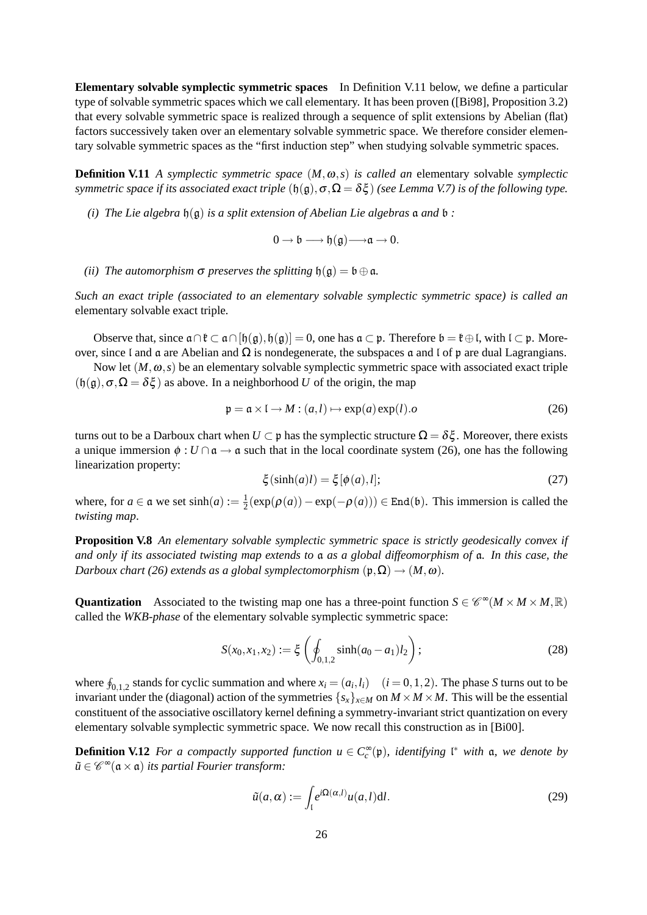**Elementary solvable symplectic symmetric spaces** In Definition V.11 below, we define a particular type of solvable symmetric spaces which we call elementary. It has been proven ([Bi98], Proposition 3.2) that every solvable symmetric space is realized through a sequence of split extensions by Abelian (flat) factors successively taken over an elementary solvable symmetric space. We therefore consider elementary solvable symmetric spaces as the "first induction step" when studying solvable symmetric spaces.

**Definition V.11** *A symplectic symmetric space* (*M*,ω,*s*) *is called an* elementary solvable *symplectic symmetric space if its associated exact triple*  $(\mathfrak{h}(\mathfrak{g}), \sigma, \Omega = \delta \xi)$  *(see Lemma V.7) is of the following type.* 

*(i)* The Lie algebra  $\mathfrak{h}(\mathfrak{g})$  *is a split extension of Abelian Lie algebras*  $\mathfrak{a}$  *and*  $\mathfrak{b}$  *:* 

 $0 \rightarrow \mathfrak{b} \longrightarrow \mathfrak{h}(\mathfrak{g}) \longrightarrow \mathfrak{a} \rightarrow 0.$ 

*(ii)* The automorphism  $\sigma$  preserves the splitting  $\mathfrak{h}(\mathfrak{g}) = \mathfrak{b} \oplus \mathfrak{a}$ .

*Such an exact triple (associated to an elementary solvable symplectic symmetric space) is called an* elementary solvable exact triple*.*

Observe that, since  $a \cap \ell \subset a \cap [b(g), b(g)] = 0$ , one has  $a \subset p$ . Therefore  $b = \ell \oplus \ell$ , with  $\ell \subset p$ . Moreover, since l and a are Abelian and  $\Omega$  is nondegenerate, the subspaces a and l of p are dual Lagrangians.

Now let  $(M, \omega, s)$  be an elementary solvable symplectic symmetric space with associated exact triple  $(h(g), \sigma, \Omega = \delta \xi)$  as above. In a neighborhood *U* of the origin, the map

$$
\mathfrak{p} = \mathfrak{a} \times \mathfrak{l} \to M : (a, l) \mapsto \exp(a) \exp(l).o \tag{26}
$$

turns out to be a Darboux chart when  $U \subset p$  has the symplectic structure  $\Omega = \delta \xi$ . Moreover, there exists a unique immersion  $\phi : U \cap \mathfrak{a} \to \mathfrak{a}$  such that in the local coordinate system (26), one has the following linearization property:

$$
\xi(\sinh(a)l) = \xi[\phi(a), l];\tag{27}
$$

where, for  $a \in \mathfrak{a}$  we set  $sinh(a) := \frac{1}{2}$  $\frac{1}{2}$ (exp( $\rho(a)$ ) – exp( $-\rho(a)$ ))) ∈ End(b). This immersion is called the *twisting map*.

**Proposition V.8** *An elementary solvable symplectic symmetric space is strictly geodesically convex if and only if its associated twisting map extends to* a *as a global diffeomorphism of* a*. In this case, the Darboux chart (26) extends as a global symplectomorphism*  $(\mathfrak{p}, \Omega) \rightarrow (M, \omega)$ *.* 

**Quantization** Associated to the twisting map one has a three-point function  $S \in \mathcal{C}^{\infty}(M \times M \times M, \mathbb{R})$ called the *WKB-phase* of the elementary solvable symplectic symmetric space:

$$
S(x_0, x_1, x_2) := \xi \left( \oint_{0,1,2} \sinh(a_0 - a_1) l_2 \right);
$$
 (28)

where  $\oint_{0,1,2}$  stands for cyclic summation and where  $x_i = (a_i, l_i)$   $(i = 0, 1, 2)$ . The phase *S* turns out to be invariant under the (diagonal) action of the symmetries  $\{s_x\}_{x \in M}$  on  $M \times M \times M$ . This will be the essential constituent of the associative oscillatory kernel defining a symmetry-invariant strict quantization on every elementary solvable symplectic symmetric space. We now recall this construction as in [Bi00].

**Definition V.12** *For a compactly supported function*  $u \in C_c^{\infty}(\mathfrak{p})$ *, identifying*  $\mathfrak{l}^*$  *with*  $\mathfrak{a}$ *, we denote by*  $\tilde{u} \in \mathscr{C}^\infty(\mathfrak{a} \times \mathfrak{a})$  *its partial Fourier transform:* 

$$
\tilde{u}(a,\alpha) := \int_{\mathfrak{l}} e^{i\Omega(\alpha,l)} u(a,l) \mathrm{d}l. \tag{29}
$$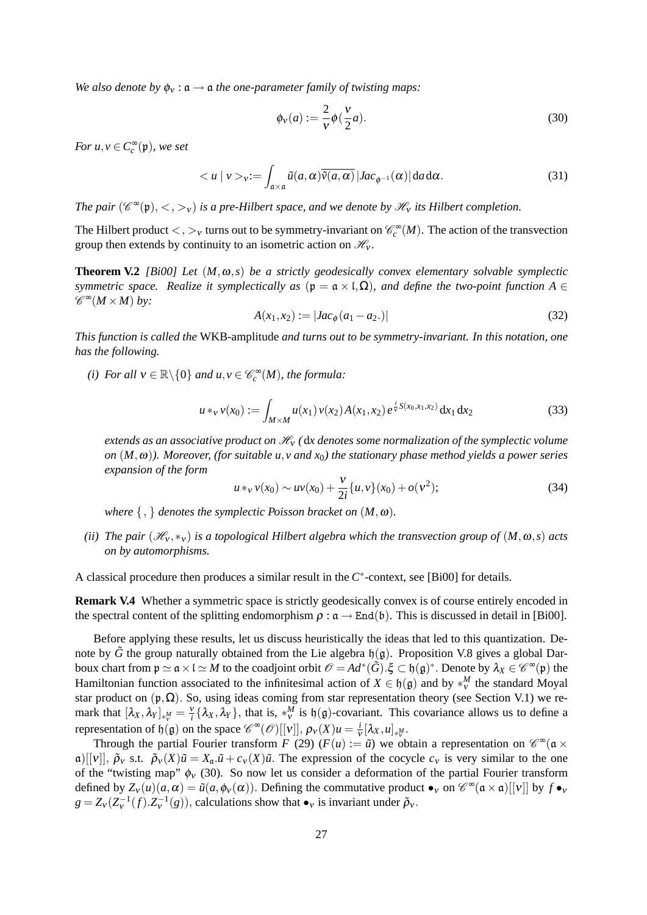*We also denote by*  $\phi_v : \mathfrak{a} \to \mathfrak{a}$  *the one-parameter family of twisting maps:* 

$$
\phi_V(a) := \frac{2}{V} \phi\left(\frac{V}{2}a\right). \tag{30}
$$

*For*  $u, v \in C_c^{\infty}(\mathfrak{p})$ *, we set* 

$$
\langle u \mid v \rangle_{v} := \int_{\mathfrak{a} \times \mathfrak{a}} \tilde{u}(a, \alpha) \overline{\tilde{v}(a, \alpha)} |Jac_{\phi^{-1}}(\alpha)| da d\alpha. \tag{31}
$$

*The pair*  $(\mathscr{C}^{\infty}(\mathfrak{p}), <, >_{v})$  *is a pre-Hilbert space, and we denote by*  $\mathscr{H}_{v}$  *its Hilbert completion.* 

The Hilbert product  $\lt, \gt, \gt, \gt$  turns out to be symmetry-invariant on  $\mathcal{C}_c^{\infty}(M)$ . The action of the transvection group then extends by continuity to an isometric action on  $\mathcal{H}_{v}$ .

**Theorem V.2** *[Bi00]* Let  $(M, \omega, s)$  be a strictly geodesically convex elementary solvable symplectic *symmetric space. Realize it symplectically as* ( $\mathfrak{p} = \mathfrak{a} \times I, \Omega$ ), and define the two-point function A  $\in$  $\mathscr{C}^{\infty}(M \times M)$  by:

$$
A(x_1, x_2) := |Jac_{\phi}(a_1 - a_2.)|
$$
\n(32)

*This function is called the* WKB-amplitude *and turns out to be symmetry-invariant. In this notation, one has the following.*

*(i) For all*  $v \in \mathbb{R} \setminus \{0\}$  *and*  $u, v \in \mathcal{C}_c^{\infty}(M)$ *, the formula:* 

$$
u *_{v} v(x_{0}) := \int_{M \times M} u(x_{1}) v(x_{2}) A(x_{1}, x_{2}) e^{\frac{i}{v} S(x_{0}, x_{1}, x_{2})} dx_{1} dx_{2}
$$
 (33)

*extends as an associative product on*  $\mathcal{H}_V$  *(dx denotes some normalization of the symplectic volume on* (*M*,ω)*). Moreover, (for suitable u*,*v and x*0*) the stationary phase method yields a power series expansion of the form*

$$
u *_{v} v(x_{0}) \sim uv(x_{0}) + \frac{v}{2i} \{u, v\} (x_{0}) + o(v^{2});
$$
\n(34)

*where*  $\{ , \}$  *denotes the symplectic Poisson bracket on*  $(M, \omega)$ *.* 

*(ii)* The pair  $(\mathcal{H}_v, *_v)$  *is a topological Hilbert algebra which the transvection group of*  $(M, \omega, s)$  *acts on by automorphisms.*

A classical procedure then produces a similar result in the  $C^*$ -context, see [Bi00] for details.

**Remark V.4** Whether a symmetric space is strictly geodesically convex is of course entirely encoded in the spectral content of the splitting endomorphism  $\rho : \mathfrak{a} \to \text{End}(\mathfrak{b})$ . This is discussed in detail in [Bi00].

Before applying these results, let us discuss heuristically the ideas that led to this quantization. Denote by  $\tilde{G}$  the group naturally obtained from the Lie algebra  $\mathfrak{h}(\mathfrak{g})$ . Proposition V.8 gives a global Darboux chart from  $\mathfrak{p} \simeq \mathfrak{a} \times \mathfrak{l} \simeq M$  to the coadjoint orbit  $\mathscr{O} = Ad^*(\tilde{G}).\xi \subset \mathfrak{h}(\mathfrak{g})^*$ . Denote by  $\lambda_X \in \mathscr{C}^\infty(\mathfrak{p})$  the Hamiltonian function associated to the infinitesimal action of  $X \in \mathfrak{h}(\mathfrak{g})$  and by  $*_{v}^{M}$  the standard Moyal star product on  $(p, \Omega)$ . So, using ideas coming from star representation theory (see Section V.1) we remark that  $[\lambda_X, \lambda_Y]_{\ast^M_Y} = \frac{v}{i} \{\lambda_X, \lambda_Y\}$ , that is,  $\ast^M_V$  is  $\mathfrak{h}(\mathfrak{g})$ -covariant. This covariance allows us to define a representation of  $\mathfrak{h}(\mathfrak{g})$  on the space  $\mathcal{C}^{\infty}(\mathcal{O})[[v]], \rho_{v}(X)u = \frac{i}{N}$  $\frac{\iota}{v} [\lambda_X, u]_{*^M_v}.$ 

Through the partial Fourier transform *F* (29) ( $F(u) := \tilde{u}$ ) we obtain a representation on  $\mathcal{C}^{\infty}(\mathfrak{a} \times$ a)[[v]],  $\tilde{\rho}_v$  s.t.  $\tilde{\rho}_v(X)\tilde{u} = X_a \tilde{u} + c_v(X)\tilde{u}$ . The expression of the cocycle  $c_v$  is very similar to the one of the "twisting map"  $\phi_V$  (30). So now let us consider a deformation of the partial Fourier transform defined by  $Z_v(u)(a,\alpha) = \tilde{u}(a,\phi_v(\alpha))$ . Defining the commutative product  $\bullet_v$  on  $\mathcal{C}^{\infty}(\mathfrak{a} \times \mathfrak{a})[[v]]$  by  $f \bullet_v$  $g = Z_v(Z_v^{-1}(f).Z_v^{-1}(g))$ , calculations show that  $\bullet_v$  is invariant under  $\tilde{\rho}_v$ .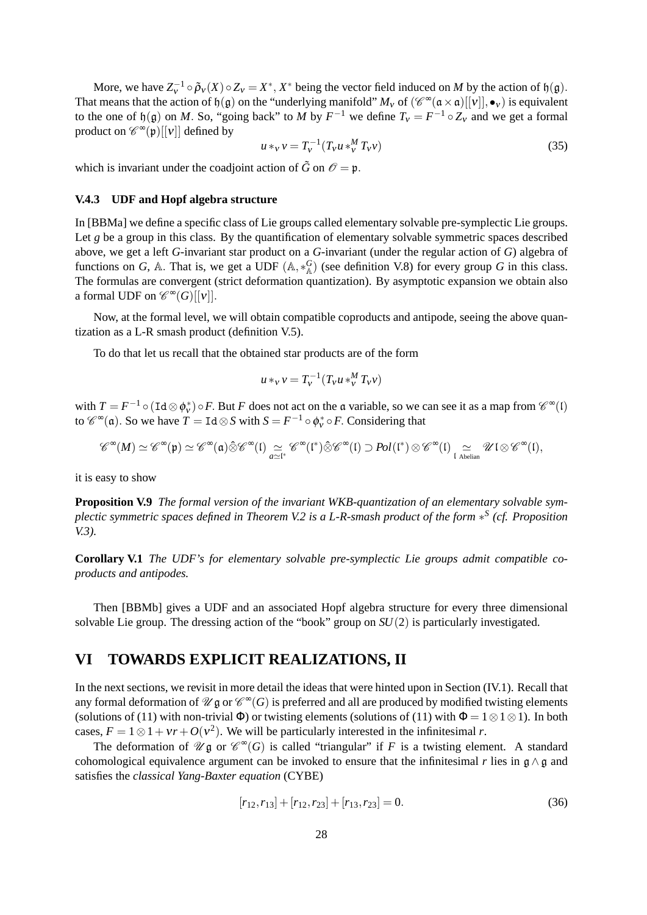More, we have  $Z_v^{-1} \circ \tilde{\rho}_v(X) \circ Z_v = X^*$ ,  $X^*$  being the vector field induced on *M* by the action of  $\mathfrak{h}(\mathfrak{g})$ . That means that the action of  $\mathfrak{h}(\mathfrak{g})$  on the "underlying manifold"  $M_v$  of  $(\mathscr{C}^{\infty}(\mathfrak{a}\times\mathfrak{a})[[v]], \bullet_v)$  is equivalent to the one of  $\mathfrak{h}(\mathfrak{g})$  on *M*. So, "going back" to *M* by  $F^{-1}$  we define  $T_v = F^{-1} \circ Z_v$  and we get a formal product on  $\mathscr{C}^{\infty}(\mathfrak{p})[[v]]$  defined by

$$
u *_{v} v = T_{v}^{-1} (T_{v} u *_{v}^{M} T_{v} v)
$$
\n(35)

which is invariant under the coadjoint action of  $\tilde{G}$  on  $\mathcal{O} = \mathfrak{p}$ .

## **V.4.3 UDF and Hopf algebra structure**

In [BBMa] we define a specific class of Lie groups called elementary solvable pre-symplectic Lie groups. Let *g* be a group in this class. By the quantification of elementary solvable symmetric spaces described above, we get a left *G*-invariant star product on a *G*-invariant (under the regular action of *G*) algebra of functions on *G*, A. That is, we get a UDF  $(A, *_{A}^{G})$  (see definition V.8) for every group *G* in this class. The formulas are convergent (strict deformation quantization). By asymptotic expansion we obtain also a formal UDF on  $\mathscr{C}^{\infty}(G)[[v]].$ 

Now, at the formal level, we will obtain compatible coproducts and antipode, seeing the above quantization as a L-R smash product (definition V.5).

To do that let us recall that the obtained star products are of the form

$$
u *_{v} v = T_{v}^{-1}(T_{v} u *_{v}^{M} T_{v} v)
$$

with  $T = F^{-1} \circ (\text{Id} \otimes \phi_v^*) \circ F$ . But *F* does not act on the a variable, so we can see it as a map from  $\mathscr{C}^{\infty}(I)$ to  $\mathscr{C}^{\infty}(\mathfrak{a})$ . So we have  $T = \text{Id} \otimes S$  with  $S = F^{-1} \circ \phi_v^* \circ F$ . Considering that

$$
\mathscr{C}^{\infty}(M)\simeq \mathscr{C}^{\infty}(\mathfrak{p})\simeq \mathscr{C}^{\infty}(\mathfrak{a})\hat{\otimes}\mathscr{C}^{\infty}(\mathfrak{l})\underset{a\simeq \mathfrak{l}^{*}}{\simeq} \mathscr{C}^{\infty}(\mathfrak{l}^{*})\hat{\otimes}\mathscr{C}^{\infty}(\mathfrak{l})\supset Pol(\mathfrak{l}^{*})\otimes \mathscr{C}^{\infty}(\mathfrak{l})\underset{\mathfrak{l}\ \text{Abelian}}{\simeq} \mathscr{U}\mathfrak{l}\otimes \mathscr{C}^{\infty}(\mathfrak{l}),
$$

it is easy to show

**Proposition V.9** *The formal version of the invariant WKB-quantization of an elementary solvable symplectic symmetric spaces defined in Theorem V.2 is a L-R-smash product of the form* ∗ *S (cf. Proposition V.3).*

**Corollary V.1** *The UDF's for elementary solvable pre-symplectic Lie groups admit compatible coproducts and antipodes.*

Then [BBMb] gives a UDF and an associated Hopf algebra structure for every three dimensional solvable Lie group. The dressing action of the "book" group on *SU*(2) is particularly investigated.

## **VI TOWARDS EXPLICIT REALIZATIONS, II**

In the next sections, we revisit in more detail the ideas that were hinted upon in Section (IV.1). Recall that any formal deformation of  $\mathscr U\mathfrak g$  or  $\mathscr C^\infty(G)$  is preferred and all are produced by modified twisting elements (solutions of (11) with non-trivial  $\Phi$ ) or twisting elements (solutions of (11) with  $\Phi = 1 \otimes 1 \otimes 1$ ). In both cases,  $F = 1 \otimes 1 + v_r + O(v^2)$ . We will be particularly interested in the infinitesimal *r*.

The deformation of  $\mathscr{U} \mathfrak{g}$  or  $\mathscr{C}^{\infty}(G)$  is called "triangular" if F is a twisting element. A standard cohomological equivalence argument can be invoked to ensure that the infinitesimal *r* lies in  $\mathfrak{g} \wedge \mathfrak{g}$  and satisfies the *classical Yang-Baxter equation* (CYBE)

$$
[r_{12}, r_{13}] + [r_{12}, r_{23}] + [r_{13}, r_{23}] = 0.
$$
 (36)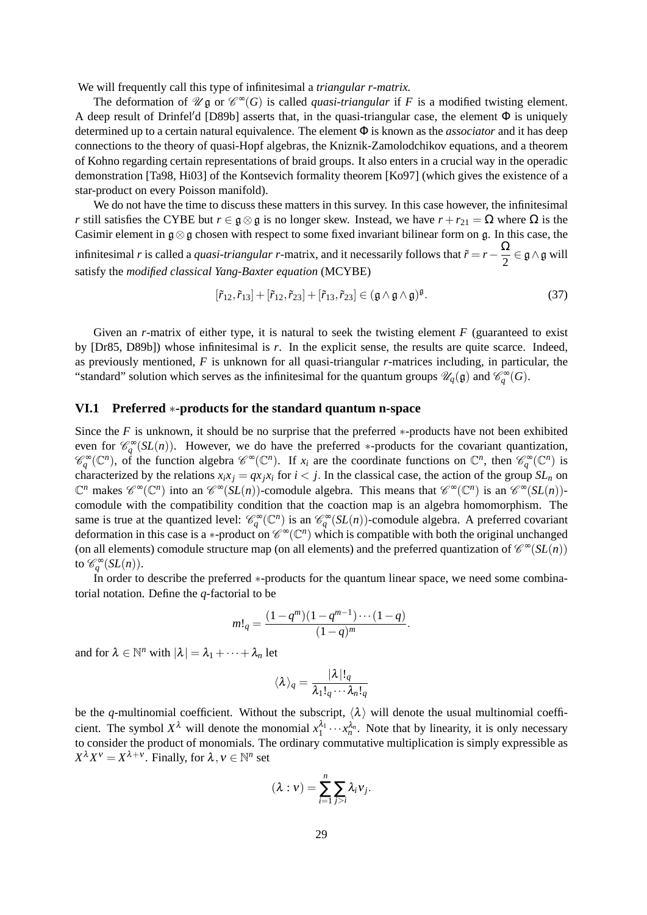We will frequently call this type of infinitesimal a *triangular r-matrix.*

The deformation of  $\mathscr{U} \mathfrak{g}$  or  $\mathscr{C}^{\infty}(G)$  is called *quasi-triangular* if *F* is a modified twisting element. A deep result of Drinfel'd [D89b] asserts that, in the quasi-triangular case, the element  $\Phi$  is uniquely determined up to a certain natural equivalence. The element Φ is known as the *associator* and it has deep connections to the theory of quasi-Hopf algebras, the Kniznik-Zamolodchikov equations, and a theorem of Kohno regarding certain representations of braid groups. It also enters in a crucial way in the operadic demonstration [Ta98, Hi03] of the Kontsevich formality theorem [Ko97] (which gives the existence of a star-product on every Poisson manifold).

We do not have the time to discuss these matters in this survey. In this case however, the infinitesimal *r* still satisfies the CYBE but  $r \in \mathfrak{g} \otimes \mathfrak{g}$  is no longer skew. Instead, we have  $r + r_{21} = \Omega$  where  $\Omega$  is the Casimir element in g⊗g chosen with respect to some fixed invariant bilinear form on g. In this case, the infinitesimal *r* is called a *quasi-triangular r*-matrix, and it necessarily follows that  $\tilde{r} = r - \frac{\Omega}{2}$  $\frac{22}{2} \in \mathfrak{g} \wedge \mathfrak{g}$  will satisfy the *modified classical Yang-Baxter equation* (MCYBE)

$$
[\tilde{r}_{12}, \tilde{r}_{13}] + [\tilde{r}_{12}, \tilde{r}_{23}] + [\tilde{r}_{13}, \tilde{r}_{23}] \in (\mathfrak{g} \wedge \mathfrak{g} \wedge \mathfrak{g})^{\mathfrak{g}}.
$$
 (37)

Given an *r*-matrix of either type, it is natural to seek the twisting element *F* (guaranteed to exist by [Dr85, D89b]) whose infinitesimal is *r*. In the explicit sense, the results are quite scarce. Indeed, as previously mentioned, *F* is unknown for all quasi-triangular *r*-matrices including, in particular, the "standard" solution which serves as the infinitesimal for the quantum groups  $\mathscr{U}_q(\mathfrak{g})$  and  $\mathscr{C}_q^{\infty}(G)$ .

## **VI.1 Preferred** ∗**-products for the standard quantum n-space**

Since the  $F$  is unknown, it should be no surprise that the preferred  $*$ -products have not been exhibited even for  $\mathcal{C}_q^{\infty}(SL(n))$ . However, we do have the preferred \*-products for the covariant quantization,  $\mathscr{C}_q^{\infty}(\mathbb{C}^n)$ , of the function algebra  $\mathscr{C}^{\infty}(\mathbb{C}^n)$ . If  $x_i$  are the coordinate functions on  $\mathbb{C}^n$ , then  $\mathscr{C}_q^{\infty}(\mathbb{C}^n)$  is characterized by the relations  $x_ix_j = qx_jx_i$  for  $i < j$ . In the classical case, the action of the group  $SL_n$  on  $\mathbb{C}^n$  makes  $\mathscr{C}^{\infty}(\mathbb{C}^n)$  into an  $\mathscr{C}^{\infty}(SL(n))$ -comodule algebra. This means that  $\mathscr{C}^{\infty}(\mathbb{C}^n)$  is an  $\mathscr{C}^{\infty}(SL(n))$ comodule with the compatibility condition that the coaction map is an algebra homomorphism. The same is true at the quantized level:  $\mathcal{C}_q^{\infty}(\mathbb{C}^n)$  is an  $\mathcal{C}_q^{\infty}(SL(n))$ -comodule algebra. A preferred covariant deformation in this case is a  $*$ -product on  $\mathscr{C}^{\infty}(\mathbb{C}^n)$  which is compatible with both the original unchanged (on all elements) comodule structure map (on all elements) and the preferred quantization of  $\mathcal{C}^{\infty}(SL(n))$ to  $\mathscr{C}_q^{\infty}(SL(n)).$ 

In order to describe the preferred ∗-products for the quantum linear space, we need some combinatorial notation. Define the *q*-factorial to be

$$
m!_q = \frac{(1-q^m)(1-q^{m-1})\cdots(1-q)}{(1-q)^m}.
$$

and for  $\lambda \in \mathbb{N}^n$  with  $|\lambda| = \lambda_1 + \cdots + \lambda_n$  let

$$
\langle \lambda \rangle_q = \frac{|\lambda|!_q}{\lambda_1!_q \cdots \lambda_n!_q}
$$

be the *q*-multinomial coefficient. Without the subscript,  $\langle \lambda \rangle$  will denote the usual multinomial coefficient. The symbol  $X^{\lambda}$  will denote the monomial  $x_1^{\lambda_1} \cdots x_n^{\lambda_n}$ . Note that by linearity, it is only necessary to consider the product of monomials. The ordinary commutative multiplication is simply expressible as  $X^{\lambda}X^{\nu} = X^{\lambda+\nu}$ . Finally, for  $\lambda, \nu \in \mathbb{N}^n$  set

$$
(\lambda : v) = \sum_{i=1}^n \sum_{j>i} \lambda_i v_j.
$$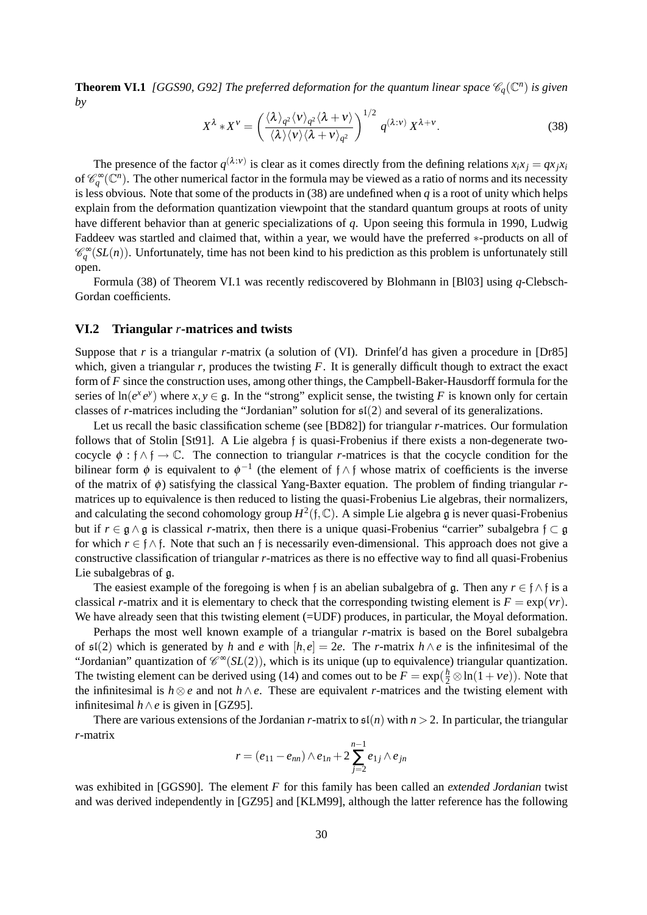**Theorem VI.1** [GGS90, G92] The preferred deformation for the quantum linear space  $\mathscr{C}_q(\mathbb{C}^n)$  is given *by*

$$
X^{\lambda} * X^{\nu} = \left(\frac{\langle \lambda \rangle_{q^2} \langle \nu \rangle_{q^2} \langle \lambda + \nu \rangle}{\langle \lambda \rangle \langle \nu \rangle \langle \lambda + \nu \rangle_{q^2}}\right)^{1/2} q^{(\lambda : \nu)} X^{\lambda + \nu}.
$$
 (38)

The presence of the factor  $q^{(\lambda:\nu)}$  is clear as it comes directly from the defining relations  $x_ix_j = qx_jx_i$ of  $\mathscr{C}_{q}^{\infty}(\mathbb{C}^{n})$ . The other numerical factor in the formula may be viewed as a ratio of norms and its necessity is less obvious. Note that some of the products in (38) are undefined when *q* is a root of unity which helps explain from the deformation quantization viewpoint that the standard quantum groups at roots of unity have different behavior than at generic specializations of *q*. Upon seeing this formula in 1990, Ludwig Faddeev was startled and claimed that, within a year, we would have the preferred ∗-products on all of  $\mathcal{C}_q^{\infty}(SL(n))$ . Unfortunately, time has not been kind to his prediction as this problem is unfortunately still open.

Formula (38) of Theorem VI.1 was recently rediscovered by Blohmann in [Bl03] using *q*-Clebsch-Gordan coefficients.

#### **VI.2 Triangular** *r***-matrices and twists**

Suppose that  $r$  is a triangular  $r$ -matrix (a solution of (VI). Drinfel'd has given a procedure in [Dr85] which, given a triangular  $r$ , produces the twisting  $F$ . It is generally difficult though to extract the exact form of *F* since the construction uses, among other things, the Campbell-Baker-Hausdorff formula for the series of  $\ln(e^x e^y)$  where  $x, y \in \mathfrak{g}$ . In the "strong" explicit sense, the twisting *F* is known only for certain classes of *r*-matrices including the "Jordanian" solution for sl(2) and several of its generalizations.

Let us recall the basic classification scheme (see [BD82]) for triangular *r*-matrices. Our formulation follows that of Stolin [St91]. A Lie algebra f is quasi-Frobenius if there exists a non-degenerate twococycle  $\phi : f \wedge f \to \mathbb{C}$ . The connection to triangular *r*-matrices is that the cocycle condition for the bilinear form  $\phi$  is equivalent to  $\phi^{-1}$  (the element of  $\phi \wedge \phi$  whose matrix of coefficients is the inverse of the matrix of φ) satisfying the classical Yang-Baxter equation. The problem of finding triangular *r*matrices up to equivalence is then reduced to listing the quasi-Frobenius Lie algebras, their normalizers, and calculating the second cohomology group  $H^2(\mathfrak{f}, \mathbb{C})$ . A simple Lie algebra g is never quasi-Frobenius but if  $r \in \mathfrak{g} \wedge \mathfrak{g}$  is classical *r*-matrix, then there is a unique quasi-Frobenius "carrier" subalgebra  $f \subset \mathfrak{g}$ for which  $r \in \mathfrak{f} \wedge \mathfrak{f}$ . Note that such an f is necessarily even-dimensional. This approach does not give a constructive classification of triangular *r*-matrices as there is no effective way to find all quasi-Frobenius Lie subalgebras of g.

The easiest example of the foregoing is when f is an abelian subalgebra of g. Then any  $r \in \{\land\}$  is a classical *r*-matrix and it is elementary to check that the corresponding twisting element is  $F = \exp(vr)$ . We have already seen that this twisting element (=UDF) produces, in particular, the Moyal deformation.

Perhaps the most well known example of a triangular *r*-matrix is based on the Borel subalgebra of  $\mathfrak{sl}(2)$  which is generated by *h* and *e* with  $[h,e] = 2e$ . The *r*-matrix  $h \wedge e$  is the infinitesimal of the "Jordanian" quantization of  $\mathcal{C}^{\infty}(SL(2))$ , which is its unique (up to equivalence) triangular quantization. The twisting element can be derived using (14) and comes out to be  $F = \exp(\frac{h}{2} \otimes \ln(1 + ve))$ . Note that the infinitesimal is  $h \otimes e$  and not  $h \wedge e$ . These are equivalent *r*-matrices and the twisting element with infinitesimal  $h \wedge e$  is given in [GZ95].

There are various extensions of the Jordanian *r*-matrix to  $\mathfrak{sl}(n)$  with  $n > 2$ . In particular, the triangular *r*-matrix

$$
r = (e_{11} - e_{nn}) \wedge e_{1n} + 2 \sum_{j=2}^{n-1} e_{1j} \wedge e_{jn}
$$

was exhibited in [GGS90]. The element *F* for this family has been called an *extended Jordanian* twist and was derived independently in [GZ95] and [KLM99], although the latter reference has the following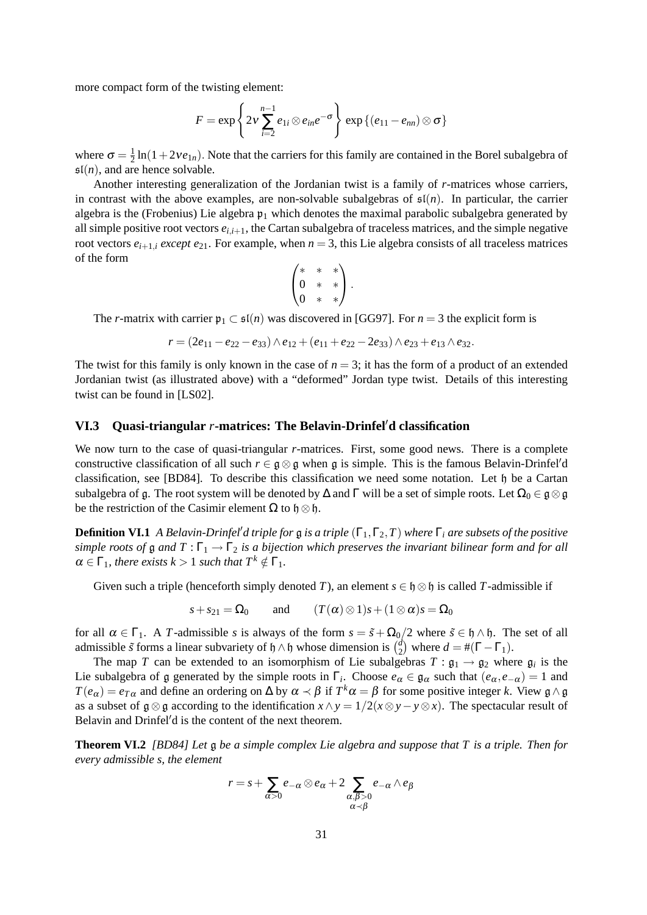more compact form of the twisting element:

$$
F = \exp\left\{2v\sum_{i=2}^{n-1}e_{1i}\otimes e_{in}e^{-\sigma}\right\}\exp\left\{(e_{11}-e_{nn})\otimes\sigma\right\}
$$

where  $\sigma = \frac{1}{2}$  $\frac{1}{2}$ ln(1+2*ve*<sub>1*n*</sub>). Note that the carriers for this family are contained in the Borel subalgebra of  $\mathfrak{sl}(n)$ , and are hence solvable.

Another interesting generalization of the Jordanian twist is a family of *r*-matrices whose carriers, in contrast with the above examples, are non-solvable subalgebras of  $\mathfrak{sl}(n)$ . In particular, the carrier algebra is the (Frobenius) Lie algebra  $\mathfrak{p}_1$  which denotes the maximal parabolic subalgebra generated by all simple positive root vectors  $e_{i,i+1}$ , the Cartan subalgebra of traceless matrices, and the simple negative root vectors  $e_{i+1,i}$  *except*  $e_{21}$ . For example, when  $n = 3$ , this Lie algebra consists of all traceless matrices of the form

$$
\begin{pmatrix} * & * & * \ 0 & * & * \ 0 & * & * \end{pmatrix}.
$$

The *r*-matrix with carrier  $p_1 \text{ }\subset \text{ } \mathfrak{sl}(n)$  was discovered in [GG97]. For  $n=3$  the explicit form is

$$
r = (2e_{11} - e_{22} - e_{33}) \wedge e_{12} + (e_{11} + e_{22} - 2e_{33}) \wedge e_{23} + e_{13} \wedge e_{32}.
$$

The twist for this family is only known in the case of  $n = 3$ ; it has the form of a product of an extended Jordanian twist (as illustrated above) with a "deformed" Jordan type twist. Details of this interesting twist can be found in [LS02].

#### **VI.3** Quasi-triangular *r*-matrices: The Belavin-Drinfel'd classification

We now turn to the case of quasi-triangular *r*-matrices. First, some good news. There is a complete constructive classification of all such  $r \in \mathfrak{g} \otimes \mathfrak{g}$  when g is simple. This is the famous Belavin-Drinfel'd classification, see [BD84]. To describe this classification we need some notation. Let h be a Cartan subalgebra of g. The root system will be denoted by  $\Delta$  and  $\Gamma$  will be a set of simple roots. Let  $\Omega_0 \in \mathfrak{g} \otimes \mathfrak{g}$ be the restriction of the Casimir element  $\Omega$  to  $\mathfrak{h} \otimes \mathfrak{h}$ .

**Definition VI.1** *A Belavin-Drinfel'd triple for* g *is a triple*  $(\Gamma_1, \Gamma_2, T)$  *where*  $\Gamma_i$  *are subsets of the positive simple roots of* g *and*  $T : \Gamma_1 \to \Gamma_2$  *is a bijection which preserves the invariant bilinear form and for all*  $\alpha \in \Gamma_1$ *, there exists k > 1 such that*  $T^k \notin \Gamma_1$ *.* 

Given such a triple (henceforth simply denoted *T*), an element  $s \in \mathfrak{h} \otimes \mathfrak{h}$  is called *T*-admissible if

$$
s + s_{21} = \Omega_0
$$
 and  $(T(\alpha) \otimes 1)s + (1 \otimes \alpha)s = \Omega_0$ 

for all  $\alpha \in \Gamma_1$ . A *T*-admissible *s* is always of the form  $s = \tilde{s} + \Omega_0/2$  where  $\tilde{s} \in \mathfrak{h} \wedge \mathfrak{h}$ . The set of all admissible  $\tilde{s}$  forms a linear subvariety of  $\mathfrak{h} \wedge \mathfrak{h}$  whose dimension is  $\binom{d}{2}$  $\binom{d}{2}$  where  $d = \#(\Gamma - \Gamma_1)$ .

The map *T* can be extended to an isomorphism of Lie subalgebras  $T: \mathfrak{g}_1 \to \mathfrak{g}_2$  where  $\mathfrak{g}_i$  is the Lie subalgebra of g generated by the simple roots in  $\Gamma_i$ . Choose  $e_{\alpha} \in \mathfrak{g}_{\alpha}$  such that  $(e_{\alpha}, e_{-\alpha}) = 1$  and  $T(e_\alpha) = e_{T\alpha}$  and define an ordering on  $\Delta$  by  $\alpha \prec \beta$  if  $T^k\alpha = \beta$  for some positive integer *k*. View  $\mathfrak{g} \wedge \mathfrak{g}$ as a subset of  $\mathfrak{g} \otimes \mathfrak{g}$  according to the identification  $x \wedge y = 1/2(x \otimes y - y \otimes x)$ . The spectacular result of Belavin and Drinfel'd is the content of the next theorem.

**Theorem VI.2** *[BD84] Let* g *be a simple complex Lie algebra and suppose that T is a triple. Then for every admissible s, the element*

$$
r = s + \sum_{\alpha > 0} e_{-\alpha} \otimes e_{\alpha} + 2 \sum_{\substack{\alpha, \beta > 0 \\ \alpha \prec \beta}} e_{-\alpha} \wedge e_{\beta}
$$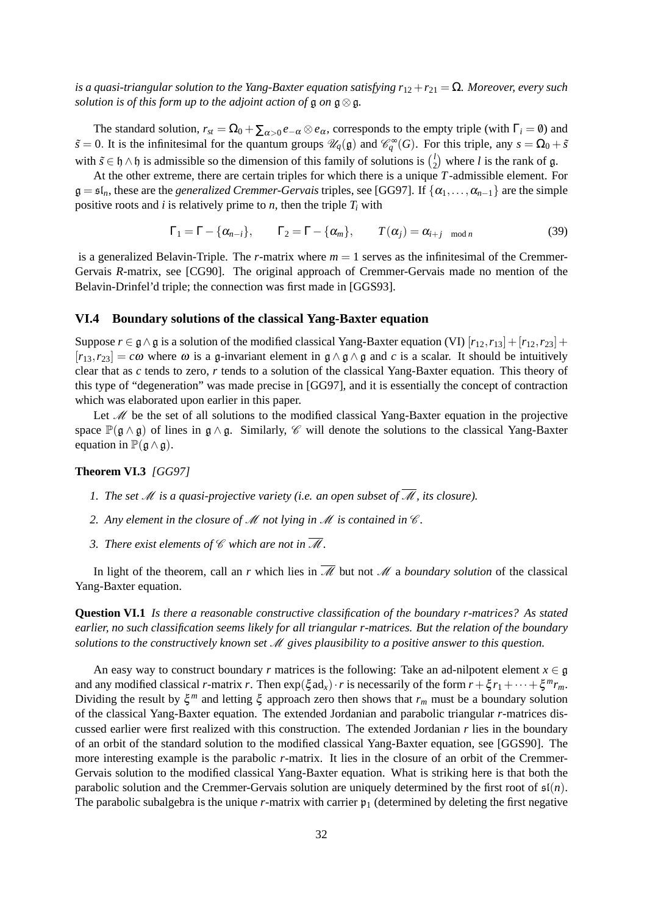*is a quasi-triangular solution to the Yang-Baxter equation satisfying*  $r_{12} + r_{21} = \Omega$ *. Moreover, every such solution is of this form up to the adjoint action of*  $\mathfrak{g}$  *on*  $\mathfrak{g} \otimes \mathfrak{g}$ *.* 

The standard solution,  $r_{st} = \Omega_0 + \sum_{\alpha > 0} e_{-\alpha} \otimes e_{\alpha}$ , corresponds to the empty triple (with  $\Gamma_i = \emptyset$ ) and  $\tilde{s} = 0$ . It is the infinitesimal for the quantum groups  $\mathcal{U}_q(\mathfrak{g})$  and  $\mathcal{C}_q^{\infty}(G)$ . For this triple, any  $s = \Omega_0 + \tilde{s}$ with  $\tilde{s} \in \mathfrak{h} \wedge \mathfrak{h}$  is admissible so the dimension of this family of solutions is  $\binom{l}{2}$  $\binom{l}{2}$  where *l* is the rank of g.

At the other extreme, there are certain triples for which there is a unique *T*-admissible element. For  $\mathfrak{g} = \mathfrak{sl}_n$ , these are the *generalized Cremmer-Gervais* triples, see [GG97]. If  $\{\alpha_1, \dots, \alpha_{n-1}\}$  are the simple positive roots and *i* is relatively prime to *n*, then the triple  $T_i$  with

$$
\Gamma_1 = \Gamma - \{\alpha_{n-i}\}, \qquad \Gamma_2 = \Gamma - \{\alpha_m\}, \qquad T(\alpha_j) = \alpha_{i+j \mod n} \tag{39}
$$

is a generalized Belavin-Triple. The *r*-matrix where  $m = 1$  serves as the infinitesimal of the Cremmer-Gervais *R*-matrix, see [CG90]. The original approach of Cremmer-Gervais made no mention of the Belavin-Drinfel'd triple; the connection was first made in [GGS93].

### **VI.4 Boundary solutions of the classical Yang-Baxter equation**

Suppose  $r \in \mathfrak{g} \wedge \mathfrak{g}$  is a solution of the modified classical Yang-Baxter equation (VI)  $[r_{12}, r_{13}] + [r_{12}, r_{23}] +$  $[r_{13}, r_{23}] = c\omega$  where  $\omega$  is a g-invariant element in  $\alpha \wedge \beta \wedge \beta$  and *c* is a scalar. It should be intuitively clear that as *c* tends to zero, *r* tends to a solution of the classical Yang-Baxter equation. This theory of this type of "degeneration" was made precise in [GG97], and it is essentially the concept of contraction which was elaborated upon earlier in this paper.

Let  $\mathcal{M}$  be the set of all solutions to the modified classical Yang-Baxter equation in the projective space  $\mathbb{P}(\mathfrak{g} \wedge \mathfrak{g})$  of lines in  $\mathfrak{g} \wedge \mathfrak{g}$ . Similarly,  $\mathscr{C}$  will denote the solutions to the classical Yang-Baxter equation in  $\mathbb{P}(\mathfrak{g} \wedge \mathfrak{g})$ .

### **Theorem VI.3** *[GG97]*

- *1. The set* M *is a quasi-projective variety (i.e. an open subset of* M*, its closure).*
- *2. Any element in the closure of M not lying in M is contained in*  $\mathcal{C}$ *.*
- *3. There exist elements of*  $\mathscr C$  *which are not in*  $\overline{\mathscr M}$ *.*

In light of the theorem, call an *r* which lies in  $\overline{\mathcal{M}}$  but not  $\mathcal M$  a *boundary solution* of the classical Yang-Baxter equation.

**Question VI.1** *Is there a reasonable constructive classification of the boundary r-matrices? As stated earlier, no such classification seems likely for all triangular r-matrices. But the relation of the boundary solutions to the constructively known set* M *gives plausibility to a positive answer to this question.*

An easy way to construct boundary *r* matrices is the following: Take an ad-nilpotent element  $x \in \mathfrak{g}$ and any modified classical *r*-matrix *r*. Then  $exp(\xi \, \text{ad}_x) \cdot r$  is necessarily of the form  $r + \xi r_1 + \cdots + \xi^m r_m$ . Dividing the result by  $\xi^m$  and letting  $\xi$  approach zero then shows that  $r_m$  must be a boundary solution of the classical Yang-Baxter equation. The extended Jordanian and parabolic triangular *r*-matrices discussed earlier were first realized with this construction. The extended Jordanian *r* lies in the boundary of an orbit of the standard solution to the modified classical Yang-Baxter equation, see [GGS90]. The more interesting example is the parabolic *r*-matrix. It lies in the closure of an orbit of the Cremmer-Gervais solution to the modified classical Yang-Baxter equation. What is striking here is that both the parabolic solution and the Cremmer-Gervais solution are uniquely determined by the first root of  $\mathfrak{sl}(n)$ . The parabolic subalgebra is the unique  $r$ -matrix with carrier  $p_1$  (determined by deleting the first negative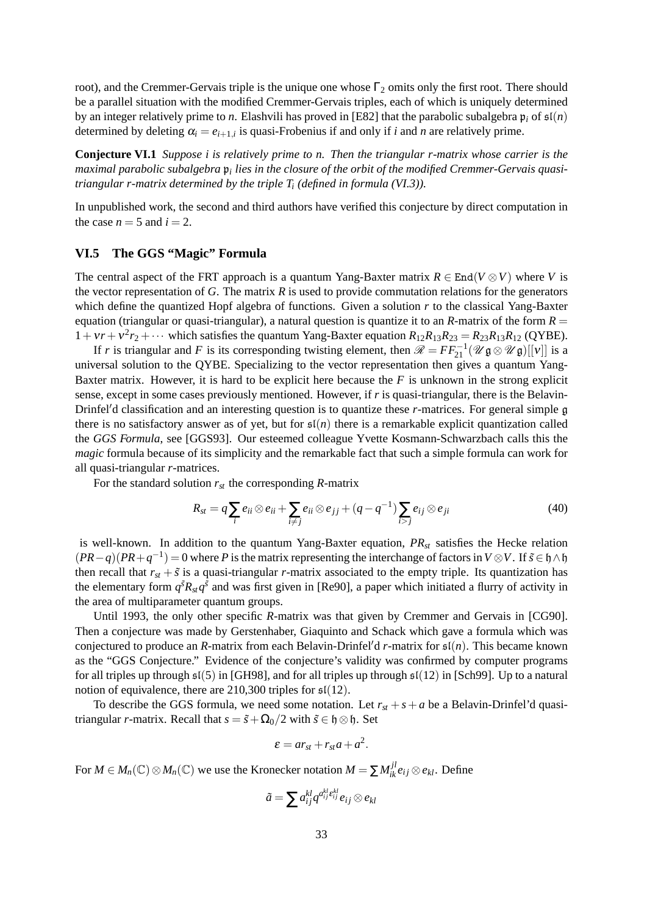root), and the Cremmer-Gervais triple is the unique one whose  $\Gamma_2$  omits only the first root. There should be a parallel situation with the modified Cremmer-Gervais triples, each of which is uniquely determined by an integer relatively prime to *n*. Elashvili has proved in [E82] that the parabolic subalgebra  $\mathfrak{p}_i$  of  $\mathfrak{sl}(n)$ determined by deleting  $\alpha_i = e_{i+1,i}$  is quasi-Frobenius if and only if *i* and *n* are relatively prime.

**Conjecture VI.1** *Suppose i is relatively prime to n. Then the triangular r-matrix whose carrier is the maximal parabolic subalgebra* p*<sup>i</sup> lies in the closure of the orbit of the modified Cremmer-Gervais quasitriangular r-matrix determined by the triple T<sup>i</sup> (defined in formula (VI.3)).*

In unpublished work, the second and third authors have verified this conjecture by direct computation in the case  $n = 5$  and  $i = 2$ .

## **VI.5 The GGS "Magic" Formula**

The central aspect of the FRT approach is a quantum Yang-Baxter matrix  $R \in End(V \otimes V)$  where *V* is the vector representation of  $G$ . The matrix  $R$  is used to provide commutation relations for the generators which define the quantized Hopf algebra of functions. Given a solution *r* to the classical Yang-Baxter equation (triangular or quasi-triangular), a natural question is quantize it to an *-matrix of the form*  $*R*$  $1 + v_r + v^2r_2 + \cdots$  which satisfies the quantum Yang-Baxter equation  $R_{12}R_{13}R_{23} = R_{23}R_{13}R_{12}$  (QYBE).

If *r* is triangular and *F* is its corresponding twisting element, then  $\mathscr{R} = FF_{21}^{-1}(\mathscr{U} \mathfrak{g} \otimes \mathscr{U} \mathfrak{g})[[v]]$  is a universal solution to the QYBE. Specializing to the vector representation then gives a quantum Yang-Baxter matrix. However, it is hard to be explicit here because the *F* is unknown in the strong explicit sense, except in some cases previously mentioned. However, if *r* is quasi-triangular, there is the Belavin-Drinfel'd classification and an interesting question is to quantize these *r*-matrices. For general simple g there is no satisfactory answer as of yet, but for  $\mathfrak{sl}(n)$  there is a remarkable explicit quantization called the *GGS Formula*, see [GGS93]. Our esteemed colleague Yvette Kosmann-Schwarzbach calls this the *magic* formula because of its simplicity and the remarkable fact that such a simple formula can work for all quasi-triangular *r*-matrices.

For the standard solution  $r_{st}$  the corresponding *R*-matrix

$$
R_{st} = q \sum_{i} e_{ii} \otimes e_{ii} + \sum_{i \neq j} e_{ii} \otimes e_{jj} + (q - q^{-1}) \sum_{i > j} e_{ij} \otimes e_{ji}
$$
(40)

is well-known. In addition to the quantum Yang-Baxter equation, *PRst* satisfies the Hecke relation  $(PR-q)(PR+q^{-1}) = 0$  where *P* is the matrix representing the interchange of factors in  $V \otimes V$ . If  $\tilde{s} \in \mathfrak{h} \wedge \mathfrak{h}$ then recall that  $r_{st} + \tilde{s}$  is a quasi-triangular *r*-matrix associated to the empty triple. Its quantization has the elementary form  $q^{s}R_{st}q^{s}$  and was first given in [Re90], a paper which initiated a flurry of activity in the area of multiparameter quantum groups.

Until 1993, the only other specific *R*-matrix was that given by Cremmer and Gervais in [CG90]. Then a conjecture was made by Gerstenhaber, Giaquinto and Schack which gave a formula which was conjectured to produce an *R*-matrix from each Belavin-Drinfel'd *r*-matrix for  $\mathfrak{sl}(n)$ . This became known as the "GGS Conjecture." Evidence of the conjecture's validity was confirmed by computer programs for all triples up through  $\mathfrak{sl}(5)$  in [GH98], and for all triples up through  $\mathfrak{sl}(12)$  in [Sch99]. Up to a natural notion of equivalence, there are 210,300 triples for  $\mathfrak{sl}(12)$ .

To describe the GGS formula, we need some notation. Let  $r_{st} + s + a$  be a Belavin-Drinfel'd quasitriangular *r*-matrix. Recall that  $s = \tilde{s} + \Omega_0/2$  with  $\tilde{s} \in \mathfrak{h} \otimes \mathfrak{h}$ . Set

$$
\varepsilon = ar_{st} + r_{st}a + a^2.
$$

For  $M \in M_n(\mathbb{C}) \otimes M_n(\mathbb{C})$  we use the Kronecker notation  $M = \sum M_{ik}^{jl} e_{ij} \otimes e_{kl}$ . Define

$$
\tilde{a} = \sum a_{ij}^{kl} q^{a_{ij}^{kl}} \epsilon_{ij}^{kl} e_{ij} \otimes e_{kl}
$$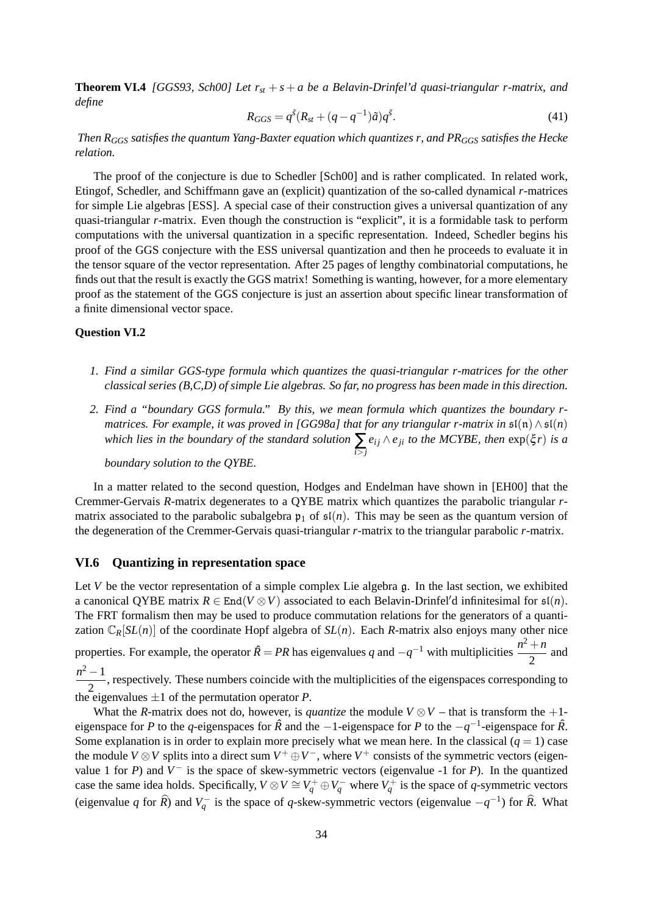**Theorem VI.4** *[GGS93, Sch00] Let rst* + *s* + *a be a Belavin-Drinfel'd quasi-triangular r-matrix, and define*

$$
R_{GGS} = q^{\tilde{s}} (R_{st} + (q - q^{-1})\tilde{a}) q^{\tilde{s}}.
$$
\n
$$
(41)
$$

*Then RGGS satisfies the quantum Yang-Baxter equation which quantizes r, and PRGGS satisfies the Hecke relation.*

The proof of the conjecture is due to Schedler [Sch00] and is rather complicated. In related work, Etingof, Schedler, and Schiffmann gave an (explicit) quantization of the so-called dynamical *r*-matrices for simple Lie algebras [ESS]. A special case of their construction gives a universal quantization of any quasi-triangular *r*-matrix. Even though the construction is "explicit", it is a formidable task to perform computations with the universal quantization in a specific representation. Indeed, Schedler begins his proof of the GGS conjecture with the ESS universal quantization and then he proceeds to evaluate it in the tensor square of the vector representation. After 25 pages of lengthy combinatorial computations, he finds out that the result is exactly the GGS matrix! Something is wanting, however, for a more elementary proof as the statement of the GGS conjecture is just an assertion about specific linear transformation of a finite dimensional vector space.

## **Question VI.2**

- *1. Find a similar GGS-type formula which quantizes the quasi-triangular r-matrices for the other classical series (B,C,D) of simple Lie algebras. So far, no progress has been made in this direction.*
- *2. Find a "boundary GGS formula." By this, we mean formula which quantizes the boundary rmatrices. For example, it was proved in [GG98a] that for any triangular r-matrix in*  $\mathfrak{sl}(n) \wedge \mathfrak{sl}(n)$ *which lies in the boundary of the standard solution* ∑ *i*>*j*  $e_{ij} \wedge e_{ji}$  *to the MCYBE, then*  $\exp(\xi r)$  *is a*

*boundary solution to the QYBE.*

In a matter related to the second question, Hodges and Endelman have shown in [EH00] that the Cremmer-Gervais *R*-matrix degenerates to a QYBE matrix which quantizes the parabolic triangular *r*matrix associated to the parabolic subalgebra  $p_1$  of  $\mathfrak{sl}(n)$ . This may be seen as the quantum version of the degeneration of the Cremmer-Gervais quasi-triangular *r*-matrix to the triangular parabolic *r*-matrix.

#### **VI.6 Quantizing in representation space**

Let *V* be the vector representation of a simple complex Lie algebra g. In the last section, we exhibited a canonical OYBE matrix  $R \in End(V \otimes V)$  associated to each Belavin-Drinfel'd infinitesimal for  $\mathfrak{sl}(n)$ . The FRT formalism then may be used to produce commutation relations for the generators of a quantization  $\mathbb{C}_R[SL(n)]$  of the coordinate Hopf algebra of  $SL(n)$ . Each *R*-matrix also enjoys many other nice

properties. For example, the operator  $\hat{R} = PR$  has eigenvalues *q* and  $-q^{-1}$  with multiplicities  $\frac{n^2 + n}{2}$  $\frac{1}{2}$  and  $n^2 - 1$ 

 $\frac{1}{2}$ , respectively. These numbers coincide with the multiplicities of the eigenspaces corresponding to the eigenvalues  $\pm 1$  of the permutation operator P.

What the *R*-matrix does not do, however, is *quantize* the module  $V \otimes V$  – that is transform the +1eigenspace for *P* to the *q*-eigenspaces for *R*ˆ and the −1-eigenspace for *P* to the −*q* −1 -eigenspace for *R*ˆ. Some explanation is in order to explain more precisely what we mean here. In the classical  $(q = 1)$  case the module *V*  $\otimes$ *V* splits into a direct sum *V*<sup>+</sup>  $\oplus$ *V*<sup>-</sup>, where *V*<sup>+</sup> consists of the symmetric vectors (eigenvalue 1 for *P*) and  $V^-$  is the space of skew-symmetric vectors (eigenvalue -1 for *P*). In the quantized case the same idea holds. Specifically,  $V \otimes V \cong V_q^+ \oplus V_q^-$  where  $V_q^+$  is the space of *q*-symmetric vectors (eigenvalue *q* for  $\hat{R}$ ) and  $V_q^-$  is the space of *q*-skew-symmetric vectors (eigenvalue  $-q^{-1}$ ) for  $\hat{R}$ . What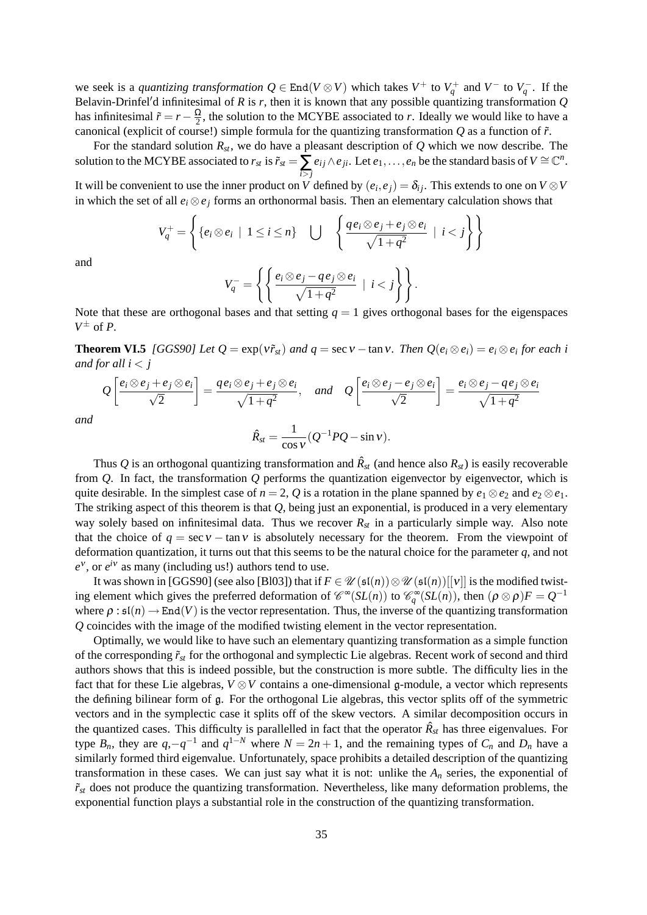we seek is a *quantizing transformation*  $Q \in End(V \otimes V)$  which takes  $V^+$  to  $V_q^+$  and  $V^-$  to  $V_q^-$ . If the Belavin-Drinfel'd infinitesimal of *R* is *r*, then it is known that any possible quantizing transformation  $Q$ has infinitesimal  $\tilde{r} = r - \frac{\Omega}{2}$  $\frac{\Omega}{2}$ , the solution to the MCYBE associated to *r*. Ideally we would like to have a canonical (explicit of course!) simple formula for the quantizing transformation *Q* as a function of ˜*r*.

For the standard solution  $R_{st}$ , we do have a pleasant description of  $Q$  which we now describe. The solution to the MCYBE associated to  $r_{st}$  is  $\tilde{r}_{st} = \sum_{i > j}$  $e_{ij} \wedge e_{ji}$ . Let  $e_1, \ldots, e_n$  be the standard basis of  $V \cong \mathbb{C}^n$ .

It will be convenient to use the inner product on *V* defined by  $(e_i, e_j) = \delta_{ij}$ . This extends to one on *V*  $\otimes$ *V* in which the set of all  $e_i \otimes e_j$  forms an orthonormal basis. Then an elementary calculation shows that

$$
V_q^+ = \left\{ \{ e_i \otimes e_i \mid 1 \le i \le n \} \quad \bigcup \quad \left\{ \frac{q e_i \otimes e_j + e_j \otimes e_i}{\sqrt{1 + q^2}} \mid i < j \right\} \right\}
$$

and

$$
V_q^- = \left\{ \left\{ \frac{e_i \otimes e_j - q e_j \otimes e_i}{\sqrt{1 + q^2}} \mid i < j \right\} \right\}.
$$

Note that these are orthogonal bases and that setting  $q = 1$  gives orthogonal bases for the eigenspaces  $V^{\pm}$  of *P*.

**Theorem VI.5** *[GGS90] Let*  $Q = \exp(v\tilde{r}_{st})$  *and*  $q = \sec v - \tan v$ . *Then*  $Q(e_i \otimes e_i) = e_i \otimes e_i$  for each i *and for all*  $i < j$ 

$$
Q\left[\frac{e_i\otimes e_j+e_j\otimes e_i}{\sqrt{2}}\right]=\frac{qe_i\otimes e_j+e_j\otimes e_i}{\sqrt{1+q^2}},\quad and \quad Q\left[\frac{e_i\otimes e_j-e_j\otimes e_i}{\sqrt{2}}\right]=\frac{e_i\otimes e_j-qe_j\otimes e_i}{\sqrt{1+q^2}}
$$

*and*

$$
\hat{R}_{st} = \frac{1}{\cos v} (Q^{-1}PQ - \sin v).
$$

Thus  $Q$  is an orthogonal quantizing transformation and  $\hat{R}_{st}$  (and hence also  $R_{st}$ ) is easily recoverable from *Q*. In fact, the transformation *Q* performs the quantization eigenvector by eigenvector, which is quite desirable. In the simplest case of  $n = 2$ , Q is a rotation in the plane spanned by  $e_1 \otimes e_2$  and  $e_2 \otimes e_1$ . The striking aspect of this theorem is that *Q*, being just an exponential, is produced in a very elementary way solely based on infinitesimal data. Thus we recover  $R_{st}$  in a particularly simple way. Also note that the choice of  $q = \sec v - \tan v$  is absolutely necessary for the theorem. From the viewpoint of deformation quantization, it turns out that this seems to be the natural choice for the parameter *q*, and not  $e^{\nu}$ , or  $e^{i\nu}$  as many (including us!) authors tend to use.

It was shown in [GGS90] (see also [Bl03]) that if  $F \in \mathcal{U}(\mathfrak{sl}(n))\otimes \mathcal{U}(\mathfrak{sl}(n))[[v]]$  is the modified twisting element which gives the preferred deformation of  $\mathscr{C}^{\infty}(SL(n))$  to  $\mathscr{C}^{\infty}_q(SL(n))$ , then  $(\rho \otimes \rho)F = Q^{-1}$ where  $\rho : \mathfrak{sl}(n) \to \text{End}(V)$  is the vector representation. Thus, the inverse of the quantizing transformation *Q* coincides with the image of the modified twisting element in the vector representation.

Optimally, we would like to have such an elementary quantizing transformation as a simple function of the corresponding ˜*rst* for the orthogonal and symplectic Lie algebras. Recent work of second and third authors shows that this is indeed possible, but the construction is more subtle. The difficulty lies in the fact that for these Lie algebras,  $V \otimes V$  contains a one-dimensional g-module, a vector which represents the defining bilinear form of g. For the orthogonal Lie algebras, this vector splits off of the symmetric vectors and in the symplectic case it splits off of the skew vectors. A similar decomposition occurs in the quantized cases. This difficulty is parallelled in fact that the operator  $\hat{R}_{st}$  has three eigenvalues. For type  $B_n$ , they are  $q, -q^{-1}$  and  $q^{1-N}$  where  $N = 2n + 1$ , and the remaining types of  $C_n$  and  $D_n$  have a similarly formed third eigenvalue. Unfortunately, space prohibits a detailed description of the quantizing transformation in these cases. We can just say what it is not: unlike the  $A<sub>n</sub>$  series, the exponential of  $\tilde{r}_{st}$  does not produce the quantizing transformation. Nevertheless, like many deformation problems, the exponential function plays a substantial role in the construction of the quantizing transformation.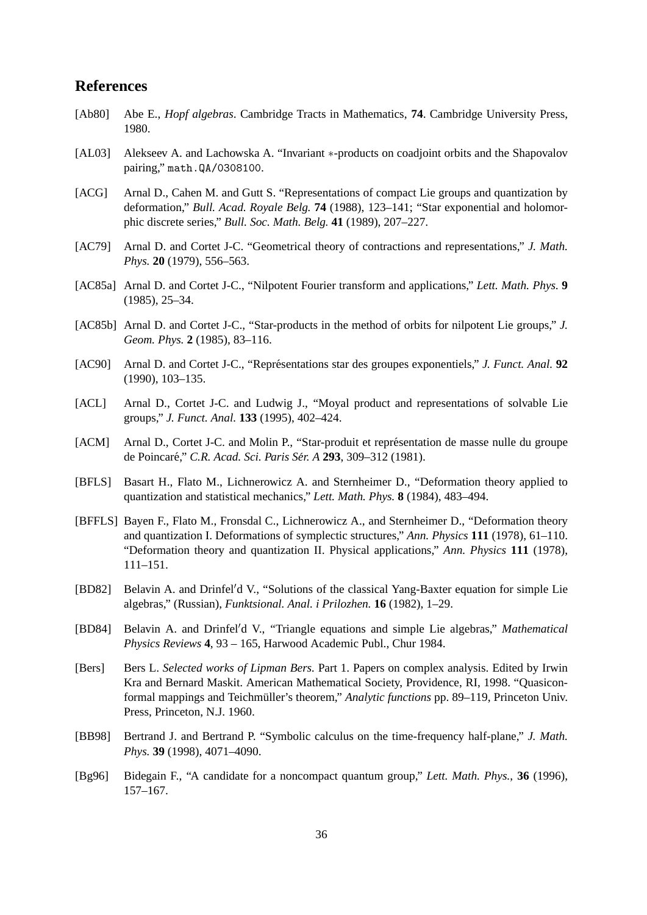## **References**

- [Ab80] Abe E., *Hopf algebras*. Cambridge Tracts in Mathematics, **74**. Cambridge University Press, 1980.
- [AL03] Alekseev A. and Lachowska A. "Invariant ∗-products on coadjoint orbits and the Shapovalov pairing," math.QA/0308100.
- [ACG] Arnal D., Cahen M. and Gutt S. "Representations of compact Lie groups and quantization by deformation," *Bull. Acad. Royale Belg.* **74** (1988), 123–141; "Star exponential and holomorphic discrete series," *Bull. Soc. Math. Belg.* **41** (1989), 207–227.
- [AC79] Arnal D. and Cortet J-C. "Geometrical theory of contractions and representations," *J. Math. Phys.* **20** (1979), 556–563.
- [AC85a] Arnal D. and Cortet J-C., "Nilpotent Fourier transform and applications," *Lett. Math. Phys.* **9** (1985), 25–34.
- [AC85b] Arnal D. and Cortet J-C., "Star-products in the method of orbits for nilpotent Lie groups," *J. Geom. Phys.* **2** (1985), 83–116.
- [AC90] Arnal D. and Cortet J-C., "Représentations star des groupes exponentiels," *J. Funct. Anal.* **92** (1990), 103–135.
- [ACL] Arnal D., Cortet J-C. and Ludwig J., "Moyal product and representations of solvable Lie groups," *J. Funct. Anal.* **133** (1995), 402–424.
- [ACM] Arnal D., Cortet J-C. and Molin P., "Star-produit et représentation de masse nulle du groupe de Poincare," ´ *C.R. Acad. Sci. Paris Ser. A ´* **293**, 309–312 (1981).
- [BFLS] Basart H., Flato M., Lichnerowicz A. and Sternheimer D., "Deformation theory applied to quantization and statistical mechanics," *Lett. Math. Phys.* **8** (1984), 483–494.
- [BFFLS] Bayen F., Flato M., Fronsdal C., Lichnerowicz A., and Sternheimer D., "Deformation theory and quantization I. Deformations of symplectic structures," *Ann. Physics* **111** (1978), 61–110. "Deformation theory and quantization II. Physical applications," *Ann. Physics* **111** (1978), 111–151.
- [BD82] Belavin A. and Drinfel'd V., "Solutions of the classical Yang-Baxter equation for simple Lie algebras," (Russian), *Funktsional. Anal. i Prilozhen.* **16** (1982), 1–29.
- [BD84] Belavin A. and Drinfel'd V., "Triangle equations and simple Lie algebras," *Mathematical Physics Reviews* **4**, 93 – 165, Harwood Academic Publ., Chur 1984.
- [Bers] Bers L. *Selected works of Lipman Bers.* Part 1. Papers on complex analysis. Edited by Irwin Kra and Bernard Maskit. American Mathematical Society, Providence, RI, 1998. "Quasiconformal mappings and Teichmüller's theorem," *Analytic functions* pp. 89–119, Princeton Univ. Press, Princeton, N.J. 1960.
- [BB98] Bertrand J. and Bertrand P. "Symbolic calculus on the time-frequency half-plane," *J. Math. Phys.* **39** (1998), 4071–4090.
- [Bg96] Bidegain F., "A candidate for a noncompact quantum group," *Lett. Math. Phys.*, **36** (1996), 157–167.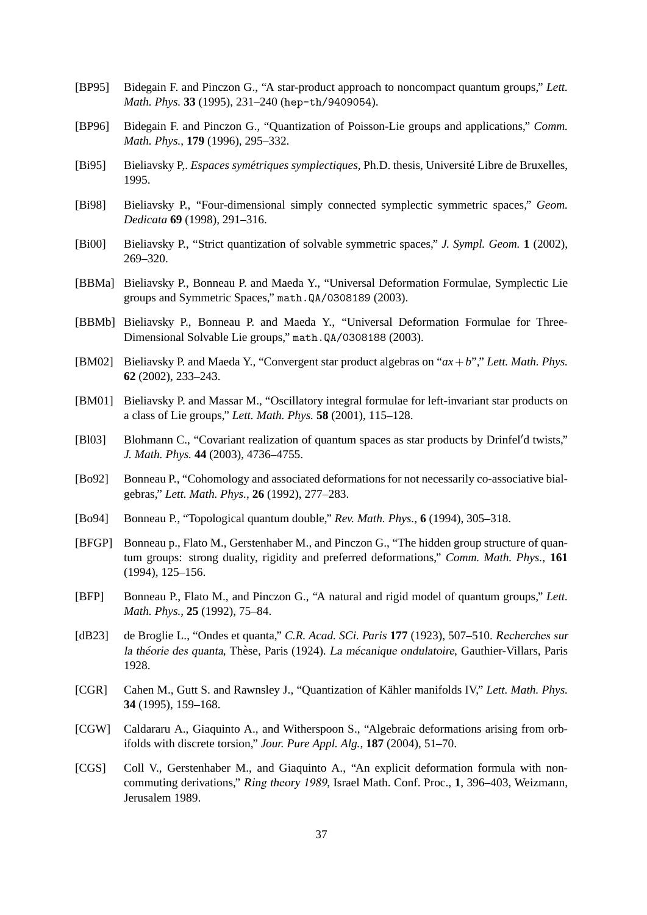- [BP95] Bidegain F. and Pinczon G., "A star-product approach to noncompact quantum groups," *Lett. Math. Phys.* **33** (1995), 231–240 (hep-th/9409054).
- [BP96] Bidegain F. and Pinczon G., "Quantization of Poisson-Lie groups and applications," *Comm. Math. Phys.*, **179** (1996), 295–332.
- [Bi95] Bieliavsky P,. *Espaces symetriques symplectiques ´* , Ph.D. thesis, Universite Libre de Bruxelles, ´ 1995.
- [Bi98] Bieliavsky P., "Four-dimensional simply connected symplectic symmetric spaces," *Geom. Dedicata* **69** (1998), 291–316.
- [Bi00] Bieliavsky P., "Strict quantization of solvable symmetric spaces," *J. Sympl. Geom.* **1** (2002), 269–320.
- [BBMa] Bieliavsky P., Bonneau P. and Maeda Y., "Universal Deformation Formulae, Symplectic Lie groups and Symmetric Spaces," math.QA/0308189 (2003).
- [BBMb] Bieliavsky P., Bonneau P. and Maeda Y., "Universal Deformation Formulae for Three-Dimensional Solvable Lie groups," math.QA/0308188 (2003).
- [BM02] Bieliavsky P. and Maeda Y., "Convergent star product algebras on "*ax*+*b*"," *Lett. Math. Phys.* **62** (2002), 233–243.
- [BM01] Bieliavsky P. and Massar M., "Oscillatory integral formulae for left-invariant star products on a class of Lie groups," *Lett. Math. Phys.* **58** (2001), 115–128.
- [Bl03] Blohmann C., "Covariant realization of quantum spaces as star products by Drinfel'd twists," *J. Math. Phys.* **44** (2003), 4736–4755.
- [Bo92] Bonneau P., "Cohomology and associated deformations for not necessarily co-associative bialgebras," *Lett. Math. Phys.*, **26** (1992), 277–283.
- [Bo94] Bonneau P., "Topological quantum double," *Rev. Math. Phys.*, **6** (1994), 305–318.
- [BFGP] Bonneau p., Flato M., Gerstenhaber M., and Pinczon G., "The hidden group structure of quantum groups: strong duality, rigidity and preferred deformations," *Comm. Math. Phys.*, **161** (1994), 125–156.
- [BFP] Bonneau P., Flato M., and Pinczon G., "A natural and rigid model of quantum groups," *Lett. Math. Phys.*, **25** (1992), 75–84.
- [dB23] de Broglie L., "Ondes et quanta," *C.R. Acad. SCi. Paris* **177** (1923), 507–510. Recherches sur la théorie des quanta, Thèse, Paris (1924). La mécanique ondulatoire, Gauthier-Villars, Paris 1928.
- [CGR] Cahen M., Gutt S. and Rawnsley J., "Quantization of Kähler manifolds IV," Lett. Math. Phys. **34** (1995), 159–168.
- [CGW] Caldararu A., Giaquinto A., and Witherspoon S., "Algebraic deformations arising from orbifolds with discrete torsion," *Jour. Pure Appl. Alg.*, **187** (2004), 51–70.
- [CGS] Coll V., Gerstenhaber M., and Giaquinto A., "An explicit deformation formula with noncommuting derivations," Ring theory 1989, Israel Math. Conf. Proc., **1**, 396–403, Weizmann, Jerusalem 1989.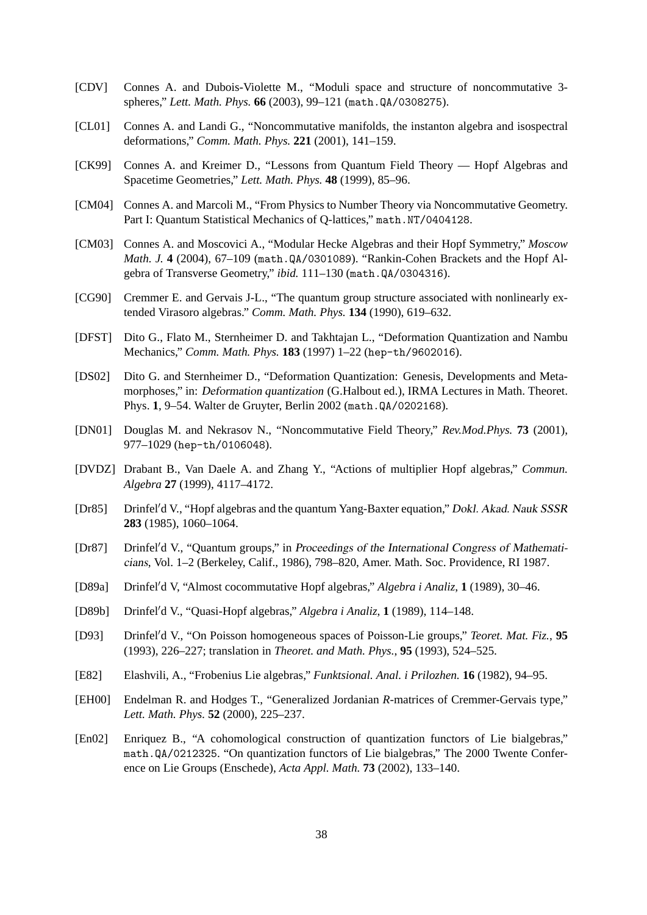- [CDV] Connes A. and Dubois-Violette M., "Moduli space and structure of noncommutative 3 spheres," *Lett. Math. Phys.* **66** (2003), 99–121 (math.QA/0308275).
- [CL01] Connes A. and Landi G., "Noncommutative manifolds, the instanton algebra and isospectral deformations," *Comm. Math. Phys.* **221** (2001), 141–159.
- [CK99] Connes A. and Kreimer D., "Lessons from Quantum Field Theory Hopf Algebras and Spacetime Geometries," *Lett. Math. Phys.* **48** (1999), 85–96.
- [CM04] Connes A. and Marcoli M., "From Physics to Number Theory via Noncommutative Geometry. Part I: Quantum Statistical Mechanics of Q-lattices," math.NT/0404128.
- [CM03] Connes A. and Moscovici A., "Modular Hecke Algebras and their Hopf Symmetry," *Moscow Math. J.* **4** (2004), 67–109 (math.QA/0301089). "Rankin-Cohen Brackets and the Hopf Algebra of Transverse Geometry," *ibid.* 111–130 (math.QA/0304316).
- [CG90] Cremmer E. and Gervais J-L., "The quantum group structure associated with nonlinearly extended Virasoro algebras." *Comm. Math. Phys.* **134** (1990), 619–632.
- [DFST] Dito G., Flato M., Sternheimer D. and Takhtajan L., "Deformation Quantization and Nambu Mechanics," *Comm. Math. Phys.* **183** (1997) 1–22 (hep-th/9602016).
- [DS02] Dito G. and Sternheimer D., "Deformation Quantization: Genesis, Developments and Metamorphoses," in: Deformation quantization (G.Halbout ed.), IRMA Lectures in Math. Theoret. Phys. **1**, 9–54. Walter de Gruyter, Berlin 2002 (math.QA/0202168).
- [DN01] Douglas M. and Nekrasov N., "Noncommutative Field Theory," *Rev.Mod.Phys.* **73** (2001), 977–1029 (hep-th/0106048).
- [DVDZ] Drabant B., Van Daele A. and Zhang Y., "Actions of multiplier Hopf algebras," *Commun. Algebra* **27** (1999), 4117–4172.
- [Dr85] Drinfel'd V., "Hopf algebras and the quantum Yang-Baxter equation," Dokl. Akad. Nauk SSSR **283** (1985), 1060–1064.
- [Dr87] Drinfel'd V., "Quantum groups," in Proceedings of the International Congress of Mathematicians, Vol. 1–2 (Berkeley, Calif., 1986), 798–820, Amer. Math. Soc. Providence, RI 1987.
- [D89a] Drinfel'd V, "Almost cocommutative Hopf algebras," *Algebra i Analiz*, 1 (1989), 30–46.
- [D89b] Drinfel'd V., "Quasi-Hopf algebras," *Algebra i Analiz*, **1** (1989), 114–148.
- [D93] Drinfel'd V., "On Poisson homogeneous spaces of Poisson-Lie groups," *Teoret. Mat. Fiz.*, 95 (1993), 226–227; translation in *Theoret. and Math. Phys.*, **95** (1993), 524–525.
- [E82] Elashvili, A., "Frobenius Lie algebras," *Funktsional. Anal. i Prilozhen.* **16** (1982), 94–95.
- [EH00] Endelman R. and Hodges T., "Generalized Jordanian *R*-matrices of Cremmer-Gervais type," *Lett. Math. Phys.* **52** (2000), 225–237.
- [En02] Enriquez B., "A cohomological construction of quantization functors of Lie bialgebras," math.QA/0212325. "On quantization functors of Lie bialgebras," The 2000 Twente Conference on Lie Groups (Enschede), *Acta Appl. Math.* **73** (2002), 133–140.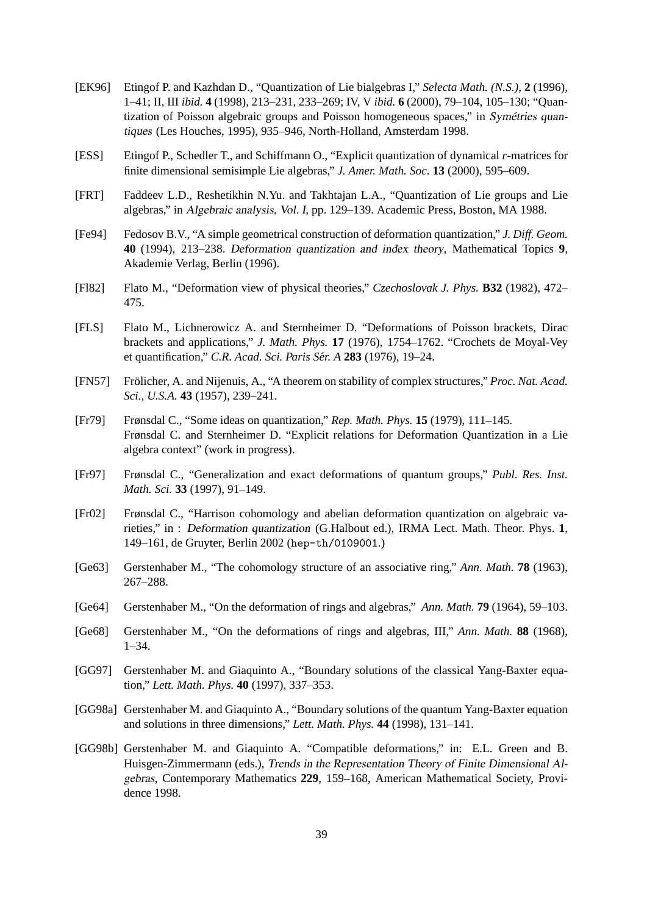- [EK96] Etingof P. and Kazhdan D., "Quantization of Lie bialgebras I," *Selecta Math. (N.S.)*, **2** (1996), 1–41; II, III *ibid.* **4** (1998), 213–231, 233–269; IV, V *ibid.* **6** (2000), 79–104, 105–130; "Quantization of Poisson algebraic groups and Poisson homogeneous spaces," in Symétries quantiques (Les Houches, 1995), 935–946, North-Holland, Amsterdam 1998.
- [ESS] Etingof P., Schedler T., and Schiffmann O., "Explicit quantization of dynamical *r*-matrices for finite dimensional semisimple Lie algebras," *J. Amer. Math. Soc.* **13** (2000), 595–609.
- [FRT] Faddeev L.D., Reshetikhin N.Yu. and Takhtajan L.A., "Quantization of Lie groups and Lie algebras," in Algebraic analysis, Vol. I, pp. 129–139. Academic Press, Boston, MA 1988.
- [Fe94] Fedosov B.V., "A simple geometrical construction of deformation quantization," *J. Diff. Geom.* **40** (1994), 213–238. Deformation quantization and index theory, Mathematical Topics **9**, Akademie Verlag, Berlin (1996).
- [Fl82] Flato M., "Deformation view of physical theories," *Czechoslovak J. Phys.* **B32** (1982), 472– 475.
- [FLS] Flato M., Lichnerowicz A. and Sternheimer D. "Deformations of Poisson brackets, Dirac brackets and applications," *J. Math. Phys.* **17** (1976), 1754–1762. "Crochets de Moyal-Vey et quantification," *C.R. Acad. Sci. Paris Ser. A ´* **283** (1976), 19–24.
- [FN57] Frölicher, A. and Nijenuis, A., "A theorem on stability of complex structures," *Proc. Nat. Acad. Sci., U.S.A.* **43** (1957), 239–241.
- [Fr79] Frønsdal C., "Some ideas on quantization," *Rep. Math. Phys.* **15** (1979), 111–145. Frønsdal C. and Sternheimer D. "Explicit relations for Deformation Quantization in a Lie algebra context" (work in progress).
- [Fr97] Frønsdal C., "Generalization and exact deformations of quantum groups," *Publ. Res. Inst. Math. Sci.* **33** (1997), 91–149.
- [Fr02] Frønsdal C., "Harrison cohomology and abelian deformation quantization on algebraic varieties," in : Deformation quantization (G.Halbout ed.), IRMA Lect. Math. Theor. Phys. **1**, 149–161, de Gruyter, Berlin 2002 (hep-th/0109001.)
- [Ge63] Gerstenhaber M., "The cohomology structure of an associative ring," *Ann. Math.* **78** (1963), 267–288.
- [Ge64] Gerstenhaber M., "On the deformation of rings and algebras," *Ann. Math.* **79** (1964), 59–103.
- [Ge68] Gerstenhaber M., "On the deformations of rings and algebras, III," *Ann. Math.* **88** (1968), 1–34.
- [GG97] Gerstenhaber M. and Giaquinto A., "Boundary solutions of the classical Yang-Baxter equation," *Lett. Math. Phys.* **40** (1997), 337–353.
- [GG98a] Gerstenhaber M. and Giaquinto A., "Boundary solutions of the quantum Yang-Baxter equation and solutions in three dimensions," *Lett. Math. Phys.* **44** (1998), 131–141.
- [GG98b] Gerstenhaber M. and Giaquinto A. "Compatible deformations," in: E.L. Green and B. Huisgen-Zimmermann (eds.), Trends in the Representation Theory of Finite Dimensional Algebras, Contemporary Mathematics **229**, 159–168, American Mathematical Society, Providence 1998.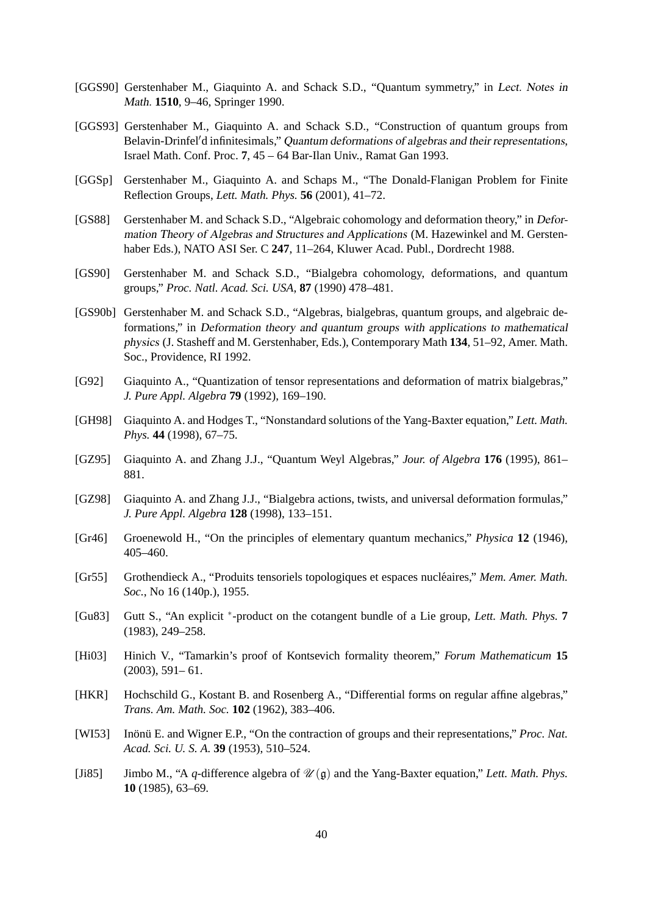- [GGS90] Gerstenhaber M., Giaquinto A. and Schack S.D., "Quantum symmetry," in Lect. Notes in Math. **1510**, 9–46, Springer 1990.
- [GGS93] Gerstenhaber M., Giaquinto A. and Schack S.D., "Construction of quantum groups from Belavin-Drinfel'd infinitesimals," Quantum deformations of algebras and their representations, Israel Math. Conf. Proc. **7**, 45 – 64 Bar-Ilan Univ., Ramat Gan 1993.
- [GGSp] Gerstenhaber M., Giaquinto A. and Schaps M., "The Donald-Flanigan Problem for Finite Reflection Groups, *Lett. Math. Phys.* **56** (2001), 41–72.
- [GS88] Gerstenhaber M. and Schack S.D., "Algebraic cohomology and deformation theory," in Deformation Theory of Algebras and Structures and Applications (M. Hazewinkel and M. Gerstenhaber Eds.), NATO ASI Ser. C **247**, 11–264, Kluwer Acad. Publ., Dordrecht 1988.
- [GS90] Gerstenhaber M. and Schack S.D., "Bialgebra cohomology, deformations, and quantum groups," *Proc. Natl. Acad. Sci. USA*, **87** (1990) 478–481.
- [GS90b] Gerstenhaber M. and Schack S.D., "Algebras, bialgebras, quantum groups, and algebraic deformations," in Deformation theory and quantum groups with applications to mathematical physics (J. Stasheff and M. Gerstenhaber, Eds.), Contemporary Math **134**, 51–92, Amer. Math. Soc., Providence, RI 1992.
- [G92] Giaquinto A., "Quantization of tensor representations and deformation of matrix bialgebras," *J. Pure Appl. Algebra* **79** (1992), 169–190.
- [GH98] Giaquinto A. and Hodges T., "Nonstandard solutions of the Yang-Baxter equation," *Lett. Math. Phys.* **44** (1998), 67–75.
- [GZ95] Giaquinto A. and Zhang J.J., "Quantum Weyl Algebras," *Jour. of Algebra* **176** (1995), 861– 881.
- [GZ98] Giaquinto A. and Zhang J.J., "Bialgebra actions, twists, and universal deformation formulas," *J. Pure Appl. Algebra* **128** (1998), 133–151.
- [Gr46] Groenewold H., "On the principles of elementary quantum mechanics," *Physica* **12** (1946), 405–460.
- [Gr55] Grothendieck A., "Produits tensoriels topologiques et espaces nucleaires," ´ *Mem. Amer. Math. Soc.*, No 16 (140p.), 1955.
- [Gu83] Gutt S., "An explicit <sup>∗</sup> -product on the cotangent bundle of a Lie group, *Lett. Math. Phys.* **7** (1983), 249–258.
- [Hi03] Hinich V., "Tamarkin's proof of Kontsevich formality theorem," *Forum Mathematicum* **15** (2003), 591– 61.
- [HKR] Hochschild G., Kostant B. and Rosenberg A., "Differential forms on regular affine algebras," *Trans. Am. Math. Soc.* **102** (1962), 383–406.
- [WI53] Inonu E. and Wigner E.P., "On the contraction of groups and their representations," *Proc. Nat. Acad. Sci. U. S. A.* **39** (1953), 510–524.
- [Ji85] Jimbo M., "A *q*-difference algebra of  $\mathcal{U}(\mathfrak{g})$  and the Yang-Baxter equation," *Lett. Math. Phys.* **10** (1985), 63–69.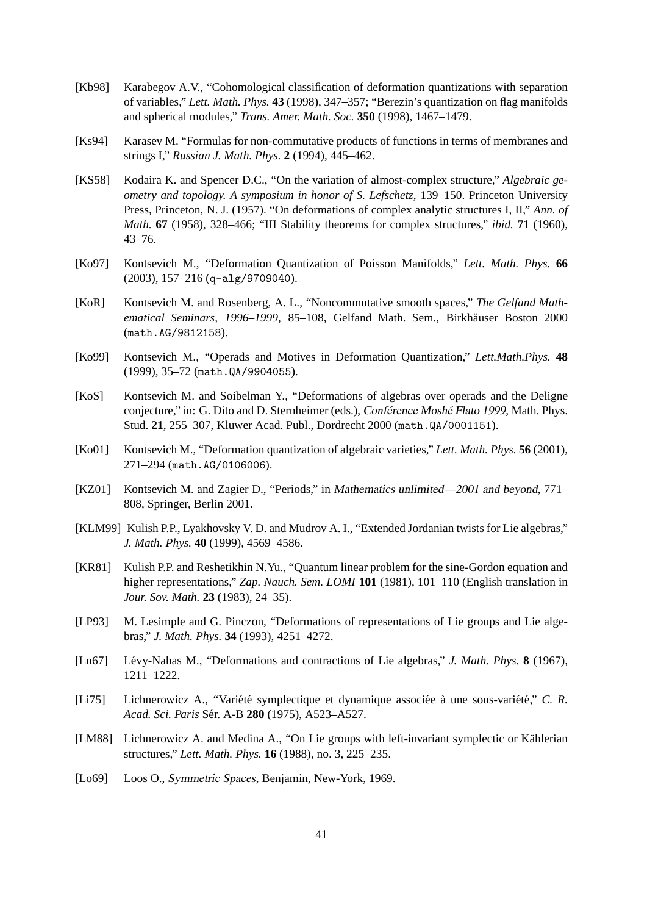- [Kb98] Karabegov A.V., "Cohomological classification of deformation quantizations with separation of variables," *Lett. Math. Phys.* **43** (1998), 347–357; "Berezin's quantization on flag manifolds and spherical modules," *Trans. Amer. Math. Soc.* **350** (1998), 1467–1479.
- [Ks94] Karasev M. "Formulas for non-commutative products of functions in terms of membranes and strings I," *Russian J. Math. Phys.* **2** (1994), 445–462.
- [KS58] Kodaira K. and Spencer D.C., "On the variation of almost-complex structure," *Algebraic geometry and topology. A symposium in honor of S. Lefschetz*, 139–150. Princeton University Press, Princeton, N. J. (1957). "On deformations of complex analytic structures I, II," *Ann. of Math.* **67** (1958), 328–466; "III Stability theorems for complex structures," *ibid.* **71** (1960), 43–76.
- [Ko97] Kontsevich M., "Deformation Quantization of Poisson Manifolds," *Lett. Math. Phys.* **66** (2003), 157–216 (q-alg/9709040).
- [KoR] Kontsevich M. and Rosenberg, A. L., "Noncommutative smooth spaces," *The Gelfand Mathematical Seminars, 1996–1999*, 85–108, Gelfand Math. Sem., Birkhauser Boston 2000 ¨ (math.AG/9812158).
- [Ko99] Kontsevich M., "Operads and Motives in Deformation Quantization," *Lett.Math.Phys.* **48** (1999), 35–72 (math.QA/9904055).
- [KoS] Kontsevich M. and Soibelman Y., "Deformations of algebras over operads and the Deligne conjecture," in: G. Dito and D. Sternheimer (eds.), Conférence Moshé Flato 1999, Math. Phys. Stud. **21**, 255–307, Kluwer Acad. Publ., Dordrecht 2000 (math.QA/0001151).
- [Ko01] Kontsevich M., "Deformation quantization of algebraic varieties," *Lett. Math. Phys.* **56** (2001), 271–294 (math.AG/0106006).
- [KZ01] Kontsevich M. and Zagier D., "Periods," in Mathematics unlimited—2001 and beyond, 771– 808, Springer, Berlin 2001.
- [KLM99] Kulish P.P., Lyakhovsky V. D. and Mudrov A. I., "Extended Jordanian twists for Lie algebras," *J. Math. Phys.* **40** (1999), 4569–4586.
- [KR81] Kulish P.P. and Reshetikhin N.Yu., "Quantum linear problem for the sine-Gordon equation and higher representations," *Zap. Nauch. Sem. LOMI* **101** (1981), 101–110 (English translation in *Jour. Sov. Math.* **23** (1983), 24–35).
- [LP93] M. Lesimple and G. Pinczon, "Deformations of representations of Lie groups and Lie algebras," *J. Math. Phys.* **34** (1993), 4251–4272.
- [Ln67] Lévy-Nahas M., "Deformations and contractions of Lie algebras," *J. Math. Phys.* **8** (1967), 1211–1222.
- [Li75] Lichnerowicz A., "Variété symplectique et dynamique associée à une sous-variété," C. R. *Acad. Sci. Paris* Ser. A-B ´ **280** (1975), A523–A527.
- [LM88] Lichnerowicz A. and Medina A., "On Lie groups with left-invariant symplectic or Kählerian structures," *Lett. Math. Phys.* **16** (1988), no. 3, 225–235.
- [Lo69] Loos O., Symmetric Spaces, Benjamin, New-York, 1969.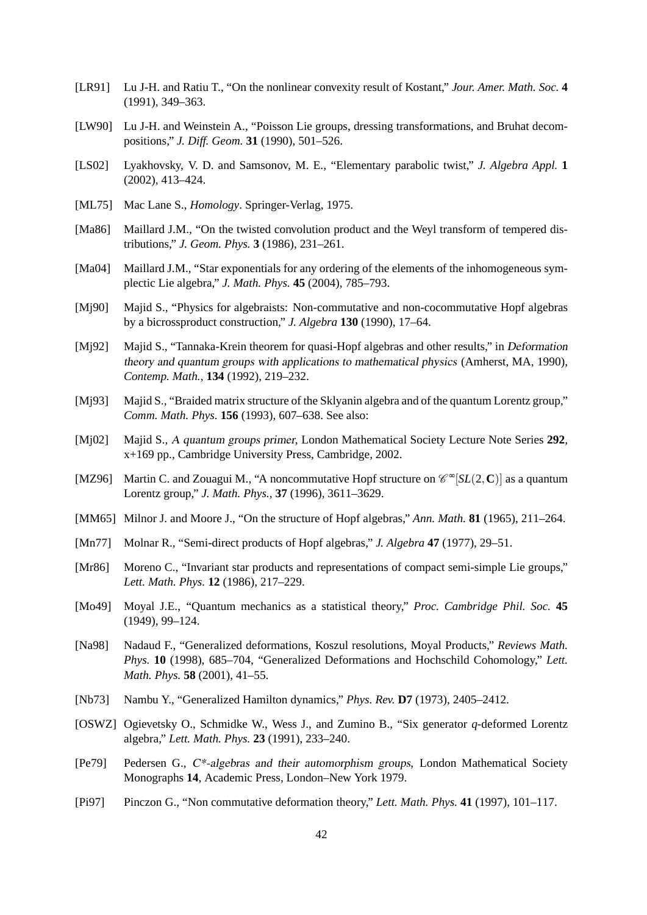- [LR91] Lu J-H. and Ratiu T., "On the nonlinear convexity result of Kostant," *Jour. Amer. Math. Soc.* **4** (1991), 349–363.
- [LW90] Lu J-H. and Weinstein A., "Poisson Lie groups, dressing transformations, and Bruhat decompositions," *J. Diff. Geom.* **31** (1990), 501–526.
- [LS02] Lyakhovsky, V. D. and Samsonov, M. E., "Elementary parabolic twist," *J. Algebra Appl.* **1** (2002), 413–424.
- [ML75] Mac Lane S., *Homology*. Springer-Verlag, 1975.
- [Ma86] Maillard J.M., "On the twisted convolution product and the Weyl transform of tempered distributions," *J. Geom. Phys.* **3** (1986), 231–261.
- [Ma04] Maillard J.M., "Star exponentials for any ordering of the elements of the inhomogeneous symplectic Lie algebra," *J. Math. Phys.* **45** (2004), 785–793.
- [Mj90] Majid S., "Physics for algebraists: Non-commutative and non-cocommutative Hopf algebras by a bicrossproduct construction," *J. Algebra* **130** (1990), 17–64.
- [Mj92] Majid S., "Tannaka-Krein theorem for quasi-Hopf algebras and other results," in Deformation theory and quantum groups with applications to mathematical physics (Amherst, MA, 1990), *Contemp. Math.*, **134** (1992), 219–232.
- [Mj93] Majid S., "Braided matrix structure of the Sklyanin algebra and of the quantum Lorentz group," *Comm. Math. Phys.* **156** (1993), 607–638. See also:
- [Mj02] Majid S., A quantum groups primer, London Mathematical Society Lecture Note Series **292**, x+169 pp., Cambridge University Press, Cambridge, 2002.
- [MZ96] Martin C. and Zouagui M., "A noncommutative Hopf structure on  $\mathcal{C}^{\infty}[SL(2,\mathbb{C})]$  as a quantum Lorentz group," *J. Math. Phys.*, **37** (1996), 3611–3629.
- [MM65] Milnor J. and Moore J., "On the structure of Hopf algebras," *Ann. Math.* **81** (1965), 211–264.
- [Mn77] Molnar R., "Semi-direct products of Hopf algebras," *J. Algebra* **47** (1977), 29–51.
- [Mr86] Moreno C., "Invariant star products and representations of compact semi-simple Lie groups," *Lett. Math. Phys.* **12** (1986), 217–229.
- [Mo49] Moyal J.E., "Quantum mechanics as a statistical theory," *Proc. Cambridge Phil. Soc.* **45** (1949), 99–124.
- [Na98] Nadaud F., "Generalized deformations, Koszul resolutions, Moyal Products," *Reviews Math. Phys.* **10** (1998), 685–704, "Generalized Deformations and Hochschild Cohomology," *Lett. Math. Phys.* **58** (2001), 41–55.
- [Nb73] Nambu Y., "Generalized Hamilton dynamics," *Phys. Rev.* **D7** (1973), 2405–2412.
- [OSWZ] Ogievetsky O., Schmidke W., Wess J., and Zumino B., "Six generator *q*-deformed Lorentz algebra," *Lett. Math. Phys.* **23** (1991), 233–240.
- [Pe79] Pedersen G., C\*-algebras and their automorphism groups, London Mathematical Society Monographs **14**, Academic Press, London–New York 1979.
- [Pi97] Pinczon G., "Non commutative deformation theory," *Lett. Math. Phys.* **41** (1997), 101–117.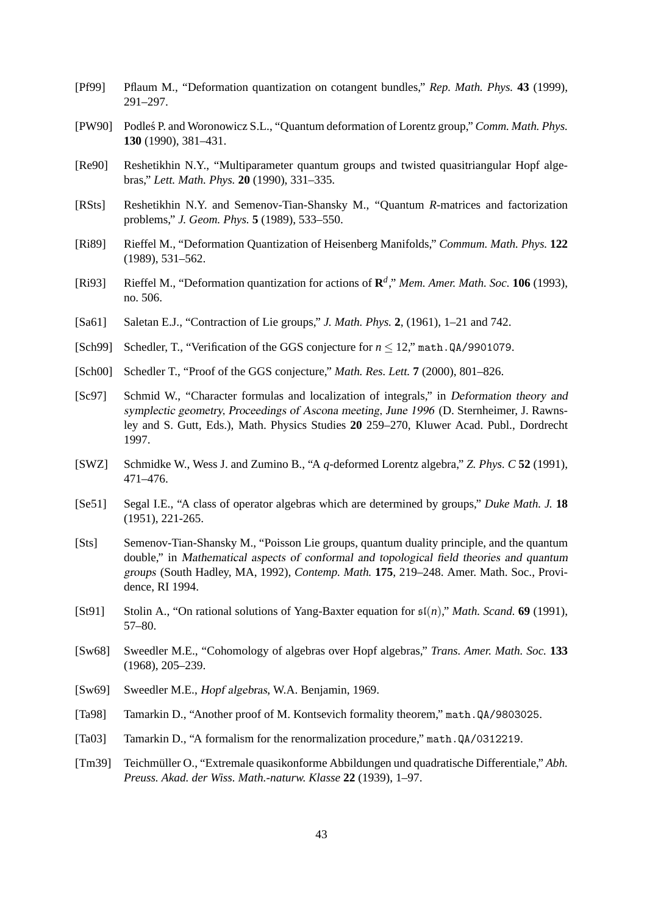- [Pf99] Pflaum M., "Deformation quantization on cotangent bundles," *Rep. Math. Phys.* **43** (1999), 291–297.
- [PW90] Podles P. and Woronowicz S.L., "Quantum deformation of Lorentz group," *Comm. Math. Phys.* **130** (1990), 381–431.
- [Re90] Reshetikhin N.Y., "Multiparameter quantum groups and twisted quasitriangular Hopf algebras," *Lett. Math. Phys.* **20** (1990), 331–335.
- [RSts] Reshetikhin N.Y. and Semenov-Tian-Shansky M., "Quantum *R*-matrices and factorization problems," *J. Geom. Phys.* **5** (1989), 533–550.
- [Ri89] Rieffel M., "Deformation Quantization of Heisenberg Manifolds," *Commum. Math. Phys.* **122** (1989), 531–562.
- [Ri93] Rieffel M., "Deformation quantization for actions of **R** *d* ," *Mem. Amer. Math. Soc.* **106** (1993), no. 506.
- [Sa61] Saletan E.J., "Contraction of Lie groups," *J. Math. Phys.* **2**, (1961), 1–21 and 742.
- [Sch99] Schedler, T., "Verification of the GGS conjecture for *n* ≤ 12," math.QA/9901079.
- [Sch00] Schedler T., "Proof of the GGS conjecture," *Math. Res. Lett.* **7** (2000), 801–826.
- [Sc97] Schmid W., "Character formulas and localization of integrals," in Deformation theory and symplectic geometry, Proceedings of Ascona meeting, June 1996 (D. Sternheimer, J. Rawnsley and S. Gutt, Eds.), Math. Physics Studies **20** 259–270, Kluwer Acad. Publ., Dordrecht 1997.
- [SWZ] Schmidke W., Wess J. and Zumino B., "A *q*-deformed Lorentz algebra," *Z. Phys. C* **52** (1991), 471–476.
- [Se51] Segal I.E., "A class of operator algebras which are determined by groups," *Duke Math. J.* **18** (1951), 221-265.
- [Sts] Semenov-Tian-Shansky M., "Poisson Lie groups, quantum duality principle, and the quantum double," in Mathematical aspects of conformal and topological field theories and quantum groups (South Hadley, MA, 1992), *Contemp. Math.* **175**, 219–248. Amer. Math. Soc., Providence, RI 1994.
- [St91] Stolin A., "On rational solutions of Yang-Baxter equation for sl(*n*)," *Math. Scand.* **69** (1991), 57–80.
- [Sw68] Sweedler M.E., "Cohomology of algebras over Hopf algebras," *Trans. Amer. Math. Soc.* **133** (1968), 205–239.
- [Sw69] Sweedler M.E., Hopf algebras, W.A. Benjamin, 1969.
- [Ta98] Tamarkin D., "Another proof of M. Kontsevich formality theorem," math.QA/9803025.
- [Ta03] Tamarkin D., "A formalism for the renormalization procedure," math.QA/0312219.
- [Tm39] Teichmüller O., "Extremale quasikonforme Abbildungen und quadratische Differentiale," *Abh. Preuss. Akad. der Wiss. Math.-naturw. Klasse* **22** (1939), 1–97.